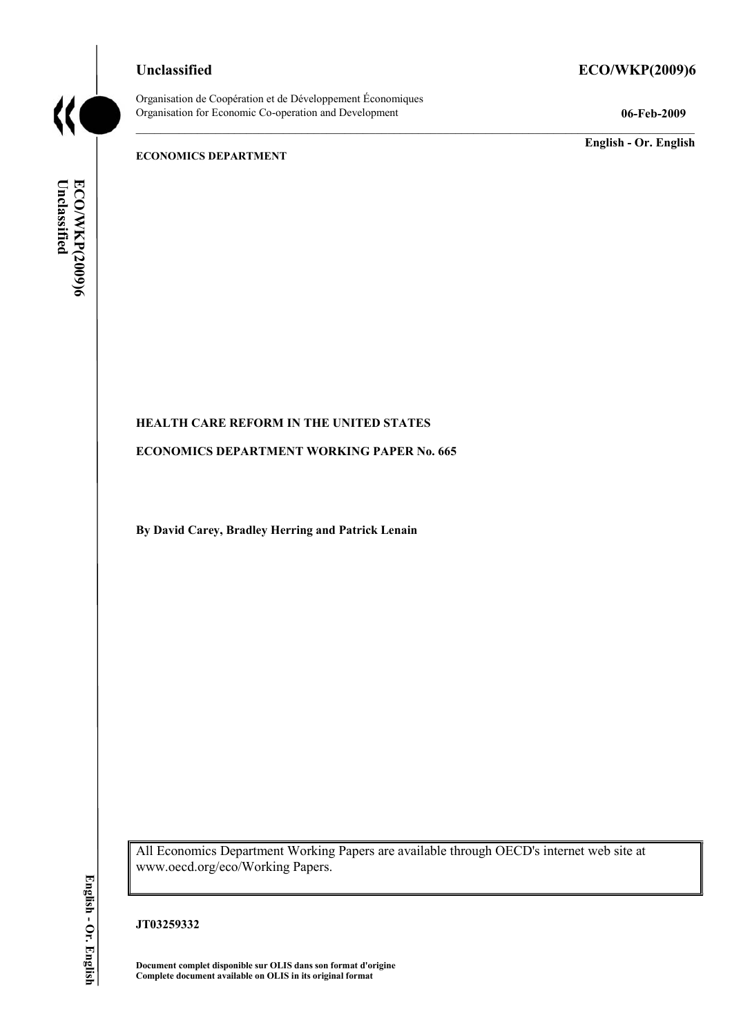Organisation de Coopération et de Développement Économiques Organisation for Economic Co-operation and Development **06-Feb-2009** 

# **Unclassified ECO/WKP(2009)6**

**English - Or. English** 

#### **ECONOMICS DEPARTMENT**

Unclassified ECO/WKP(2009)6 **Unclassified ECO/WKP(2009)6 English - Or. English**

## **HEALTH CARE REFORM IN THE UNITED STATES**

**ECONOMICS DEPARTMENT WORKING PAPER No. 665** 

**By David Carey, Bradley Herring and Patrick Lenain** 

All Economics Department Working Papers are available through OECD's internet web site at www.oecd.org/eco/Working Papers.

**JT03259332** 

**Document complet disponible sur OLIS dans son format d'origine Complete document available on OLIS in its original format**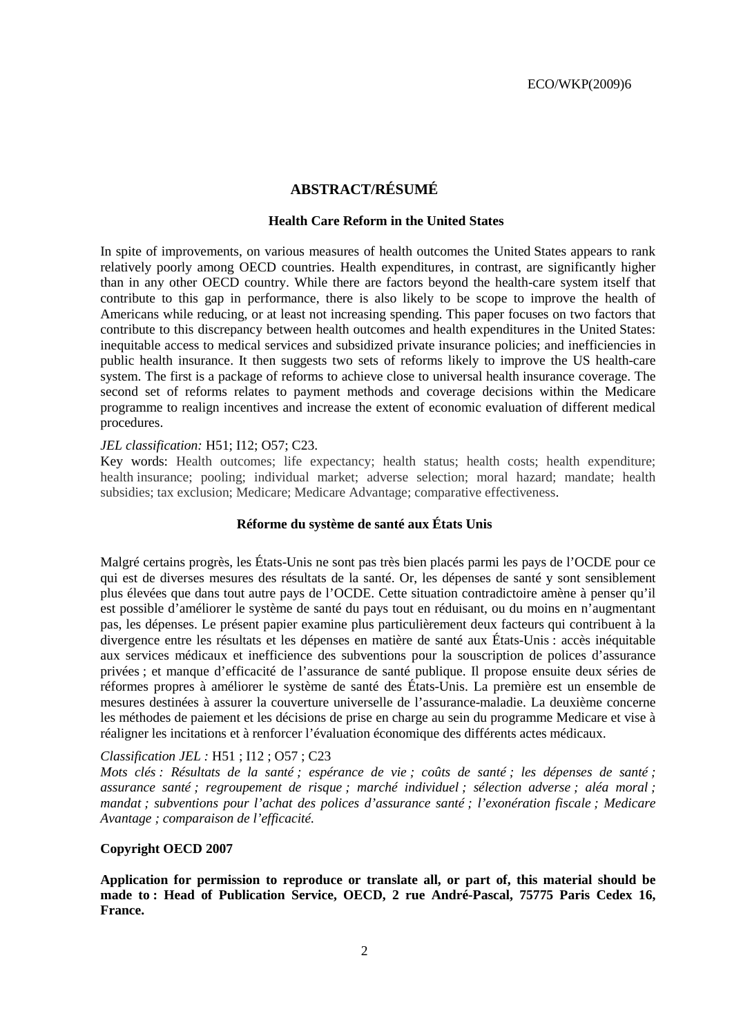# **ABSTRACT/RÉSUMÉ**

#### **Health Care Reform in the United States**

In spite of improvements, on various measures of health outcomes the United States appears to rank relatively poorly among OECD countries. Health expenditures, in contrast, are significantly higher than in any other OECD country. While there are factors beyond the health-care system itself that contribute to this gap in performance, there is also likely to be scope to improve the health of Americans while reducing, or at least not increasing spending. This paper focuses on two factors that contribute to this discrepancy between health outcomes and health expenditures in the United States: inequitable access to medical services and subsidized private insurance policies; and inefficiencies in public health insurance. It then suggests two sets of reforms likely to improve the US health-care system. The first is a package of reforms to achieve close to universal health insurance coverage. The second set of reforms relates to payment methods and coverage decisions within the Medicare programme to realign incentives and increase the extent of economic evaluation of different medical procedures.

#### *JEL classification:* H51; I12; O57; C23.

Key words: Health outcomes; life expectancy; health status; health costs; health expenditure; health insurance; pooling; individual market; adverse selection; moral hazard; mandate; health subsidies; tax exclusion; Medicare; Medicare Advantage; comparative effectiveness.

## **Réforme du système de santé aux États Unis**

Malgré certains progrès, les États-Unis ne sont pas très bien placés parmi les pays de l'OCDE pour ce qui est de diverses mesures des résultats de la santé. Or, les dépenses de santé y sont sensiblement plus élevées que dans tout autre pays de l'OCDE. Cette situation contradictoire amène à penser qu'il est possible d'améliorer le système de santé du pays tout en réduisant, ou du moins en n'augmentant pas, les dépenses. Le présent papier examine plus particulièrement deux facteurs qui contribuent à la divergence entre les résultats et les dépenses en matière de santé aux États-Unis : accès inéquitable aux services médicaux et inefficience des subventions pour la souscription de polices d'assurance privées ; et manque d'efficacité de l'assurance de santé publique. Il propose ensuite deux séries de réformes propres à améliorer le système de santé des États-Unis. La première est un ensemble de mesures destinées à assurer la couverture universelle de l'assurance-maladie. La deuxième concerne les méthodes de paiement et les décisions de prise en charge au sein du programme Medicare et vise à réaligner les incitations et à renforcer l'évaluation économique des différents actes médicaux.

#### *Classification JEL :* H51 ; I12 ; O57 ; C23

*Mots clés : Résultats de la santé ; espérance de vie ; coûts de santé ; les dépenses de santé ; assurance santé ; regroupement de risque ; marché individuel ; sélection adverse ; aléa moral ; mandat ; subventions pour l'achat des polices d'assurance santé ; l'exonération fiscale ; Medicare Avantage ; comparaison de l'efficacité.* 

### **Copyright OECD 2007**

**Application for permission to reproduce or translate all, or part of, this material should be made to : Head of Publication Service, OECD, 2 rue André-Pascal, 75775 Paris Cedex 16, France.**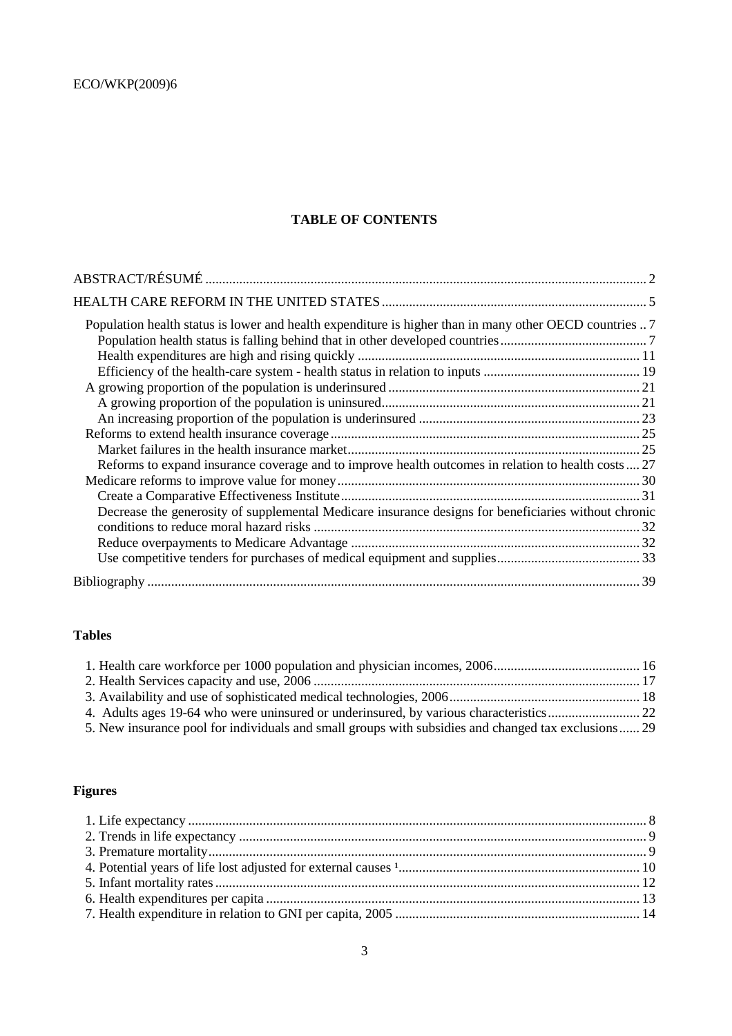# **TABLE OF CONTENTS**

| Population health status is lower and health expenditure is higher than in many other OECD countries  7 |  |
|---------------------------------------------------------------------------------------------------------|--|
|                                                                                                         |  |
|                                                                                                         |  |
|                                                                                                         |  |
|                                                                                                         |  |
|                                                                                                         |  |
|                                                                                                         |  |
|                                                                                                         |  |
|                                                                                                         |  |
| Reforms to expand insurance coverage and to improve health outcomes in relation to health costs  27     |  |
|                                                                                                         |  |
|                                                                                                         |  |
| Decrease the generosity of supplemental Medicare insurance designs for beneficiaries without chronic    |  |
|                                                                                                         |  |
|                                                                                                         |  |
|                                                                                                         |  |
|                                                                                                         |  |

# **Tables**

| 5. New insurance pool for individuals and small groups with subsidies and changed tax exclusions 29 |  |
|-----------------------------------------------------------------------------------------------------|--|

# **Figures**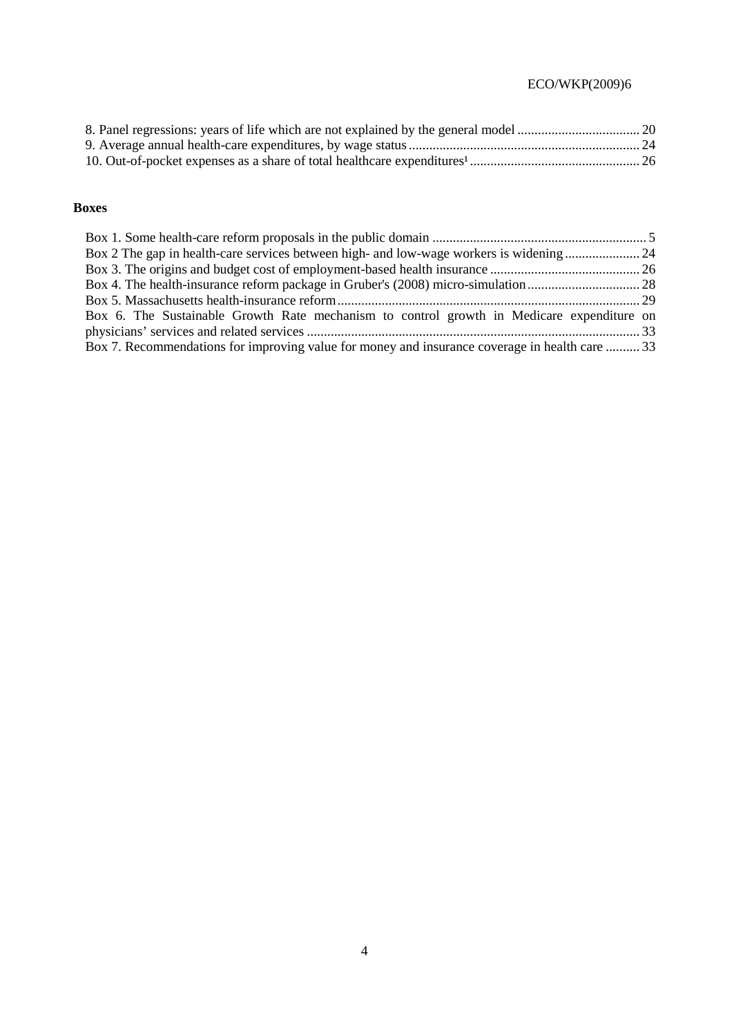## **Boxes**

| Box 6. The Sustainable Growth Rate mechanism to control growth in Medicare expenditure on      |  |
|------------------------------------------------------------------------------------------------|--|
|                                                                                                |  |
| Box 7. Recommendations for improving value for money and insurance coverage in health care  33 |  |
|                                                                                                |  |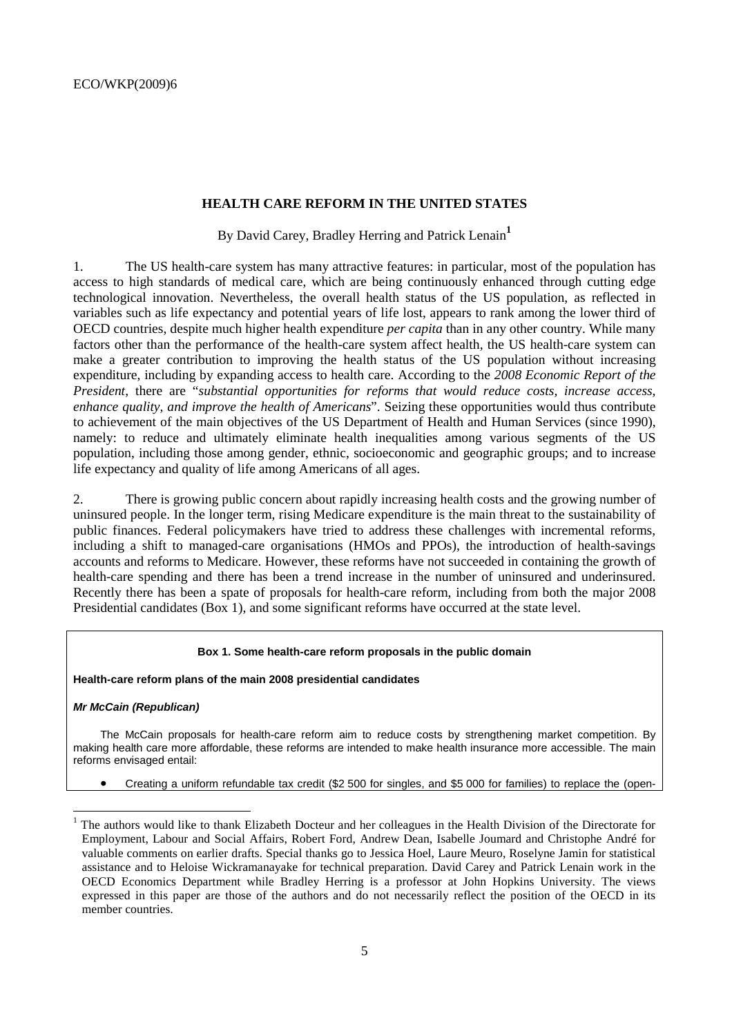## **HEALTH CARE REFORM IN THE UNITED STATES**

By David Carey, Bradley Herring and Patrick Lenain**<sup>1</sup>**

1. The US health-care system has many attractive features: in particular, most of the population has access to high standards of medical care, which are being continuously enhanced through cutting edge technological innovation. Nevertheless, the overall health status of the US population, as reflected in variables such as life expectancy and potential years of life lost, appears to rank among the lower third of OECD countries, despite much higher health expenditure *per capita* than in any other country. While many factors other than the performance of the health-care system affect health, the US health-care system can make a greater contribution to improving the health status of the US population without increasing expenditure, including by expanding access to health care. According to the *2008 Economic Report of the President*, there are "*substantial opportunities for reforms that would reduce costs, increase access, enhance quality, and improve the health of Americans*". Seizing these opportunities would thus contribute to achievement of the main objectives of the US Department of Health and Human Services (since 1990), namely: to reduce and ultimately eliminate health inequalities among various segments of the US population, including those among gender, ethnic, socioeconomic and geographic groups; and to increase life expectancy and quality of life among Americans of all ages.

2. There is growing public concern about rapidly increasing health costs and the growing number of uninsured people. In the longer term, rising Medicare expenditure is the main threat to the sustainability of public finances. Federal policymakers have tried to address these challenges with incremental reforms, including a shift to managed-care organisations (HMOs and PPOs), the introduction of health-savings accounts and reforms to Medicare. However, these reforms have not succeeded in containing the growth of health-care spending and there has been a trend increase in the number of uninsured and underinsured. Recently there has been a spate of proposals for health-care reform, including from both the major 2008 Presidential candidates (Box 1), and some significant reforms have occurred at the state level.

### **Box 1. Some health-care reform proposals in the public domain**

**Health-care reform plans of the main 2008 presidential candidates** 

### *Mr McCain (Republican)*

The McCain proposals for health-care reform aim to reduce costs by strengthening market competition. By making health care more affordable, these reforms are intended to make health insurance more accessible. The main reforms envisaged entail:

• Creating a uniform refundable tax credit (\$2 500 for singles, and \$5 000 for families) to replace the (open-

 $\overline{a}$ 1 The authors would like to thank Elizabeth Docteur and her colleagues in the Health Division of the Directorate for Employment, Labour and Social Affairs, Robert Ford, Andrew Dean, Isabelle Joumard and Christophe André for valuable comments on earlier drafts. Special thanks go to Jessica Hoel, Laure Meuro, Roselyne Jamin for statistical assistance and to Heloise Wickramanayake for technical preparation. David Carey and Patrick Lenain work in the OECD Economics Department while Bradley Herring is a professor at John Hopkins University. The views expressed in this paper are those of the authors and do not necessarily reflect the position of the OECD in its member countries.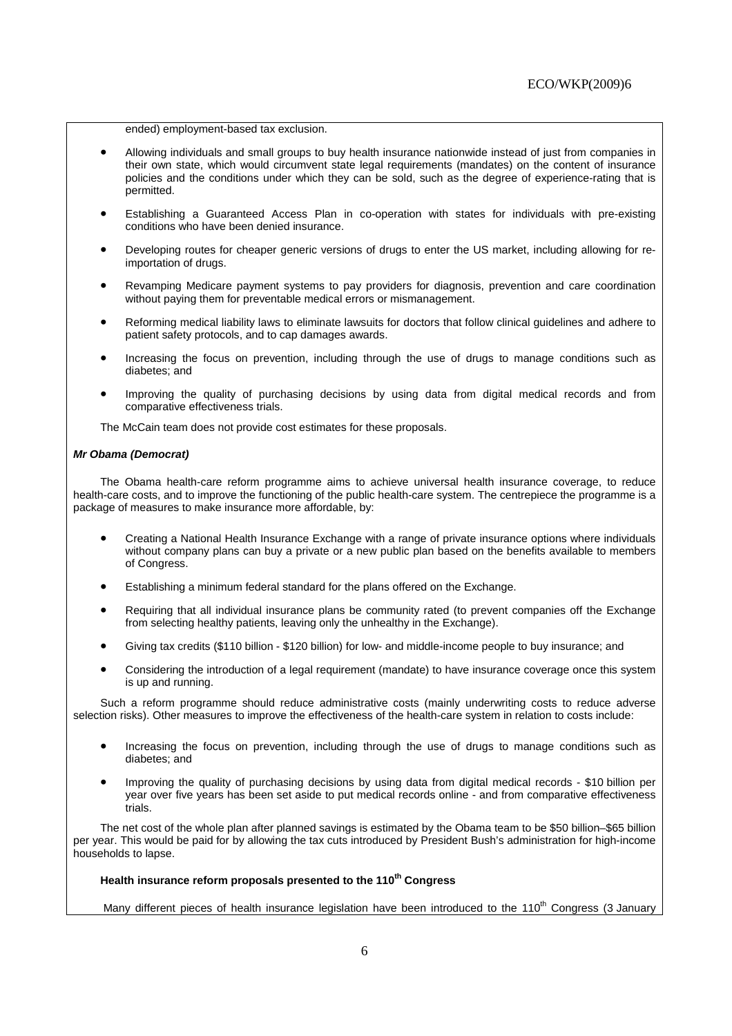ended) employment-based tax exclusion.

- Allowing individuals and small groups to buy health insurance nationwide instead of just from companies in their own state, which would circumvent state legal requirements (mandates) on the content of insurance policies and the conditions under which they can be sold, such as the degree of experience-rating that is permitted.
- Establishing a Guaranteed Access Plan in co-operation with states for individuals with pre-existing conditions who have been denied insurance.
- Developing routes for cheaper generic versions of drugs to enter the US market, including allowing for reimportation of drugs.
- Revamping Medicare payment systems to pay providers for diagnosis, prevention and care coordination without paying them for preventable medical errors or mismanagement.
- Reforming medical liability laws to eliminate lawsuits for doctors that follow clinical guidelines and adhere to patient safety protocols, and to cap damages awards.
- Increasing the focus on prevention, including through the use of drugs to manage conditions such as diabetes; and
- Improving the quality of purchasing decisions by using data from digital medical records and from comparative effectiveness trials.

The McCain team does not provide cost estimates for these proposals.

#### *Mr Obama (Democrat)*

The Obama health-care reform programme aims to achieve universal health insurance coverage, to reduce health-care costs, and to improve the functioning of the public health-care system. The centrepiece the programme is a package of measures to make insurance more affordable, by:

- Creating a National Health Insurance Exchange with a range of private insurance options where individuals without company plans can buy a private or a new public plan based on the benefits available to members of Congress.
- Establishing a minimum federal standard for the plans offered on the Exchange.
- Requiring that all individual insurance plans be community rated (to prevent companies off the Exchange from selecting healthy patients, leaving only the unhealthy in the Exchange).
- Giving tax credits (\$110 billion \$120 billion) for low- and middle-income people to buy insurance; and
- Considering the introduction of a legal requirement (mandate) to have insurance coverage once this system is up and running.

Such a reform programme should reduce administrative costs (mainly underwriting costs to reduce adverse selection risks). Other measures to improve the effectiveness of the health-care system in relation to costs include:

- Increasing the focus on prevention, including through the use of drugs to manage conditions such as diabetes; and
- Improving the quality of purchasing decisions by using data from digital medical records \$10 billion per year over five years has been set aside to put medical records online - and from comparative effectiveness trials.

The net cost of the whole plan after planned savings is estimated by the Obama team to be \$50 billion–\$65 billion per year. This would be paid for by allowing the tax cuts introduced by President Bush's administration for high-income households to lapse.

## **Health insurance reform proposals presented to the 110th Congress**

Many different pieces of health insurance legislation have been introduced to the 110<sup>th</sup> Congress (3 January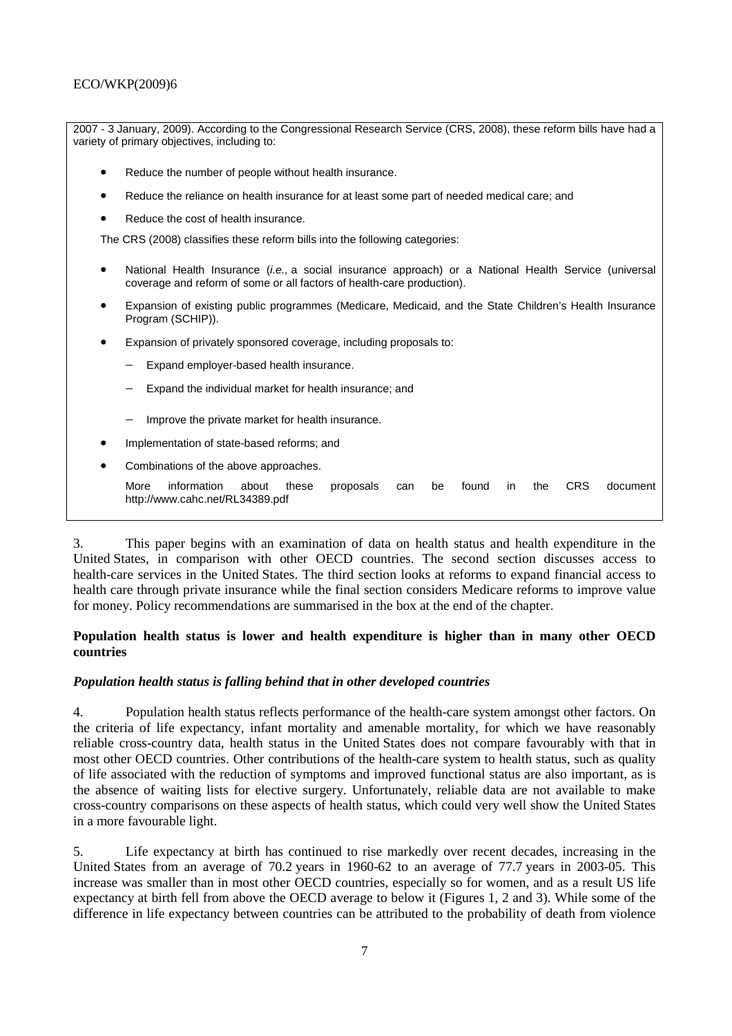2007 - 3 January, 2009). According to the Congressional Research Service (CRS, 2008), these reform bills have had a variety of primary objectives, including to:

- Reduce the number of people without health insurance.
- Reduce the reliance on health insurance for at least some part of needed medical care; and
- Reduce the cost of health insurance.

The CRS (2008) classifies these reform bills into the following categories:

- National Health Insurance (*i.e.,* a social insurance approach) or a National Health Service (universal coverage and reform of some or all factors of health-care production).
- Expansion of existing public programmes (Medicare, Medicaid, and the State Children's Health Insurance Program (SCHIP)).
- Expansion of privately sponsored coverage, including proposals to:
	- Expand employer-based health insurance.
	- Expand the individual market for health insurance; and
	- Improve the private market for health insurance.
- Implementation of state-based reforms; and
- Combinations of the above approaches.

More information about these proposals can be found in the CRS document http://www.cahc.net/RL34389.pdf

3. This paper begins with an examination of data on health status and health expenditure in the United States, in comparison with other OECD countries. The second section discusses access to health-care services in the United States. The third section looks at reforms to expand financial access to health care through private insurance while the final section considers Medicare reforms to improve value for money. Policy recommendations are summarised in the box at the end of the chapter.

## **Population health status is lower and health expenditure is higher than in many other OECD countries**

## *Population health status is falling behind that in other developed countries*

4. Population health status reflects performance of the health-care system amongst other factors. On the criteria of life expectancy, infant mortality and amenable mortality, for which we have reasonably reliable cross-country data, health status in the United States does not compare favourably with that in most other OECD countries. Other contributions of the health-care system to health status, such as quality of life associated with the reduction of symptoms and improved functional status are also important, as is the absence of waiting lists for elective surgery. Unfortunately, reliable data are not available to make cross-country comparisons on these aspects of health status, which could very well show the United States in a more favourable light.

5. Life expectancy at birth has continued to rise markedly over recent decades, increasing in the United States from an average of 70.2 years in 1960-62 to an average of 77.7 years in 2003-05. This increase was smaller than in most other OECD countries, especially so for women, and as a result US life expectancy at birth fell from above the OECD average to below it (Figures 1, 2 and 3). While some of the difference in life expectancy between countries can be attributed to the probability of death from violence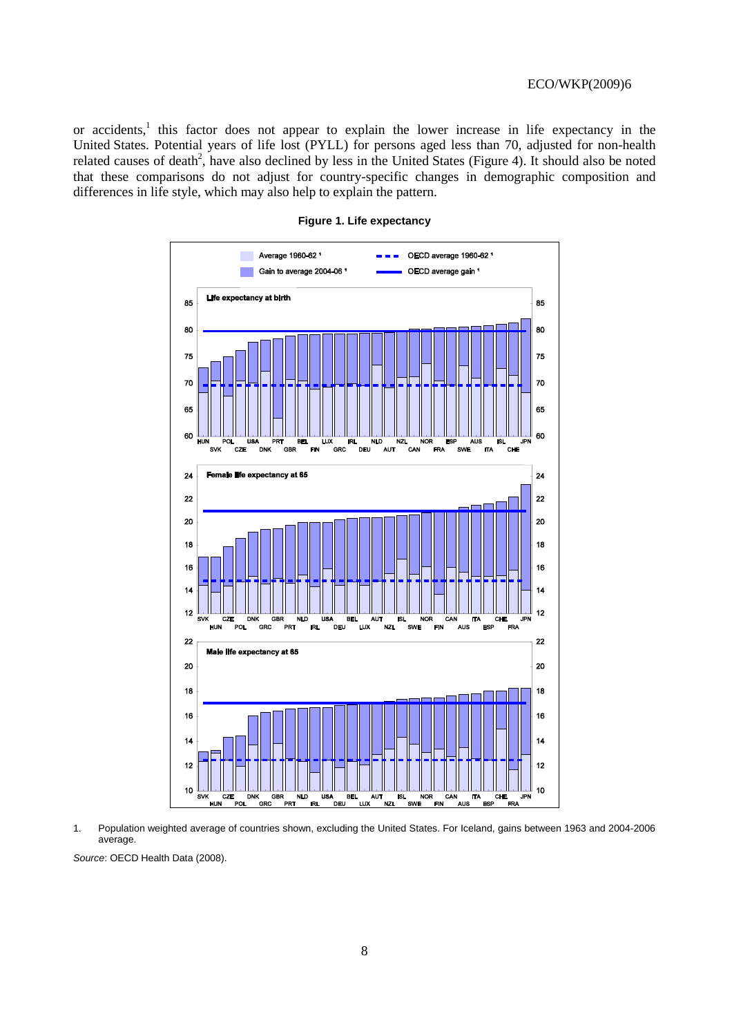or accidents,<sup>1</sup> this factor does not appear to explain the lower increase in life expectancy in the United States. Potential years of life lost (PYLL) for persons aged less than 70, adjusted for non-health related causes of death<sup>2</sup>, have also declined by less in the United States (Figure 4). It should also be noted that these comparisons do not adjust for country-specific changes in demographic composition and differences in life style, which may also help to explain the pattern.



**Figure 1. Life expectancy** 

1. Population weighted average of countries shown, excluding the United States. For Iceland, gains between 1963 and 2004-2006 average.

*Source*: OECD Health Data (2008).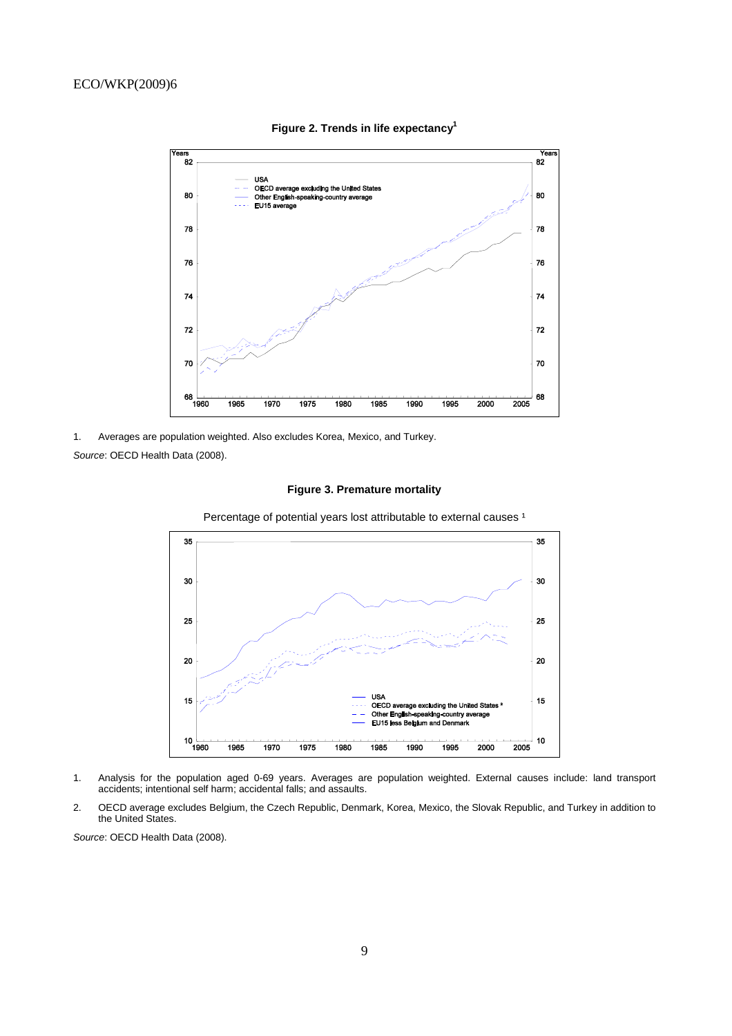

#### **Figure 2. Trends in life expectancy1**

1. Averages are population weighted. Also excludes Korea, Mexico, and Turkey.

*Source*: OECD Health Data (2008).

#### **Figure 3. Premature mortality**





- 1. Analysis for the population aged 0-69 years. Averages are population weighted. External causes include: land transport accidents; intentional self harm; accidental falls; and assaults.
- 2. OECD average excludes Belgium, the Czech Republic, Denmark, Korea, Mexico, the Slovak Republic, and Turkey in addition to the United States.

*Source*: OECD Health Data (2008).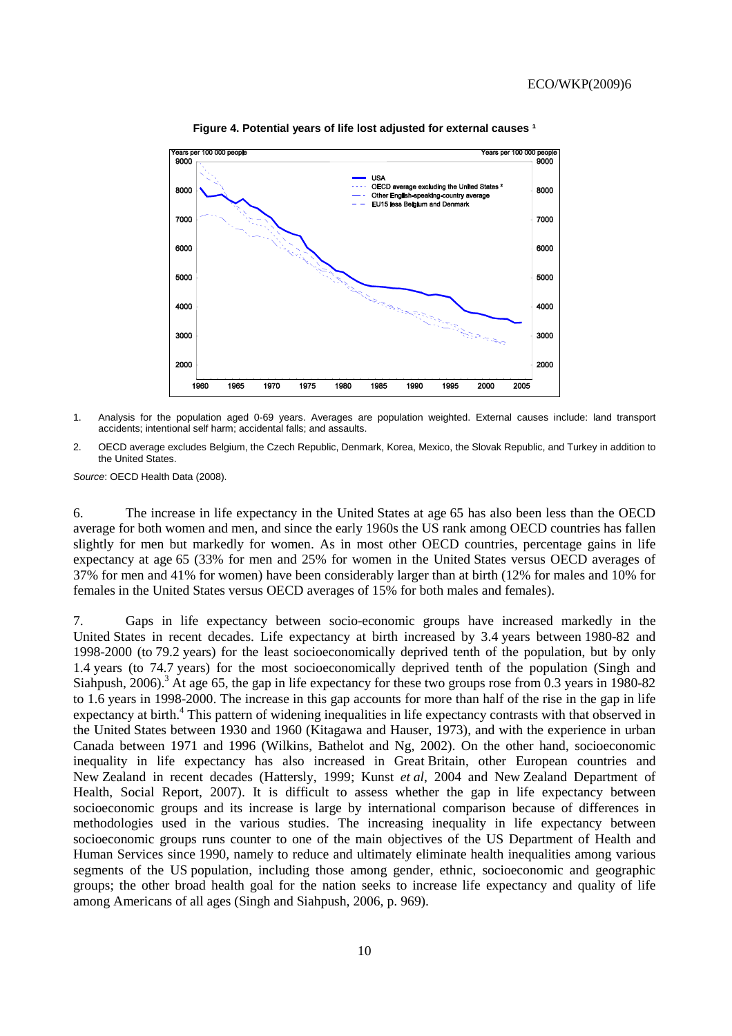

Figure 4. Potential years of life lost adjusted for external causes <sup>1</sup>

- 1. Analysis for the population aged 0-69 years. Averages are population weighted. External causes include: land transport accidents; intentional self harm; accidental falls; and assaults.
- 2. OECD average excludes Belgium, the Czech Republic, Denmark, Korea, Mexico, the Slovak Republic, and Turkey in addition to the United States.

*Source*: OECD Health Data (2008).

6. The increase in life expectancy in the United States at age 65 has also been less than the OECD average for both women and men, and since the early 1960s the US rank among OECD countries has fallen slightly for men but markedly for women. As in most other OECD countries, percentage gains in life expectancy at age 65 (33% for men and 25% for women in the United States versus OECD averages of 37% for men and 41% for women) have been considerably larger than at birth (12% for males and 10% for females in the United States versus OECD averages of 15% for both males and females).

7. Gaps in life expectancy between socio-economic groups have increased markedly in the United States in recent decades. Life expectancy at birth increased by 3.4 years between 1980-82 and 1998-2000 (to 79.2 years) for the least socioeconomically deprived tenth of the population, but by only 1.4 years (to 74.7 years) for the most socioeconomically deprived tenth of the population (Singh and Siahpush, 2006).<sup>3</sup> At age 65, the gap in life expectancy for these two groups rose from  $\overline{0.3}$  years in 1980-82 to 1.6 years in 1998-2000. The increase in this gap accounts for more than half of the rise in the gap in life expectancy at birth.<sup>4</sup> This pattern of widening inequalities in life expectancy contrasts with that observed in the United States between 1930 and 1960 (Kitagawa and Hauser, 1973), and with the experience in urban Canada between 1971 and 1996 (Wilkins, Bathelot and Ng, 2002). On the other hand, socioeconomic inequality in life expectancy has also increased in Great Britain, other European countries and New Zealand in recent decades (Hattersly, 1999; Kunst *et al*, 2004 and New Zealand Department of Health, Social Report, 2007). It is difficult to assess whether the gap in life expectancy between socioeconomic groups and its increase is large by international comparison because of differences in methodologies used in the various studies. The increasing inequality in life expectancy between socioeconomic groups runs counter to one of the main objectives of the US Department of Health and Human Services since 1990, namely to reduce and ultimately eliminate health inequalities among various segments of the US population, including those among gender, ethnic, socioeconomic and geographic groups; the other broad health goal for the nation seeks to increase life expectancy and quality of life among Americans of all ages (Singh and Siahpush, 2006, p. 969).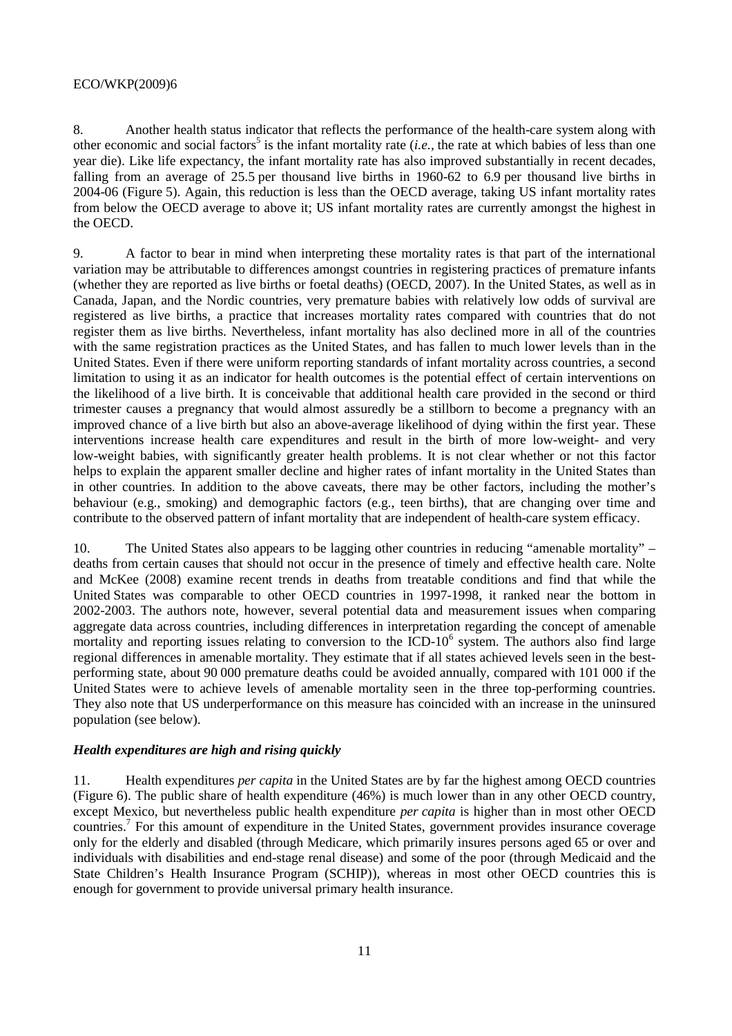8. Another health status indicator that reflects the performance of the health-care system along with other economic and social factors<sup>5</sup> is the infant mortality rate (*i.e.*, the rate at which babies of less than one year die). Like life expectancy, the infant mortality rate has also improved substantially in recent decades, falling from an average of 25.5 per thousand live births in 1960-62 to 6.9 per thousand live births in 2004-06 (Figure 5). Again, this reduction is less than the OECD average, taking US infant mortality rates from below the OECD average to above it; US infant mortality rates are currently amongst the highest in the OECD.

9. A factor to bear in mind when interpreting these mortality rates is that part of the international variation may be attributable to differences amongst countries in registering practices of premature infants (whether they are reported as live births or foetal deaths) (OECD, 2007). In the United States, as well as in Canada, Japan, and the Nordic countries, very premature babies with relatively low odds of survival are registered as live births, a practice that increases mortality rates compared with countries that do not register them as live births. Nevertheless, infant mortality has also declined more in all of the countries with the same registration practices as the United States, and has fallen to much lower levels than in the United States. Even if there were uniform reporting standards of infant mortality across countries, a second limitation to using it as an indicator for health outcomes is the potential effect of certain interventions on the likelihood of a live birth. It is conceivable that additional health care provided in the second or third trimester causes a pregnancy that would almost assuredly be a stillborn to become a pregnancy with an improved chance of a live birth but also an above-average likelihood of dying within the first year. These interventions increase health care expenditures and result in the birth of more low-weight- and very low-weight babies, with significantly greater health problems. It is not clear whether or not this factor helps to explain the apparent smaller decline and higher rates of infant mortality in the United States than in other countries. In addition to the above caveats, there may be other factors, including the mother's behaviour (e.g., smoking) and demographic factors (e.g., teen births), that are changing over time and contribute to the observed pattern of infant mortality that are independent of health-care system efficacy.

10. The United States also appears to be lagging other countries in reducing "amenable mortality" – deaths from certain causes that should not occur in the presence of timely and effective health care. Nolte and McKee (2008) examine recent trends in deaths from treatable conditions and find that while the United States was comparable to other OECD countries in 1997-1998, it ranked near the bottom in 2002-2003. The authors note, however, several potential data and measurement issues when comparing aggregate data across countries, including differences in interpretation regarding the concept of amenable mortality and reporting issues relating to conversion to the ICD-10<sup>6</sup> system. The authors also find large regional differences in amenable mortality. They estimate that if all states achieved levels seen in the bestperforming state, about 90 000 premature deaths could be avoided annually, compared with 101 000 if the United States were to achieve levels of amenable mortality seen in the three top-performing countries. They also note that US underperformance on this measure has coincided with an increase in the uninsured population (see below).

## *Health expenditures are high and rising quickly*

11. Health expenditures *per capita* in the United States are by far the highest among OECD countries (Figure 6). The public share of health expenditure (46%) is much lower than in any other OECD country, except Mexico, but nevertheless public health expenditure *per capita* is higher than in most other OECD countries.<sup>7</sup> For this amount of expenditure in the United States, government provides insurance coverage only for the elderly and disabled (through Medicare, which primarily insures persons aged 65 or over and individuals with disabilities and end-stage renal disease) and some of the poor (through Medicaid and the State Children's Health Insurance Program (SCHIP)), whereas in most other OECD countries this is enough for government to provide universal primary health insurance.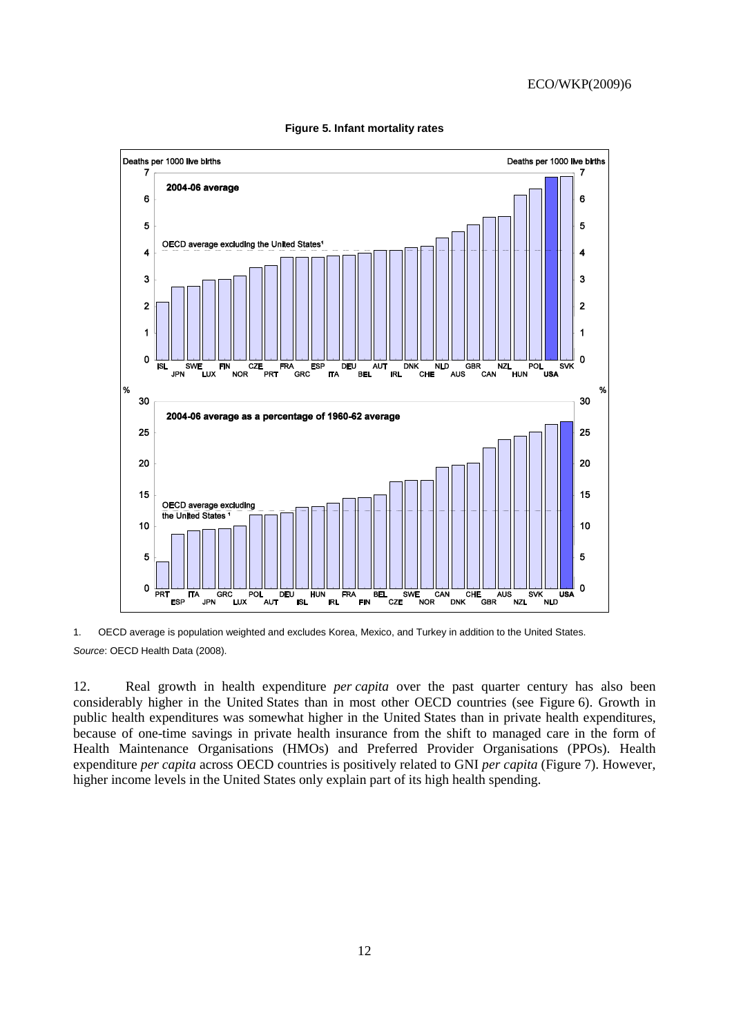

**Figure 5. Infant mortality rates** 

1. OECD average is population weighted and excludes Korea, Mexico, and Turkey in addition to the United States. *Source*: OECD Health Data (2008).

12. Real growth in health expenditure *per capita* over the past quarter century has also been considerably higher in the United States than in most other OECD countries (see Figure 6). Growth in public health expenditures was somewhat higher in the United States than in private health expenditures, because of one-time savings in private health insurance from the shift to managed care in the form of Health Maintenance Organisations (HMOs) and Preferred Provider Organisations (PPOs). Health expenditure *per capita* across OECD countries is positively related to GNI *per capita* (Figure 7). However, higher income levels in the United States only explain part of its high health spending.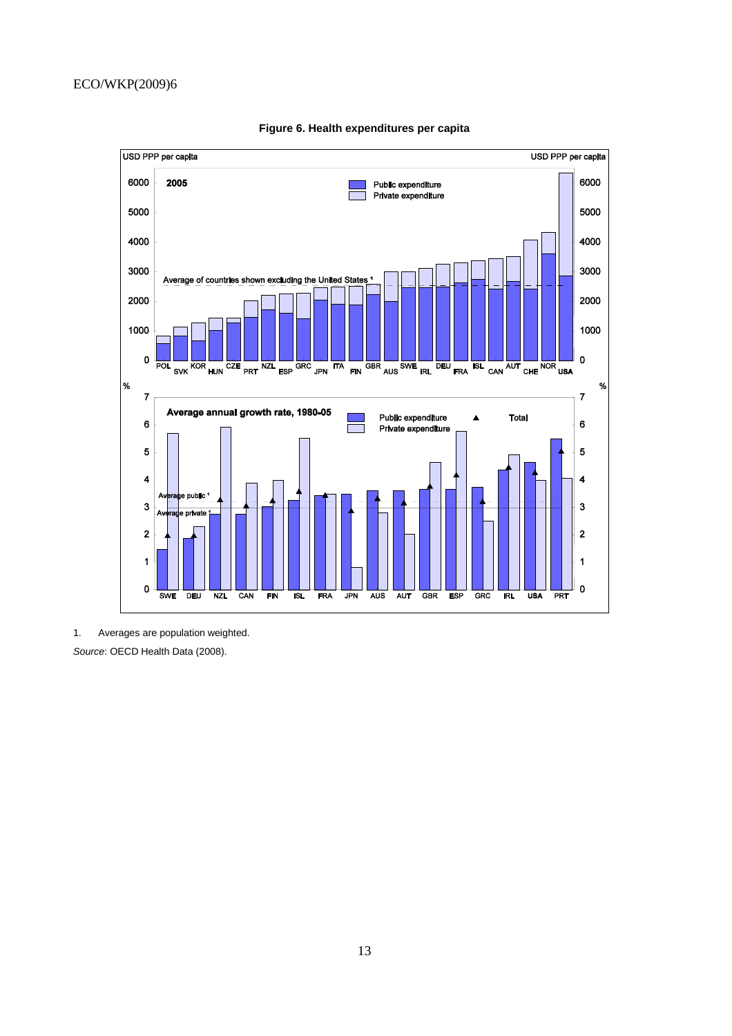

**Figure 6. Health expenditures per capita** 

1. Averages are population weighted.

*Source*: OECD Health Data (2008).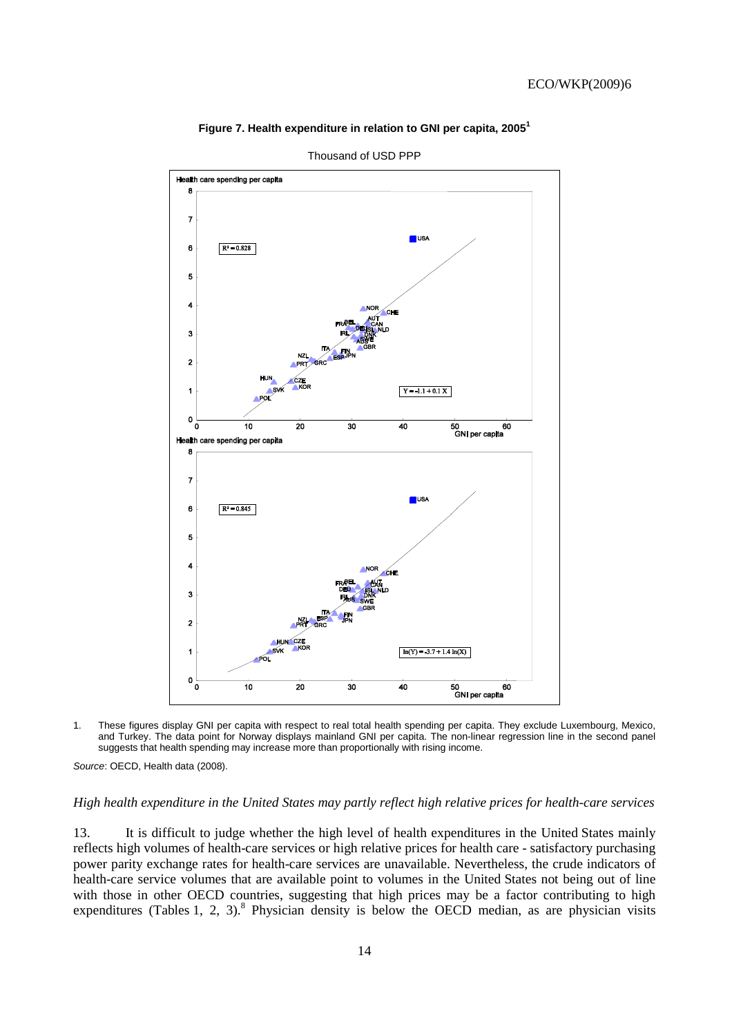



Thousand of USD PPP

1. These figures display GNI per capita with respect to real total health spending per capita. They exclude Luxembourg, Mexico, and Turkey. The data point for Norway displays mainland GNI per capita. The non-linear regression line in the second panel suggests that health spending may increase more than proportionally with rising income.

*Source*: OECD, Health data (2008).

#### *High health expenditure in the United States may partly reflect high relative prices for health-care services*

13. It is difficult to judge whether the high level of health expenditures in the United States mainly reflects high volumes of health-care services or high relative prices for health care - satisfactory purchasing power parity exchange rates for health-care services are unavailable. Nevertheless, the crude indicators of health-care service volumes that are available point to volumes in the United States not being out of line with those in other OECD countries, suggesting that high prices may be a factor contributing to high expenditures (Tables 1, 2, 3).<sup>8</sup> Physician density is below the OECD median, as are physician visits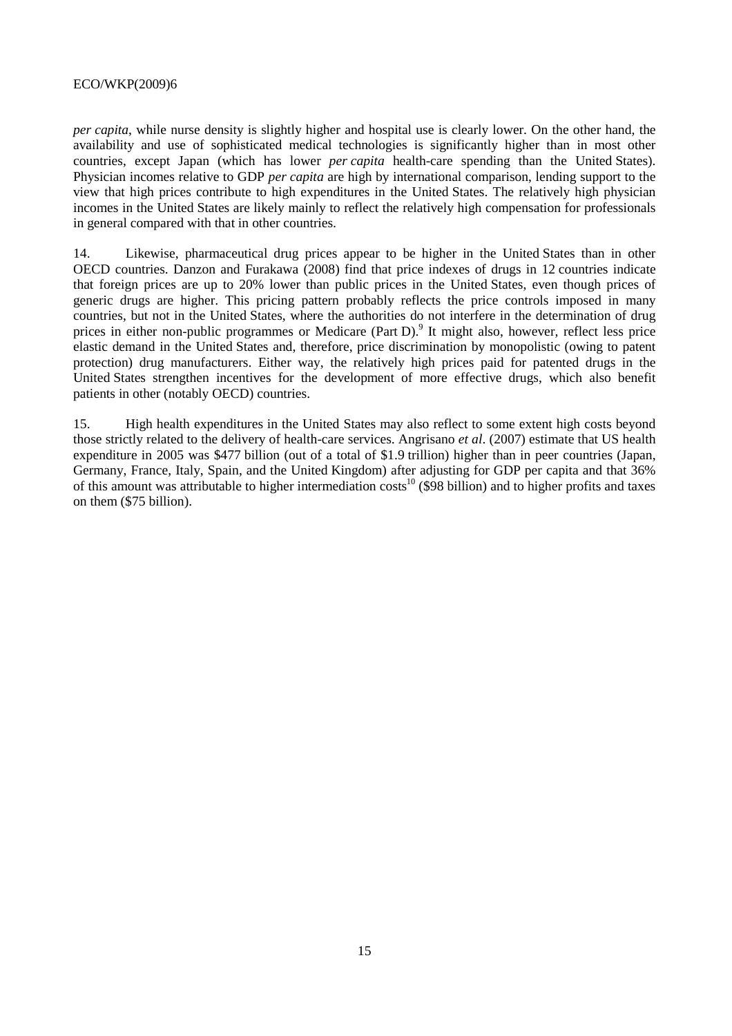*per capita*, while nurse density is slightly higher and hospital use is clearly lower. On the other hand, the availability and use of sophisticated medical technologies is significantly higher than in most other countries, except Japan (which has lower *per capita* health-care spending than the United States). Physician incomes relative to GDP *per capita* are high by international comparison, lending support to the view that high prices contribute to high expenditures in the United States. The relatively high physician incomes in the United States are likely mainly to reflect the relatively high compensation for professionals in general compared with that in other countries.

14. Likewise, pharmaceutical drug prices appear to be higher in the United States than in other OECD countries. Danzon and Furakawa (2008) find that price indexes of drugs in 12 countries indicate that foreign prices are up to 20% lower than public prices in the United States, even though prices of generic drugs are higher. This pricing pattern probably reflects the price controls imposed in many countries, but not in the United States, where the authorities do not interfere in the determination of drug prices in either non-public programmes or Medicare (Part D).<sup>9</sup> It might also, however, reflect less price elastic demand in the United States and, therefore, price discrimination by monopolistic (owing to patent protection) drug manufacturers. Either way, the relatively high prices paid for patented drugs in the United States strengthen incentives for the development of more effective drugs, which also benefit patients in other (notably OECD) countries.

15. High health expenditures in the United States may also reflect to some extent high costs beyond those strictly related to the delivery of health-care services. Angrisano *et al*. (2007) estimate that US health expenditure in 2005 was \$477 billion (out of a total of \$1.9 trillion) higher than in peer countries (Japan, Germany, France, Italy, Spain, and the United Kingdom) after adjusting for GDP per capita and that 36% of this amount was attributable to higher intermediation costs<sup>10</sup> (\$98 billion) and to higher profits and taxes on them (\$75 billion).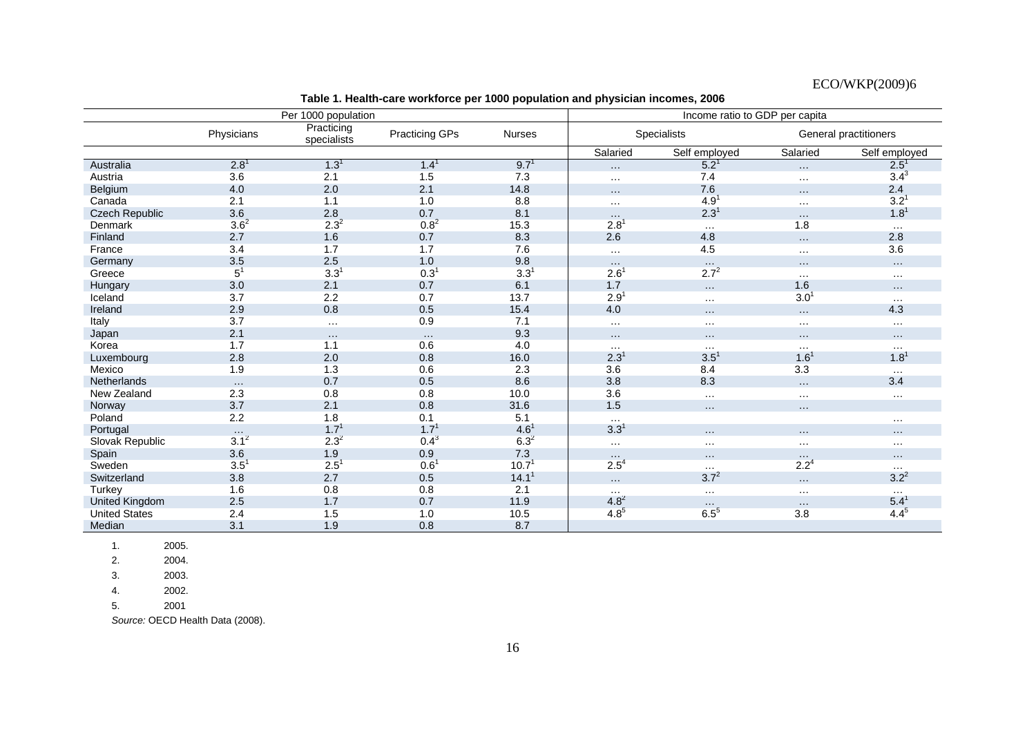|                       | Per 1000 population |                           |                       |                   |                  | Income ratio to GDP per capita |                       |                      |
|-----------------------|---------------------|---------------------------|-----------------------|-------------------|------------------|--------------------------------|-----------------------|----------------------|
|                       | Physicians          | Practicing<br>specialists | <b>Practicing GPs</b> | <b>Nurses</b>     | Specialists      |                                | General practitioners |                      |
|                       |                     |                           |                       |                   | Salaried         | Self employed                  | Salaried              | Self employed        |
| Australia             | 2.8 <sup>1</sup>    | $1.3^{1}$                 | $1.4^{1}$             | $9.7^{1}$         | $\cdots$         | $5.2^{1}$                      | $\cdots$              | $2.5^1$              |
| Austria               | 3.6                 | 2.1                       | 1.5                   | 7.3               | $\cdots$         | 7.4                            | $\cdots$              | $3.4^{3}$            |
| Belgium               | 4.0                 | 2.0                       | 2.1                   | 14.8              | $\cdots$         | 7.6                            | $\ldots$              | 2.4                  |
| Canada                | 2.1                 | 1.1                       | 1.0                   | 8.8               | $\cdots$         | 4.9 <sup>1</sup>               | $\cdots$              | $3.2^{1}$            |
| <b>Czech Republic</b> | 3.6                 | 2.8                       | 0.7                   | 8.1               | $\cdots$         | $2.3^1$                        | $\cdots$              | $1.8^1$              |
| Denmark               | $3.6^2$             | $2.3^{2}$                 | $0.8^2$               | 15.3              | 2.8 <sup>1</sup> | $\cdots$                       | 1.8                   | $\cdots$             |
| Finland               | 2.7                 | 1.6                       | 0.7                   | 8.3               | 2.6              | 4.8                            | $\cdots$              | 2.8                  |
| France                | 3.4                 | 1.7                       | 1.7                   | 7.6               | $\cdots$         | 4.5                            | $\cdots$              | 3.6                  |
| Germany               | 3.5                 | 2.5                       | 1.0                   | 9.8               | $\cdots$         | $\sim$ $\sim$                  | $\cdots$              | $\cdots$             |
| Greece                | 5 <sup>1</sup>      | $3.3^{1}$                 | $0.3^{1}$             | $3.3^{1}$         | 2.6 <sup>1</sup> | $2.7^{2}$                      | $\cdots$              | $\cdots$             |
| Hungary               | 3.0                 | 2.1                       | 0.7                   | 6.1               | 1.7              | $\cdots$                       | 1.6                   | $\cdots$             |
| Iceland               | 3.7                 | 2.2                       | 0.7                   | 13.7              | 2.9 <sup>1</sup> | $\cdots$                       | 3.0                   | $\cdots$             |
| Ireland               | 2.9                 | 0.8                       | 0.5                   | 15.4              | 4.0              | $\cdots$                       | $\cdots$              | 4.3                  |
| Italy                 | 3.7                 | $\cdots$                  | 0.9                   | 7.1               | $\cdots$         | $\cdots$                       | $\cdots$              | $\cdots$             |
| Japan                 | 2.1                 | $\ldots$                  | $\ldots$              | 9.3               | $\cdots$         | $\cdots$                       | $\ldots$              | $\cdots$             |
| Korea                 | 1.7                 | 1.1                       | 0.6                   | 4.0               | $\sim$ $\sim$    | $\cdots$                       | $\cdots$              | $\cdots$             |
| Luxembourg            | 2.8                 | 2.0                       | 0.8                   | 16.0              | $2.3^{1}$        | $3.5^{1}$                      | 1.6 <sup>1</sup>      | 1.8 <sup>1</sup>     |
| Mexico                | 1.9                 | 1.3                       | 0.6                   | 2.3               | 3.6              | 8.4                            | 3.3                   | $\cdots$             |
| Netherlands           | $\ldots$            | 0.7                       | 0.5                   | 8.6               | 3.8              | 8.3                            | $\cdots$              | 3.4                  |
| New Zealand           | 2.3                 | 0.8                       | 0.8                   | 10.0              | 3.6              | $\cdots$                       | $\cdots$              | $\cdots$             |
| Norway                | 3.7                 | 2.1                       | 0.8                   | 31.6              | 1.5              | $\cdots$                       | $\ddotsc$             |                      |
| Poland                | 2.2                 | 1.8                       | 0.1                   | 5.1               | $\cdots$         |                                |                       | $\cdots$             |
| Portugal              | $\cdots$            | 1.7 <sup>1</sup>          | $1.7^{1}$             | 4.6 <sup>1</sup>  | $3.3^{1}$        | $\cdots$                       | $\ddotsc$             | $\cdots$             |
| Slovak Republic       | $3.1^2$             | $2.3^{2}$                 | $0.4^{3}$             | $6.3^{2}$         | $\cdots$         | $\cdots$                       | $\cdots$              | $\cdots$             |
| Spain                 | 3.6                 | 1.9                       | 0.9                   | 7.3               | $\cdots$         | $\cdots$                       | $\cdots$              | $\cdots$             |
| Sweden                | $3.5^{1}$           | $2.5^{1}$                 | $0.6^1$               | 10.7 <sup>1</sup> | $2.5^{4}$        | $\cdots$                       | $2.2^4$               | $\cdots$             |
| Switzerland           | 3.8                 | 2.7                       | 0.5                   | 14.1 <sup>1</sup> | $\cdots$         | $3.7^{2}$                      | $\cdots$              | $3.2^2$              |
| Turkey                | 1.6                 | 0.8                       | 0.8                   | 2.1               | $\cdots$         | $\cdots$                       | $\cdots$              | $\sim$ $\sim$ $\sim$ |
| United Kingdom        | 2.5                 | 1.7                       | 0.7                   | 11.9              | $4.8^{2}$        | $\cdots$                       | $\cdots$              | $5.4^1$              |
| <b>United States</b>  | 2.4                 | 1.5                       | 1.0                   | 10.5              | $4.8^{5}$        | $6.5^{5}$                      | 3.8                   | $4.4^{5}$            |
| Median                | 3.1                 | 1.9                       | 0.8                   | 8.7               |                  |                                |                       |                      |

1. 2005.

2. 2004.

3. 2003.

4. 2002.

5. 2001

*Source:* OECD Health Data (2008).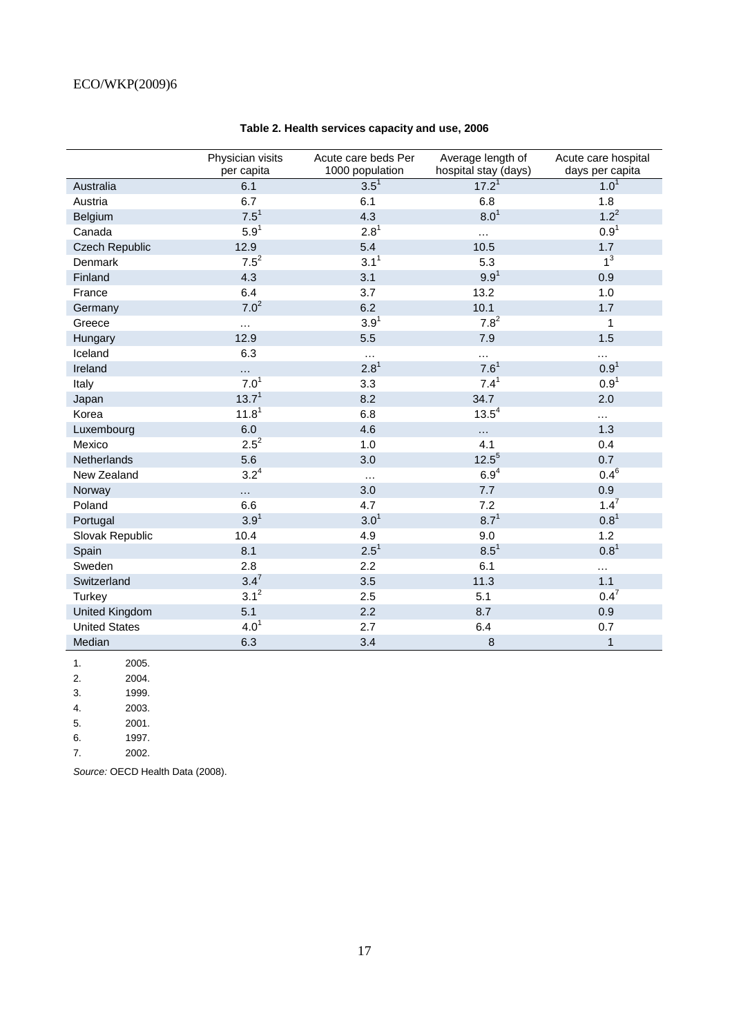| Table 2. Health services capacity and use, 2006 |  |  |  |  |
|-------------------------------------------------|--|--|--|--|
|-------------------------------------------------|--|--|--|--|

|                       | Physician visits<br>per capita | Acute care beds Per<br>1000 population | Average length of<br>hospital stay (days) | Acute care hospital<br>days per capita |
|-----------------------|--------------------------------|----------------------------------------|-------------------------------------------|----------------------------------------|
| Australia             | 6.1                            | $3.5^{1}$                              | 17.2 <sup>1</sup>                         | 1.0 <sup>1</sup>                       |
| Austria               | 6.7                            | 6.1                                    | 6.8                                       | 1.8                                    |
| Belgium               | $7.5^1$                        | 4.3                                    | $8.0^{1}$                                 | $1.2^2$                                |
| Canada                | $5.9^{1}$                      | $2.8^{1}$                              | $\cdots$                                  | $0.9^{1}$                              |
| <b>Czech Republic</b> | 12.9                           | 5.4                                    | 10.5                                      | 1.7                                    |
| Denmark               | $7.5^2$                        | $3.1^{1}$                              | 5.3                                       | 1 <sup>3</sup>                         |
| Finland               | 4.3                            | 3.1                                    | $9.9^{1}$                                 | 0.9                                    |
| France                | 6.4                            | 3.7                                    | 13.2                                      | 1.0                                    |
| Germany               | $7.0^2$                        | 6.2                                    | 10.1                                      | 1.7                                    |
| Greece                | $\ldots$                       | $3.9^{1}$                              | $7.8^2$                                   | $\mathbf{1}$                           |
| Hungary               | 12.9                           | 5.5                                    | 7.9                                       | 1.5                                    |
| Iceland               | 6.3                            | $\cdots$                               | $\ddotsc$                                 |                                        |
| Ireland               | .                              | $2.8^{1}$                              | $7.6^{1}$                                 | $0.9^{1}$                              |
| Italy                 | 7.0 <sup>1</sup>               | 3.3                                    | $7.4^1$                                   | $0.9^{1}$                              |
| Japan                 | $13.7^{1}$                     | 8.2                                    | 34.7                                      | 2.0                                    |
| Korea                 | $11.8^{1}$                     | 6.8                                    | $13.5^{4}$                                | $\cdots$                               |
| Luxembourg            | 6.0                            | 4.6                                    | $\ldots$                                  | 1.3                                    |
| Mexico                | $2.5^{2}$                      | 1.0                                    | 4.1                                       | 0.4                                    |
| Netherlands           | 5.6                            | 3.0                                    | $12.5^{5}$                                | 0.7                                    |
| New Zealand           | $3.2^{4}$                      | $\cdots$                               | $6.9^{4}$                                 | $0.4^6$                                |
| Norway                | Ш.                             | 3.0                                    | 7.7                                       | 0.9                                    |
| Poland                | 6.6                            | 4.7                                    | 7.2                                       | $1.4^7$                                |
| Portugal              | $3.9^{1}$                      | 3.0 <sup>1</sup>                       | $8.7^{1}$                                 | $0.8^{1}$                              |
| Slovak Republic       | 10.4                           | 4.9                                    | 9.0                                       | 1.2                                    |
| Spain                 | 8.1                            | $2.5^1$                                | $8.5^1$                                   | $0.8^{1}$                              |
| Sweden                | 2.8                            | 2.2                                    | 6.1                                       |                                        |
| Switzerland           | $3.4^7$                        | 3.5                                    | 11.3                                      | 1.1                                    |
| Turkey                | $3.1^2$                        | 2.5                                    | 5.1                                       | $0.4^7$                                |
| <b>United Kingdom</b> | 5.1                            | 2.2                                    | 8.7                                       | 0.9                                    |
| <b>United States</b>  | 4.0 <sup>1</sup>               | 2.7                                    | 6.4                                       | 0.7                                    |
| Median                | 6.3                            | 3.4                                    | $\bf 8$                                   | $\mathbf{1}$                           |

1. 2005.

2. 2004.

3. 1999.

4. 2003.

5. 2001.

6. 1997.

7. 2002.

*Source:* OECD Health Data (2008).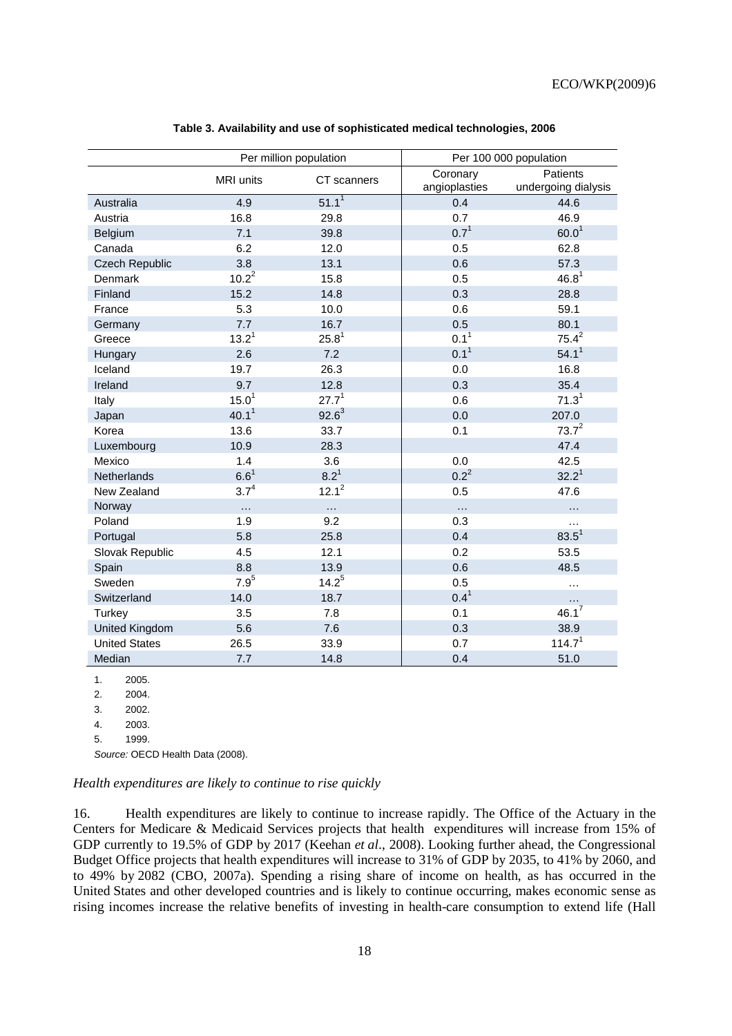|                       |                   | Per million population | Per 100 000 population    |                                 |  |
|-----------------------|-------------------|------------------------|---------------------------|---------------------------------|--|
|                       | <b>MRI</b> units  | CT scanners            | Coronary<br>angioplasties | Patients<br>undergoing dialysis |  |
| Australia             | 4.9               | $51.1^{1}$             | 0.4                       | 44.6                            |  |
| Austria               | 16.8              | 29.8                   | 0.7                       | 46.9                            |  |
| Belgium               | 7.1               | 39.8                   | $0.7^{1}$                 | 60.0 <sup>1</sup>               |  |
| Canada                | 6.2               | 12.0                   | 0.5                       | 62.8                            |  |
| <b>Czech Republic</b> | 3.8               | 13.1                   | 0.6                       | 57.3                            |  |
| Denmark               | $10.2^{2}$        | 15.8                   | 0.5                       | $46.8^{1}$                      |  |
| Finland               | 15.2              | 14.8                   | 0.3                       | 28.8                            |  |
| France                | 5.3               | 10.0                   | 0.6                       | 59.1                            |  |
| Germany               | 7.7               | 16.7                   | 0.5                       | 80.1                            |  |
| Greece                | 13.2 <sup>1</sup> | $25.8^1$               | 0.1 <sup>1</sup>          | $75.4^2$                        |  |
| Hungary               | 2.6               | 7.2                    | 0.1 <sup>1</sup>          | $54.1^1$                        |  |
| Iceland               | 19.7              | 26.3                   | 0.0                       | 16.8                            |  |
| Ireland               | 9.7               | 12.8                   | 0.3                       | 35.4                            |  |
| Italy                 | $15.0^{1}$        | $27.7^{1}$             | 0.6                       | $71.3^{1}$                      |  |
| Japan                 | 40.1 <sup>1</sup> | $92.6^3$               | 0.0                       | 207.0                           |  |
| Korea                 | 13.6              | 33.7                   | 0.1                       | $73.7^2$                        |  |
| Luxembourg            | 10.9              | 28.3                   |                           | 47.4                            |  |
| Mexico                | 1.4               | 3.6                    | 0.0                       | 42.5                            |  |
| Netherlands           | $6.6^{1}$         | $8.2^{1}$              | $0.2^2$                   | $32.2^{1}$                      |  |
| New Zealand           | $3.7^{4}$         | $12.1^2$               | 0.5                       | 47.6                            |  |
| Norway                | $\cdots$          |                        | $\ddotsc$                 | .                               |  |
| Poland                | 1.9               | 9.2                    | 0.3                       | .                               |  |
| Portugal              | 5.8               | 25.8                   | 0.4                       | $83.5^{1}$                      |  |
| Slovak Republic       | 4.5               | 12.1                   | 0.2                       | 53.5                            |  |
| Spain                 | 8.8               | 13.9                   | 0.6                       | 48.5                            |  |
| Sweden                | $7.9^{5}$         | $14.2^{5}$             | 0.5                       | .                               |  |
| Switzerland           | 14.0              | 18.7                   | $0.4^{1}$                 | .                               |  |
| <b>Turkey</b>         | 3.5               | 7.8                    | 0.1                       | $46.1^7$                        |  |
| <b>United Kingdom</b> | 5.6               | 7.6                    | 0.3                       | 38.9                            |  |
| <b>United States</b>  | 26.5              | 33.9                   | 0.7                       | 114.7 <sup>1</sup>              |  |
| Median                | 7.7               | 14.8                   | 0.4                       | 51.0                            |  |

#### **Table 3. Availability and use of sophisticated medical technologies, 2006**

1. 2005.

2. 2004.

3. 2002.

4. 2003.

5. 1999.

*Source:* OECD Health Data (2008).

*Health expenditures are likely to continue to rise quickly* 

16. Health expenditures are likely to continue to increase rapidly. The Office of the Actuary in the Centers for Medicare & Medicaid Services projects that health expenditures will increase from 15% of GDP currently to 19.5% of GDP by 2017 (Keehan *et al*., 2008). Looking further ahead, the Congressional Budget Office projects that health expenditures will increase to 31% of GDP by 2035, to 41% by 2060, and to 49% by 2082 (CBO, 2007a). Spending a rising share of income on health, as has occurred in the United States and other developed countries and is likely to continue occurring, makes economic sense as rising incomes increase the relative benefits of investing in health-care consumption to extend life (Hall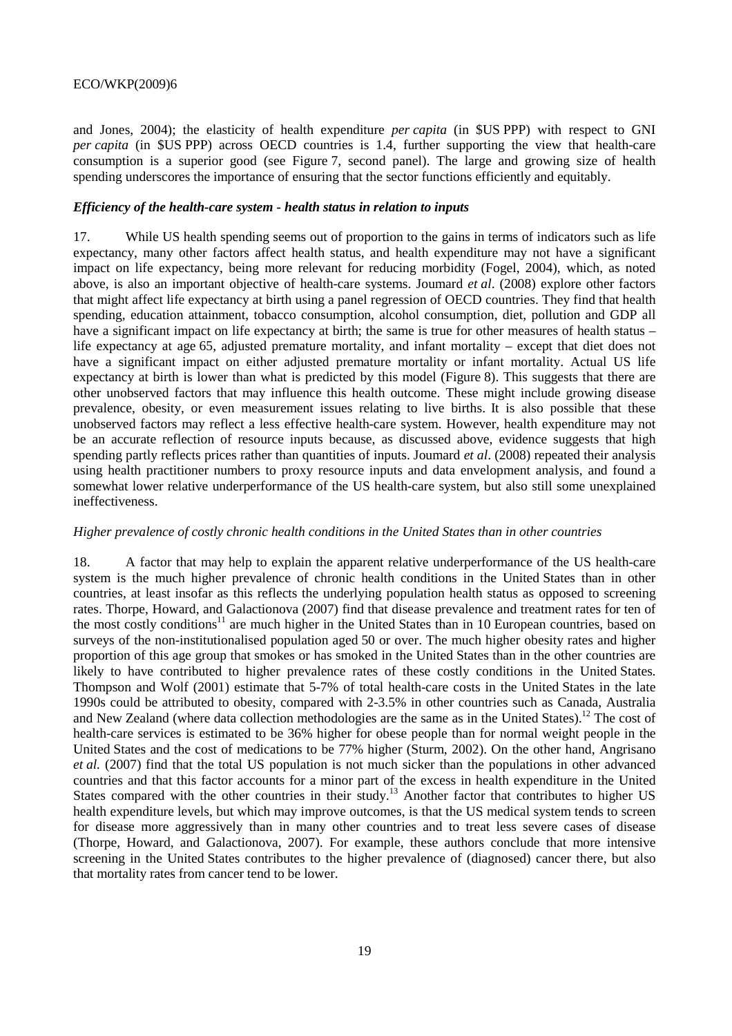and Jones, 2004); the elasticity of health expenditure *per capita* (in \$US PPP) with respect to GNI *per capita* (in \$US PPP) across OECD countries is 1.4, further supporting the view that health-care consumption is a superior good (see Figure 7, second panel). The large and growing size of health spending underscores the importance of ensuring that the sector functions efficiently and equitably.

#### *Efficiency of the health-care system - health status in relation to inputs*

17. While US health spending seems out of proportion to the gains in terms of indicators such as life expectancy, many other factors affect health status, and health expenditure may not have a significant impact on life expectancy, being more relevant for reducing morbidity (Fogel, 2004), which, as noted above, is also an important objective of health-care systems. Joumard *et al*. (2008) explore other factors that might affect life expectancy at birth using a panel regression of OECD countries. They find that health spending, education attainment, tobacco consumption, alcohol consumption, diet, pollution and GDP all have a significant impact on life expectancy at birth; the same is true for other measures of health status – life expectancy at age 65, adjusted premature mortality, and infant mortality – except that diet does not have a significant impact on either adjusted premature mortality or infant mortality. Actual US life expectancy at birth is lower than what is predicted by this model (Figure 8). This suggests that there are other unobserved factors that may influence this health outcome. These might include growing disease prevalence, obesity, or even measurement issues relating to live births. It is also possible that these unobserved factors may reflect a less effective health-care system. However, health expenditure may not be an accurate reflection of resource inputs because, as discussed above, evidence suggests that high spending partly reflects prices rather than quantities of inputs. Joumard *et al*. (2008) repeated their analysis using health practitioner numbers to proxy resource inputs and data envelopment analysis, and found a somewhat lower relative underperformance of the US health-care system, but also still some unexplained ineffectiveness.

## *Higher prevalence of costly chronic health conditions in the United States than in other countries*

18. A factor that may help to explain the apparent relative underperformance of the US health-care system is the much higher prevalence of chronic health conditions in the United States than in other countries, at least insofar as this reflects the underlying population health status as opposed to screening rates. Thorpe, Howard, and Galactionova (2007) find that disease prevalence and treatment rates for ten of the most costly conditions<sup>11</sup> are much higher in the United States than in 10 European countries, based on surveys of the non-institutionalised population aged 50 or over. The much higher obesity rates and higher proportion of this age group that smokes or has smoked in the United States than in the other countries are likely to have contributed to higher prevalence rates of these costly conditions in the United States. Thompson and Wolf (2001) estimate that 5-7% of total health-care costs in the United States in the late 1990s could be attributed to obesity, compared with 2-3.5% in other countries such as Canada, Australia and New Zealand (where data collection methodologies are the same as in the United States).<sup>12</sup> The cost of health-care services is estimated to be 36% higher for obese people than for normal weight people in the United States and the cost of medications to be 77% higher (Sturm, 2002). On the other hand, Angrisano *et al.* (2007) find that the total US population is not much sicker than the populations in other advanced countries and that this factor accounts for a minor part of the excess in health expenditure in the United States compared with the other countries in their study.<sup>13</sup> Another factor that contributes to higher US health expenditure levels, but which may improve outcomes, is that the US medical system tends to screen for disease more aggressively than in many other countries and to treat less severe cases of disease (Thorpe, Howard, and Galactionova, 2007). For example, these authors conclude that more intensive screening in the United States contributes to the higher prevalence of (diagnosed) cancer there, but also that mortality rates from cancer tend to be lower.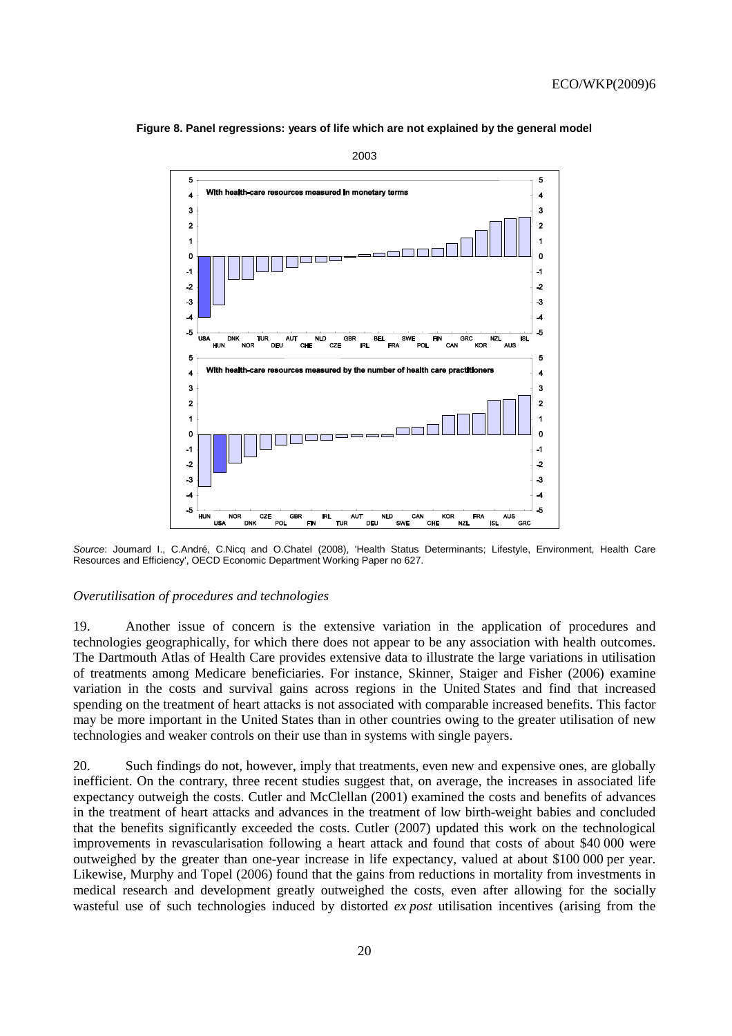



*Source*: Joumard I., C.André, C.Nicq and O.Chatel (2008), 'Health Status Determinants; Lifestyle, Environment, Health Care Resources and Efficiency', OECD Economic Department Working Paper no 627.

#### *Overutilisation of procedures and technologies*

19. Another issue of concern is the extensive variation in the application of procedures and technologies geographically, for which there does not appear to be any association with health outcomes. The Dartmouth Atlas of Health Care provides extensive data to illustrate the large variations in utilisation of treatments among Medicare beneficiaries. For instance, Skinner, Staiger and Fisher (2006) examine variation in the costs and survival gains across regions in the United States and find that increased spending on the treatment of heart attacks is not associated with comparable increased benefits. This factor may be more important in the United States than in other countries owing to the greater utilisation of new technologies and weaker controls on their use than in systems with single payers.

20. Such findings do not, however, imply that treatments, even new and expensive ones, are globally inefficient. On the contrary, three recent studies suggest that, on average, the increases in associated life expectancy outweigh the costs. Cutler and McClellan (2001) examined the costs and benefits of advances in the treatment of heart attacks and advances in the treatment of low birth-weight babies and concluded that the benefits significantly exceeded the costs. Cutler (2007) updated this work on the technological improvements in revascularisation following a heart attack and found that costs of about \$40 000 were outweighed by the greater than one-year increase in life expectancy, valued at about \$100 000 per year. Likewise, Murphy and Topel (2006) found that the gains from reductions in mortality from investments in medical research and development greatly outweighed the costs, even after allowing for the socially wasteful use of such technologies induced by distorted *ex post* utilisation incentives (arising from the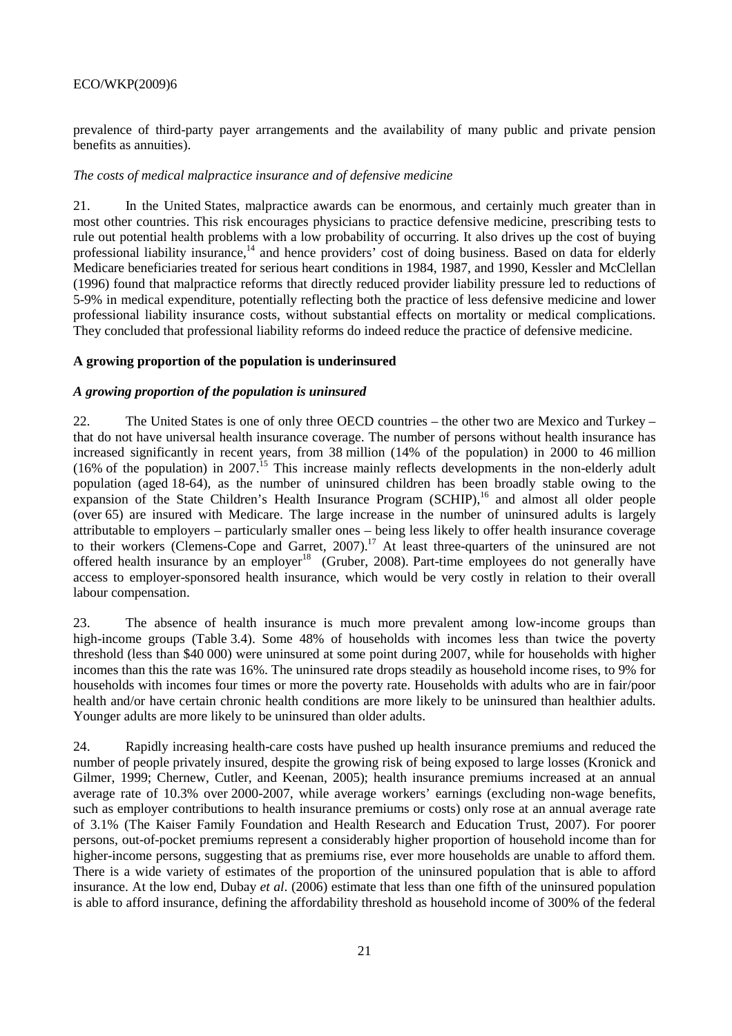prevalence of third-party payer arrangements and the availability of many public and private pension benefits as annuities).

## *The costs of medical malpractice insurance and of defensive medicine*

21. In the United States, malpractice awards can be enormous, and certainly much greater than in most other countries. This risk encourages physicians to practice defensive medicine, prescribing tests to rule out potential health problems with a low probability of occurring. It also drives up the cost of buying professional liability insurance,<sup>14</sup> and hence providers' cost of doing business. Based on data for elderly Medicare beneficiaries treated for serious heart conditions in 1984, 1987, and 1990, Kessler and McClellan (1996) found that malpractice reforms that directly reduced provider liability pressure led to reductions of 5-9% in medical expenditure, potentially reflecting both the practice of less defensive medicine and lower professional liability insurance costs, without substantial effects on mortality or medical complications. They concluded that professional liability reforms do indeed reduce the practice of defensive medicine.

## **A growing proportion of the population is underinsured**

### *A growing proportion of the population is uninsured*

22. The United States is one of only three OECD countries – the other two are Mexico and Turkey – that do not have universal health insurance coverage. The number of persons without health insurance has increased significantly in recent years, from 38 million (14% of the population) in 2000 to 46 million  $(16\% \text{ of the population})$  in 2007.<sup>15</sup> This increase mainly reflects developments in the non-elderly adult population (aged 18-64), as the number of uninsured children has been broadly stable owing to the expansion of the State Children's Health Insurance Program  $(SCHIP)$ , <sup>16</sup> and almost all older people (over 65) are insured with Medicare. The large increase in the number of uninsured adults is largely attributable to employers – particularly smaller ones – being less likely to offer health insurance coverage to their workers (Clemens-Cope and Garret, 2007).<sup>17</sup> At least three-quarters of the uninsured are not offered health insurance by an employer<sup>18</sup> (Gruber, 2008). Part-time employees do not generally have access to employer-sponsored health insurance, which would be very costly in relation to their overall labour compensation.

23. The absence of health insurance is much more prevalent among low-income groups than high-income groups (Table 3.4). Some 48% of households with incomes less than twice the poverty threshold (less than \$40 000) were uninsured at some point during 2007, while for households with higher incomes than this the rate was 16%. The uninsured rate drops steadily as household income rises, to 9% for households with incomes four times or more the poverty rate. Households with adults who are in fair/poor health and/or have certain chronic health conditions are more likely to be uninsured than healthier adults. Younger adults are more likely to be uninsured than older adults.

24. Rapidly increasing health-care costs have pushed up health insurance premiums and reduced the number of people privately insured, despite the growing risk of being exposed to large losses (Kronick and Gilmer, 1999; Chernew, Cutler, and Keenan, 2005); health insurance premiums increased at an annual average rate of 10.3% over 2000-2007, while average workers' earnings (excluding non-wage benefits, such as employer contributions to health insurance premiums or costs) only rose at an annual average rate of 3.1% (The Kaiser Family Foundation and Health Research and Education Trust, 2007). For poorer persons, out-of-pocket premiums represent a considerably higher proportion of household income than for higher-income persons, suggesting that as premiums rise, ever more households are unable to afford them. There is a wide variety of estimates of the proportion of the uninsured population that is able to afford insurance. At the low end, Dubay *et al*. (2006) estimate that less than one fifth of the uninsured population is able to afford insurance, defining the affordability threshold as household income of 300% of the federal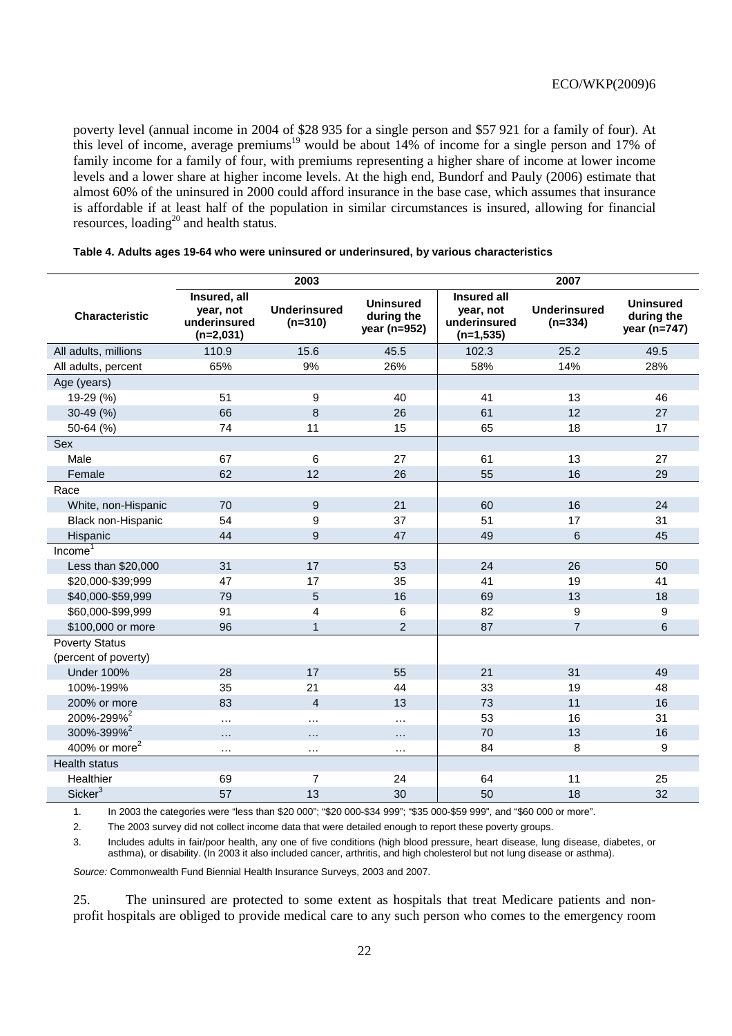poverty level (annual income in 2004 of \$28 935 for a single person and \$57 921 for a family of four). At this level of income, average premiums<sup>19</sup> would be about 14% of income for a single person and 17% of family income for a family of four, with premiums representing a higher share of income at lower income levels and a lower share at higher income levels. At the high end, Bundorf and Pauly (2006) estimate that almost 60% of the uninsured in 2000 could afford insurance in the base case, which assumes that insurance is affordable if at least half of the population in similar circumstances is insured, allowing for financial resources, loading<sup>20</sup> and health status.

|                                               |                                                          | 2003                             |                                                | 2007                                                           |                                  |                                                |  |
|-----------------------------------------------|----------------------------------------------------------|----------------------------------|------------------------------------------------|----------------------------------------------------------------|----------------------------------|------------------------------------------------|--|
| <b>Characteristic</b>                         | Insured, all<br>year, not<br>underinsured<br>$(n=2,031)$ | <b>Underinsured</b><br>$(n=310)$ | <b>Uninsured</b><br>during the<br>year (n=952) | <b>Insured all</b><br>year, not<br>underinsured<br>$(n=1,535)$ | <b>Underinsured</b><br>$(n=334)$ | <b>Uninsured</b><br>during the<br>year (n=747) |  |
| All adults, millions                          | 110.9                                                    | 15.6                             | 45.5                                           | 102.3                                                          | 25.2                             | 49.5                                           |  |
| All adults, percent                           | 65%                                                      | 9%                               | 26%                                            | 58%                                                            | 14%                              | 28%                                            |  |
| Age (years)                                   |                                                          |                                  |                                                |                                                                |                                  |                                                |  |
| 19-29 (%)                                     | 51                                                       | 9                                | 40                                             | 41                                                             | 13                               | 46                                             |  |
| 30-49 (%)                                     | 66                                                       | 8                                | 26                                             | 61                                                             | 12                               | 27                                             |  |
| 50-64 (%)                                     | 74                                                       | 11                               | 15                                             | 65                                                             | 18                               | 17                                             |  |
| Sex                                           |                                                          |                                  |                                                |                                                                |                                  |                                                |  |
| Male                                          | 67                                                       | 6                                | 27                                             | 61                                                             | 13                               | 27                                             |  |
| Female                                        | 62                                                       | 12                               | 26                                             | 55                                                             | 16                               | 29                                             |  |
| Race                                          |                                                          |                                  |                                                |                                                                |                                  |                                                |  |
| White, non-Hispanic                           | 70                                                       | 9                                | 21                                             | 60                                                             | 16                               | 24                                             |  |
| Black non-Hispanic                            | 54                                                       | 9                                | 37                                             | 51                                                             | 17                               | 31                                             |  |
| Hispanic                                      | 44                                                       | $\mathsf g$                      | 47                                             | 49                                                             | $6\phantom{1}6$                  | 45                                             |  |
| Income <sup>1</sup>                           |                                                          |                                  |                                                |                                                                |                                  |                                                |  |
| Less than \$20,000                            | 31                                                       | 17                               | 53                                             | 24                                                             | 26                               | 50                                             |  |
| \$20,000-\$39;999                             | 47                                                       | 17                               | 35                                             | 41                                                             | 19                               | 41                                             |  |
| \$40,000-\$59,999                             | 79                                                       | 5                                | 16                                             | 69                                                             | 13                               | 18                                             |  |
| \$60,000-\$99,999                             | 91                                                       | 4                                | 6                                              | 82                                                             | 9                                | $\boldsymbol{9}$                               |  |
| \$100,000 or more                             | 96                                                       | $\mathbf{1}$                     | $\overline{2}$                                 | 87                                                             | $\overline{7}$                   | 6                                              |  |
| <b>Poverty Status</b><br>(percent of poverty) |                                                          |                                  |                                                |                                                                |                                  |                                                |  |
| <b>Under 100%</b>                             | 28                                                       | 17                               | 55                                             | 21                                                             | 31                               | 49                                             |  |
| 100%-199%                                     | 35                                                       | 21                               | 44                                             | 33                                                             | 19                               | 48                                             |  |
| 200% or more                                  | 83                                                       | $\overline{4}$                   | 13                                             | 73                                                             | 11                               | 16                                             |  |
| 200%-299% <sup>2</sup>                        | $\cdots$                                                 | $\cdots$                         | $\cdots$                                       | 53                                                             | 16                               | 31                                             |  |
| 300%-399% <sup>2</sup>                        | .                                                        | .                                | .                                              | 70                                                             | 13                               | 16                                             |  |
| 400% or more $2$                              | $\cdots$                                                 |                                  |                                                | 84                                                             | 8                                | $\boldsymbol{9}$                               |  |
| <b>Health status</b>                          |                                                          |                                  |                                                |                                                                |                                  |                                                |  |
| Healthier                                     | 69                                                       | $\overline{7}$                   | 24                                             | 64                                                             | 11                               | 25                                             |  |
| Sicker <sup>3</sup>                           | 57                                                       | 13                               | 30                                             | 50                                                             | 18                               | 32                                             |  |

#### **Table 4. Adults ages 19-64 who were uninsured or underinsured, by various characteristics**

1. In 2003 the categories were "less than \$20 000"; "\$20 000-\$34 999"; "\$35 000-\$59 999", and "\$60 000 or more".

2. The 2003 survey did not collect income data that were detailed enough to report these poverty groups.

3. Includes adults in fair/poor health, any one of five conditions (high blood pressure, heart disease, lung disease, diabetes, or asthma), or disability. (In 2003 it also included cancer, arthritis, and high cholesterol but not lung disease or asthma).

*Source:* Commonwealth Fund Biennial Health Insurance Surveys, 2003 and 2007.

25. The uninsured are protected to some extent as hospitals that treat Medicare patients and nonprofit hospitals are obliged to provide medical care to any such person who comes to the emergency room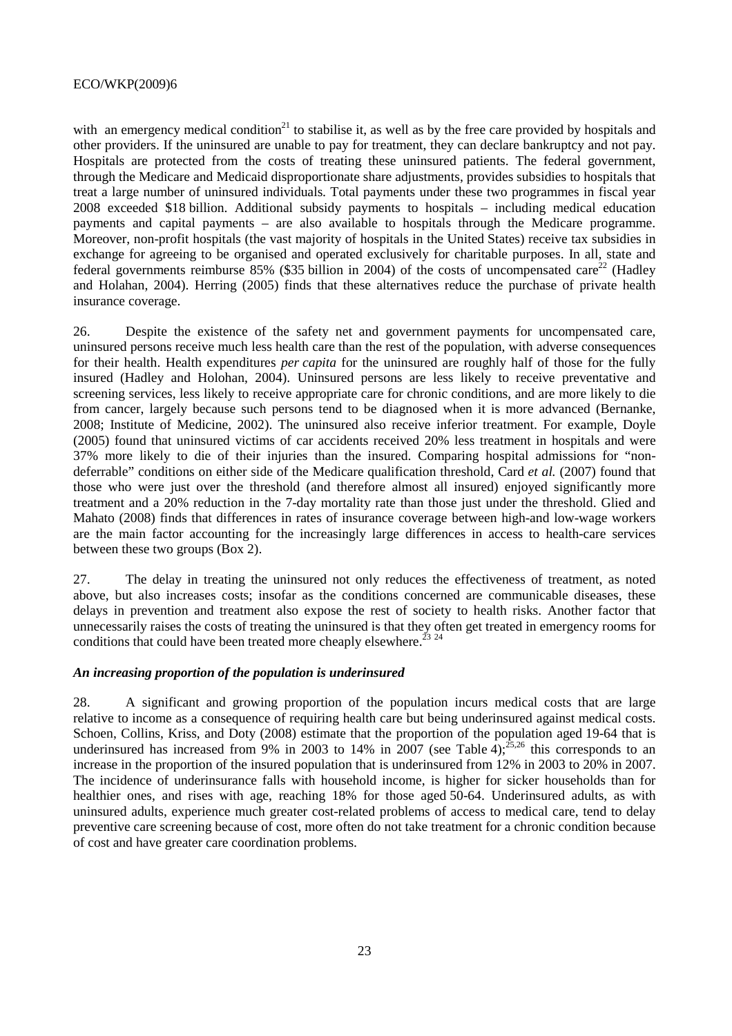with an emergency medical condition<sup>21</sup> to stabilise it, as well as by the free care provided by hospitals and other providers. If the uninsured are unable to pay for treatment, they can declare bankruptcy and not pay. Hospitals are protected from the costs of treating these uninsured patients. The federal government, through the Medicare and Medicaid disproportionate share adjustments, provides subsidies to hospitals that treat a large number of uninsured individuals. Total payments under these two programmes in fiscal year 2008 exceeded \$18 billion. Additional subsidy payments to hospitals – including medical education payments and capital payments – are also available to hospitals through the Medicare programme. Moreover, non-profit hospitals (the vast majority of hospitals in the United States) receive tax subsidies in exchange for agreeing to be organised and operated exclusively for charitable purposes. In all, state and federal governments reimburse 85% (\$35 billion in 2004) of the costs of uncompensated care<sup>22</sup> (Hadley and Holahan, 2004). Herring (2005) finds that these alternatives reduce the purchase of private health insurance coverage.

26. Despite the existence of the safety net and government payments for uncompensated care, uninsured persons receive much less health care than the rest of the population, with adverse consequences for their health. Health expenditures *per capita* for the uninsured are roughly half of those for the fully insured (Hadley and Holohan, 2004). Uninsured persons are less likely to receive preventative and screening services, less likely to receive appropriate care for chronic conditions, and are more likely to die from cancer, largely because such persons tend to be diagnosed when it is more advanced (Bernanke, 2008; Institute of Medicine, 2002). The uninsured also receive inferior treatment. For example, Doyle (2005) found that uninsured victims of car accidents received 20% less treatment in hospitals and were 37% more likely to die of their injuries than the insured. Comparing hospital admissions for "nondeferrable" conditions on either side of the Medicare qualification threshold, Card *et al.* (2007) found that those who were just over the threshold (and therefore almost all insured) enjoyed significantly more treatment and a 20% reduction in the 7-day mortality rate than those just under the threshold. Glied and Mahato (2008) finds that differences in rates of insurance coverage between high-and low-wage workers are the main factor accounting for the increasingly large differences in access to health-care services between these two groups (Box 2).

27. The delay in treating the uninsured not only reduces the effectiveness of treatment, as noted above, but also increases costs; insofar as the conditions concerned are communicable diseases, these delays in prevention and treatment also expose the rest of society to health risks. Another factor that unnecessarily raises the costs of treating the uninsured is that they often get treated in emergency rooms for conditions that could have been treated more cheaply elsewhere.<sup>23 24</sup>

## *An increasing proportion of the population is underinsured*

28. A significant and growing proportion of the population incurs medical costs that are large relative to income as a consequence of requiring health care but being underinsured against medical costs. Schoen, Collins, Kriss, and Doty (2008) estimate that the proportion of the population aged 19-64 that is underinsured has increased from 9% in 2003 to 14% in  $2007$  (see Table 4);<sup>25,26</sup> this corresponds to an increase in the proportion of the insured population that is underinsured from 12% in 2003 to 20% in 2007. The incidence of underinsurance falls with household income, is higher for sicker households than for healthier ones, and rises with age, reaching 18% for those aged 50-64. Underinsured adults, as with uninsured adults, experience much greater cost-related problems of access to medical care, tend to delay preventive care screening because of cost, more often do not take treatment for a chronic condition because of cost and have greater care coordination problems.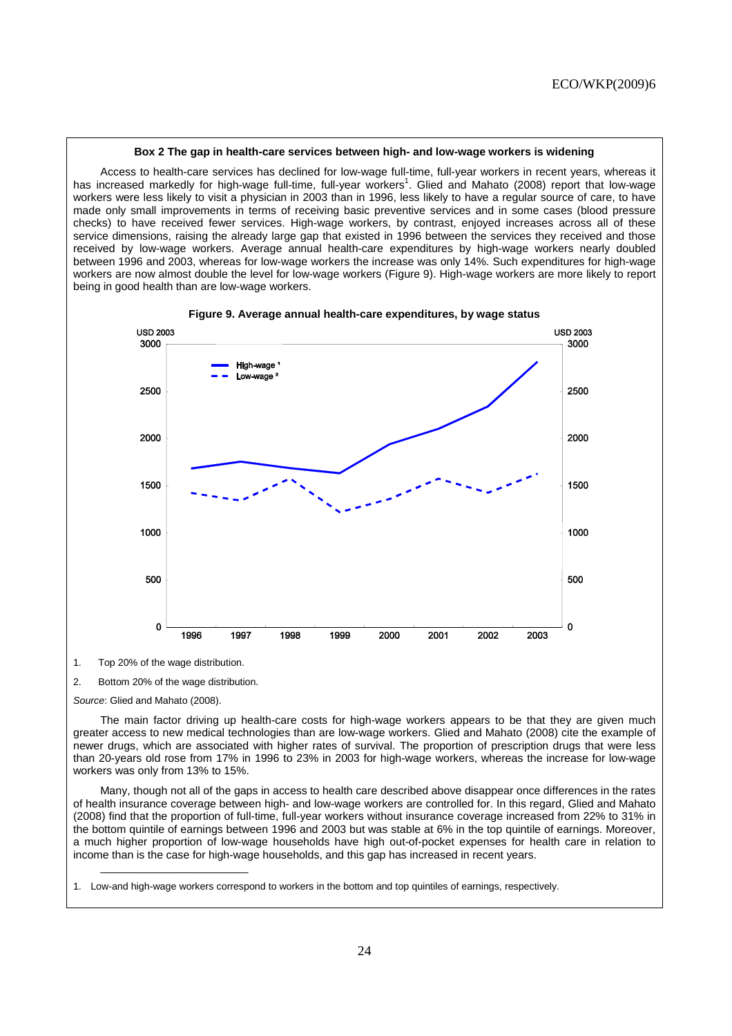#### **Box 2 The gap in health-care services between high- and low-wage workers is widening**

Access to health-care services has declined for low-wage full-time, full-year workers in recent years, whereas it has increased markedly for high-wage full-time, full-year workers<sup>1</sup>. Glied and Mahato (2008) report that low-wage workers were less likely to visit a physician in 2003 than in 1996, less likely to have a regular source of care, to have made only small improvements in terms of receiving basic preventive services and in some cases (blood pressure checks) to have received fewer services. High-wage workers, by contrast, enjoyed increases across all of these service dimensions, raising the already large gap that existed in 1996 between the services they received and those received by low-wage workers. Average annual health-care expenditures by high-wage workers nearly doubled between 1996 and 2003, whereas for low-wage workers the increase was only 14%. Such expenditures for high-wage workers are now almost double the level for low-wage workers (Figure 9). High-wage workers are more likely to report being in good health than are low-wage workers.



1. Top 20% of the wage distribution.

2. Bottom 20% of the wage distribution.

\_\_\_\_\_\_\_\_\_\_\_\_\_\_\_\_\_\_\_\_\_\_\_\_

*Source*: Glied and Mahato (2008).

The main factor driving up health-care costs for high-wage workers appears to be that they are given much greater access to new medical technologies than are low-wage workers. Glied and Mahato (2008) cite the example of newer drugs, which are associated with higher rates of survival. The proportion of prescription drugs that were less than 20-years old rose from 17% in 1996 to 23% in 2003 for high-wage workers, whereas the increase for low-wage workers was only from 13% to 15%.

Many, though not all of the gaps in access to health care described above disappear once differences in the rates of health insurance coverage between high- and low-wage workers are controlled for. In this regard, Glied and Mahato (2008) find that the proportion of full-time, full-year workers without insurance coverage increased from 22% to 31% in the bottom quintile of earnings between 1996 and 2003 but was stable at 6% in the top quintile of earnings. Moreover, a much higher proportion of low-wage households have high out-of-pocket expenses for health care in relation to income than is the case for high-wage households, and this gap has increased in recent years.

1. Low-and high-wage workers correspond to workers in the bottom and top quintiles of earnings, respectively.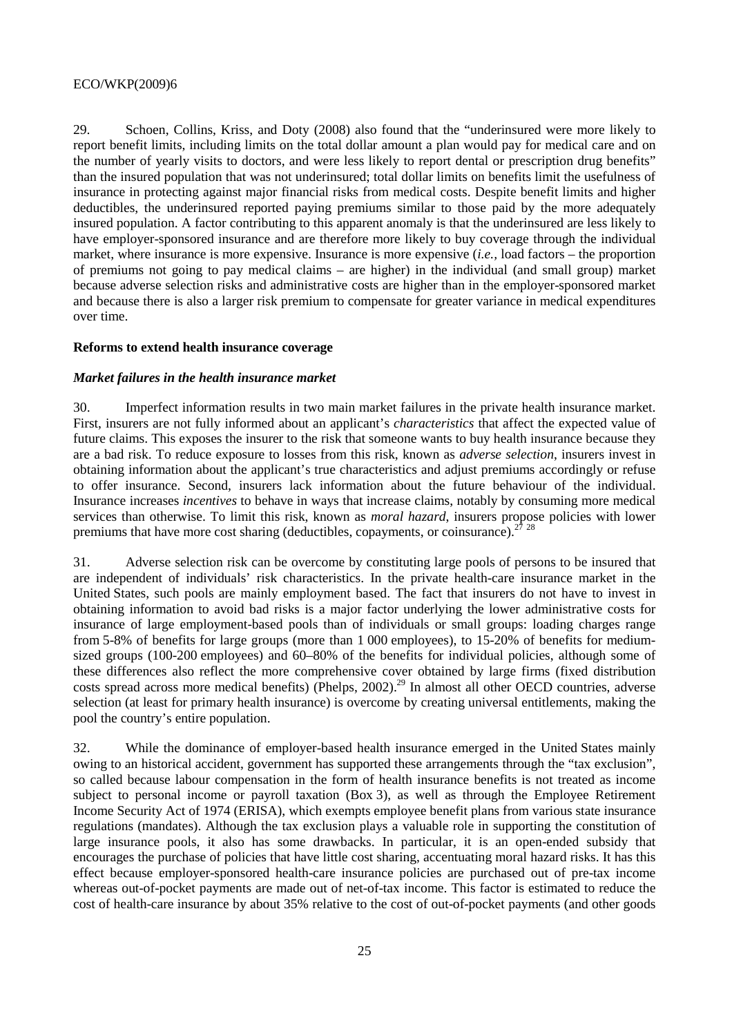29. Schoen, Collins, Kriss, and Doty (2008) also found that the "underinsured were more likely to report benefit limits, including limits on the total dollar amount a plan would pay for medical care and on the number of yearly visits to doctors, and were less likely to report dental or prescription drug benefits" than the insured population that was not underinsured; total dollar limits on benefits limit the usefulness of insurance in protecting against major financial risks from medical costs. Despite benefit limits and higher deductibles, the underinsured reported paying premiums similar to those paid by the more adequately insured population. A factor contributing to this apparent anomaly is that the underinsured are less likely to have employer-sponsored insurance and are therefore more likely to buy coverage through the individual market, where insurance is more expensive. Insurance is more expensive (*i.e.,* load factors – the proportion of premiums not going to pay medical claims – are higher) in the individual (and small group) market because adverse selection risks and administrative costs are higher than in the employer-sponsored market and because there is also a larger risk premium to compensate for greater variance in medical expenditures over time.

## **Reforms to extend health insurance coverage**

## *Market failures in the health insurance market*

30. Imperfect information results in two main market failures in the private health insurance market. First, insurers are not fully informed about an applicant's *characteristics* that affect the expected value of future claims. This exposes the insurer to the risk that someone wants to buy health insurance because they are a bad risk. To reduce exposure to losses from this risk, known as *adverse selection*, insurers invest in obtaining information about the applicant's true characteristics and adjust premiums accordingly or refuse to offer insurance. Second, insurers lack information about the future behaviour of the individual. Insurance increases *incentives* to behave in ways that increase claims, notably by consuming more medical services than otherwise. To limit this risk, known as *moral hazard*, insurers propose policies with lower premiums that have more cost sharing (deductibles, copayments, or coinsurance).<sup>27</sup><sup>28</sup>

31. Adverse selection risk can be overcome by constituting large pools of persons to be insured that are independent of individuals' risk characteristics. In the private health-care insurance market in the United States, such pools are mainly employment based. The fact that insurers do not have to invest in obtaining information to avoid bad risks is a major factor underlying the lower administrative costs for insurance of large employment-based pools than of individuals or small groups: loading charges range from 5-8% of benefits for large groups (more than 1 000 employees), to 15-20% of benefits for mediumsized groups (100-200 employees) and 60–80% of the benefits for individual policies, although some of these differences also reflect the more comprehensive cover obtained by large firms (fixed distribution costs spread across more medical benefits) (Phelps, 2002).<sup>29</sup> In almost all other OECD countries, adverse selection (at least for primary health insurance) is overcome by creating universal entitlements, making the pool the country's entire population.

32. While the dominance of employer-based health insurance emerged in the United States mainly owing to an historical accident, government has supported these arrangements through the "tax exclusion", so called because labour compensation in the form of health insurance benefits is not treated as income subject to personal income or payroll taxation (Box 3), as well as through the Employee Retirement Income Security Act of 1974 (ERISA), which exempts employee benefit plans from various state insurance regulations (mandates). Although the tax exclusion plays a valuable role in supporting the constitution of large insurance pools, it also has some drawbacks. In particular, it is an open-ended subsidy that encourages the purchase of policies that have little cost sharing, accentuating moral hazard risks. It has this effect because employer-sponsored health-care insurance policies are purchased out of pre-tax income whereas out-of-pocket payments are made out of net-of-tax income. This factor is estimated to reduce the cost of health-care insurance by about 35% relative to the cost of out-of-pocket payments (and other goods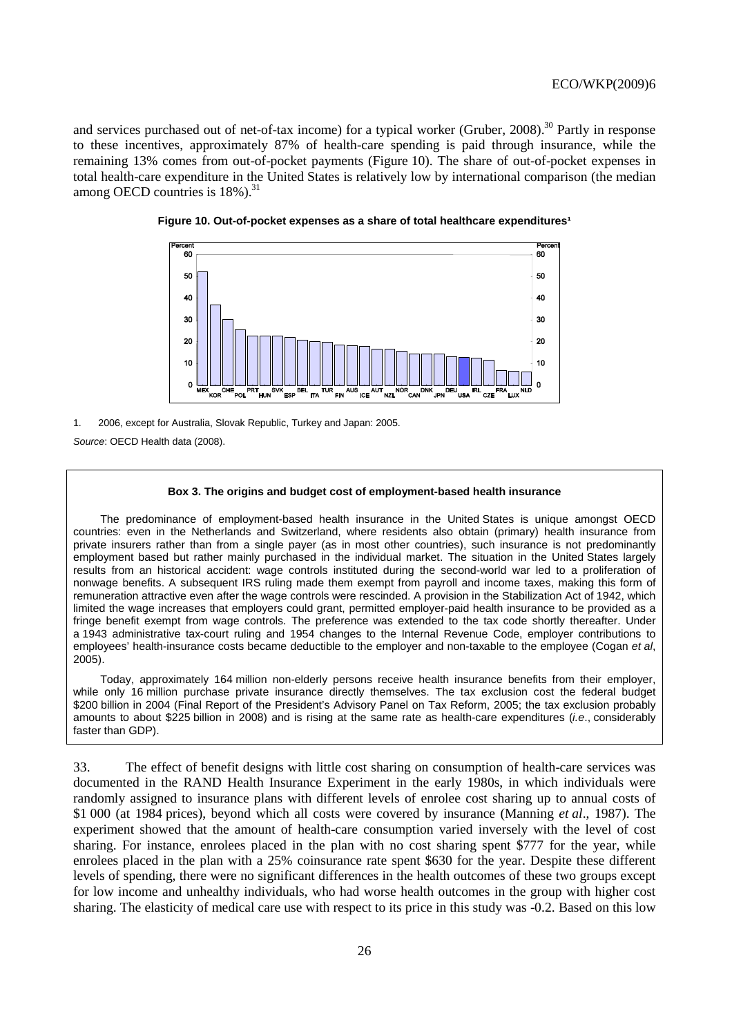and services purchased out of net-of-tax income) for a typical worker (Gruber, 2008).<sup>30</sup> Partly in response to these incentives, approximately 87% of health-care spending is paid through insurance, while the remaining 13% comes from out-of-pocket payments (Figure 10). The share of out-of-pocket expenses in total health-care expenditure in the United States is relatively low by international comparison (the median among OECD countries is  $18\%$ ).<sup>31</sup>





1. 2006, except for Australia, Slovak Republic, Turkey and Japan: 2005.

*Source*: OECD Health data (2008).

#### **Box 3. The origins and budget cost of employment-based health insurance**

The predominance of employment-based health insurance in the United States is unique amongst OECD countries: even in the Netherlands and Switzerland, where residents also obtain (primary) health insurance from private insurers rather than from a single payer (as in most other countries), such insurance is not predominantly employment based but rather mainly purchased in the individual market. The situation in the United States largely results from an historical accident: wage controls instituted during the second-world war led to a proliferation of nonwage benefits. A subsequent IRS ruling made them exempt from payroll and income taxes, making this form of remuneration attractive even after the wage controls were rescinded. A provision in the Stabilization Act of 1942, which limited the wage increases that employers could grant, permitted employer-paid health insurance to be provided as a fringe benefit exempt from wage controls. The preference was extended to the tax code shortly thereafter. Under a 1943 administrative tax-court ruling and 1954 changes to the Internal Revenue Code, employer contributions to employees' health-insurance costs became deductible to the employer and non-taxable to the employee (Cogan *et al*, 2005).

Today, approximately 164 million non-elderly persons receive health insurance benefits from their employer, while only 16 million purchase private insurance directly themselves. The tax exclusion cost the federal budget \$200 billion in 2004 (Final Report of the President's Advisory Panel on Tax Reform, 2005; the tax exclusion probably amounts to about \$225 billion in 2008) and is rising at the same rate as health-care expenditures (*i.e*., considerably faster than GDP).

33. The effect of benefit designs with little cost sharing on consumption of health-care services was documented in the RAND Health Insurance Experiment in the early 1980s, in which individuals were randomly assigned to insurance plans with different levels of enrolee cost sharing up to annual costs of \$1 000 (at 1984 prices), beyond which all costs were covered by insurance (Manning *et al*., 1987). The experiment showed that the amount of health-care consumption varied inversely with the level of cost sharing. For instance, enrolees placed in the plan with no cost sharing spent \$777 for the year, while enrolees placed in the plan with a 25% coinsurance rate spent \$630 for the year. Despite these different levels of spending, there were no significant differences in the health outcomes of these two groups except for low income and unhealthy individuals, who had worse health outcomes in the group with higher cost sharing. The elasticity of medical care use with respect to its price in this study was -0.2. Based on this low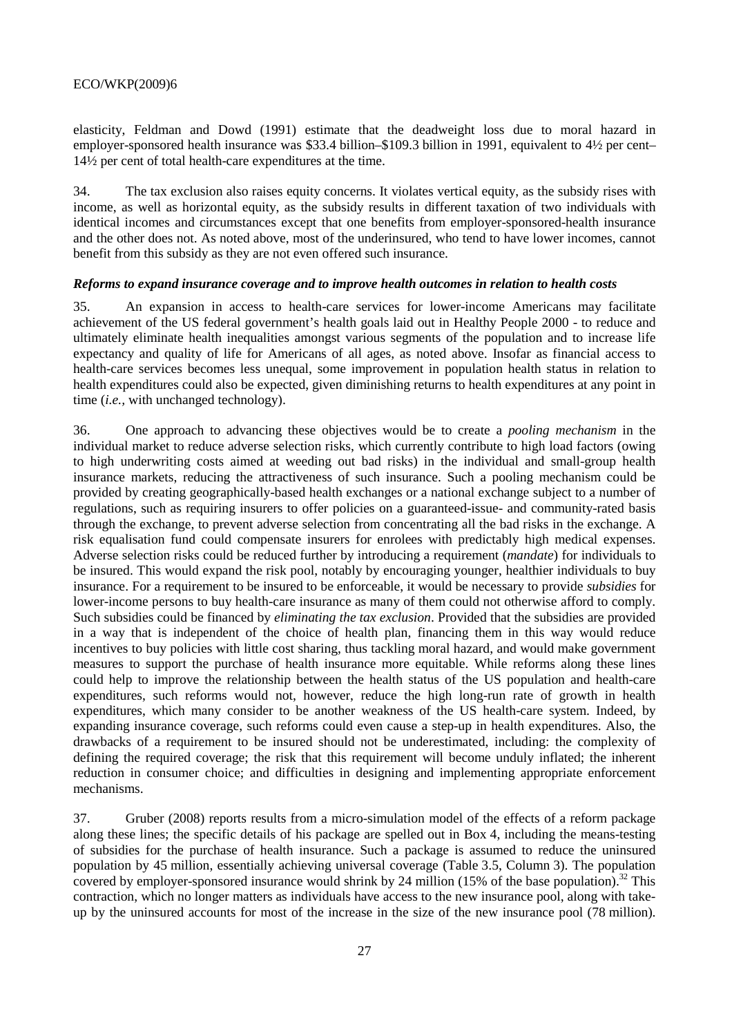elasticity, Feldman and Dowd (1991) estimate that the deadweight loss due to moral hazard in employer-sponsored health insurance was \$33.4 billion–\$109.3 billion in 1991, equivalent to 4½ per cent– 14½ per cent of total health-care expenditures at the time.

34. The tax exclusion also raises equity concerns. It violates vertical equity, as the subsidy rises with income, as well as horizontal equity, as the subsidy results in different taxation of two individuals with identical incomes and circumstances except that one benefits from employer-sponsored-health insurance and the other does not. As noted above, most of the underinsured, who tend to have lower incomes, cannot benefit from this subsidy as they are not even offered such insurance.

## *Reforms to expand insurance coverage and to improve health outcomes in relation to health costs*

35. An expansion in access to health-care services for lower-income Americans may facilitate achievement of the US federal government's health goals laid out in Healthy People 2000 - to reduce and ultimately eliminate health inequalities amongst various segments of the population and to increase life expectancy and quality of life for Americans of all ages, as noted above. Insofar as financial access to health-care services becomes less unequal, some improvement in population health status in relation to health expenditures could also be expected, given diminishing returns to health expenditures at any point in time (*i.e.,* with unchanged technology).

36. One approach to advancing these objectives would be to create a *pooling mechanism* in the individual market to reduce adverse selection risks, which currently contribute to high load factors (owing to high underwriting costs aimed at weeding out bad risks) in the individual and small-group health insurance markets, reducing the attractiveness of such insurance. Such a pooling mechanism could be provided by creating geographically-based health exchanges or a national exchange subject to a number of regulations, such as requiring insurers to offer policies on a guaranteed-issue- and community-rated basis through the exchange, to prevent adverse selection from concentrating all the bad risks in the exchange. A risk equalisation fund could compensate insurers for enrolees with predictably high medical expenses. Adverse selection risks could be reduced further by introducing a requirement (*mandate*) for individuals to be insured. This would expand the risk pool, notably by encouraging younger, healthier individuals to buy insurance. For a requirement to be insured to be enforceable, it would be necessary to provide *subsidies* for lower-income persons to buy health-care insurance as many of them could not otherwise afford to comply. Such subsidies could be financed by *eliminating the tax exclusion*. Provided that the subsidies are provided in a way that is independent of the choice of health plan, financing them in this way would reduce incentives to buy policies with little cost sharing, thus tackling moral hazard, and would make government measures to support the purchase of health insurance more equitable. While reforms along these lines could help to improve the relationship between the health status of the US population and health-care expenditures, such reforms would not, however, reduce the high long-run rate of growth in health expenditures, which many consider to be another weakness of the US health-care system. Indeed, by expanding insurance coverage, such reforms could even cause a step-up in health expenditures. Also, the drawbacks of a requirement to be insured should not be underestimated, including: the complexity of defining the required coverage; the risk that this requirement will become unduly inflated; the inherent reduction in consumer choice; and difficulties in designing and implementing appropriate enforcement mechanisms.

37. Gruber (2008) reports results from a micro-simulation model of the effects of a reform package along these lines; the specific details of his package are spelled out in Box 4, including the means-testing of subsidies for the purchase of health insurance. Such a package is assumed to reduce the uninsured population by 45 million, essentially achieving universal coverage (Table 3.5, Column 3). The population covered by employer-sponsored insurance would shrink by 24 million (15% of the base population).<sup>32</sup> This contraction, which no longer matters as individuals have access to the new insurance pool, along with takeup by the uninsured accounts for most of the increase in the size of the new insurance pool (78 million).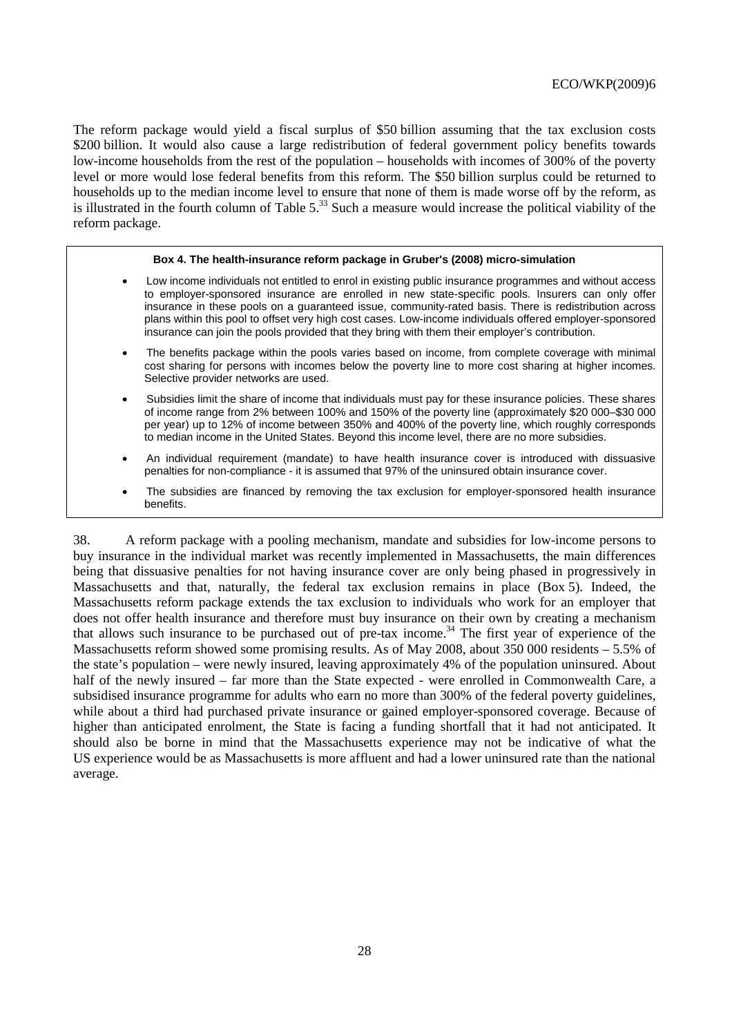The reform package would yield a fiscal surplus of \$50 billion assuming that the tax exclusion costs \$200 billion. It would also cause a large redistribution of federal government policy benefits towards low-income households from the rest of the population – households with incomes of 300% of the poverty level or more would lose federal benefits from this reform. The \$50 billion surplus could be returned to households up to the median income level to ensure that none of them is made worse off by the reform, as is illustrated in the fourth column of Table 5.<sup>33</sup> Such a measure would increase the political viability of the reform package.

#### **Box 4. The health-insurance reform package in Gruber's (2008) micro-simulation**

- Low income individuals not entitled to enrol in existing public insurance programmes and without access to employer-sponsored insurance are enrolled in new state-specific pools. Insurers can only offer insurance in these pools on a guaranteed issue, community-rated basis. There is redistribution across plans within this pool to offset very high cost cases. Low-income individuals offered employer-sponsored insurance can join the pools provided that they bring with them their employer's contribution.
- The benefits package within the pools varies based on income, from complete coverage with minimal cost sharing for persons with incomes below the poverty line to more cost sharing at higher incomes. Selective provider networks are used.
- Subsidies limit the share of income that individuals must pay for these insurance policies. These shares of income range from 2% between 100% and 150% of the poverty line (approximately \$20 000–\$30 000 per year) up to 12% of income between 350% and 400% of the poverty line, which roughly corresponds to median income in the United States. Beyond this income level, there are no more subsidies.
- An individual requirement (mandate) to have health insurance cover is introduced with dissuasive penalties for non-compliance - it is assumed that 97% of the uninsured obtain insurance cover.
- The subsidies are financed by removing the tax exclusion for employer-sponsored health insurance benefits.

38. A reform package with a pooling mechanism, mandate and subsidies for low-income persons to buy insurance in the individual market was recently implemented in Massachusetts, the main differences being that dissuasive penalties for not having insurance cover are only being phased in progressively in Massachusetts and that, naturally, the federal tax exclusion remains in place (Box 5). Indeed, the Massachusetts reform package extends the tax exclusion to individuals who work for an employer that does not offer health insurance and therefore must buy insurance on their own by creating a mechanism that allows such insurance to be purchased out of pre-tax income.<sup>34</sup> The first year of experience of the Massachusetts reform showed some promising results. As of May 2008, about 350 000 residents – 5.5% of the state's population – were newly insured, leaving approximately 4% of the population uninsured. About half of the newly insured – far more than the State expected - were enrolled in Commonwealth Care, a subsidised insurance programme for adults who earn no more than 300% of the federal poverty guidelines, while about a third had purchased private insurance or gained employer-sponsored coverage. Because of higher than anticipated enrolment, the State is facing a funding shortfall that it had not anticipated. It should also be borne in mind that the Massachusetts experience may not be indicative of what the US experience would be as Massachusetts is more affluent and had a lower uninsured rate than the national average.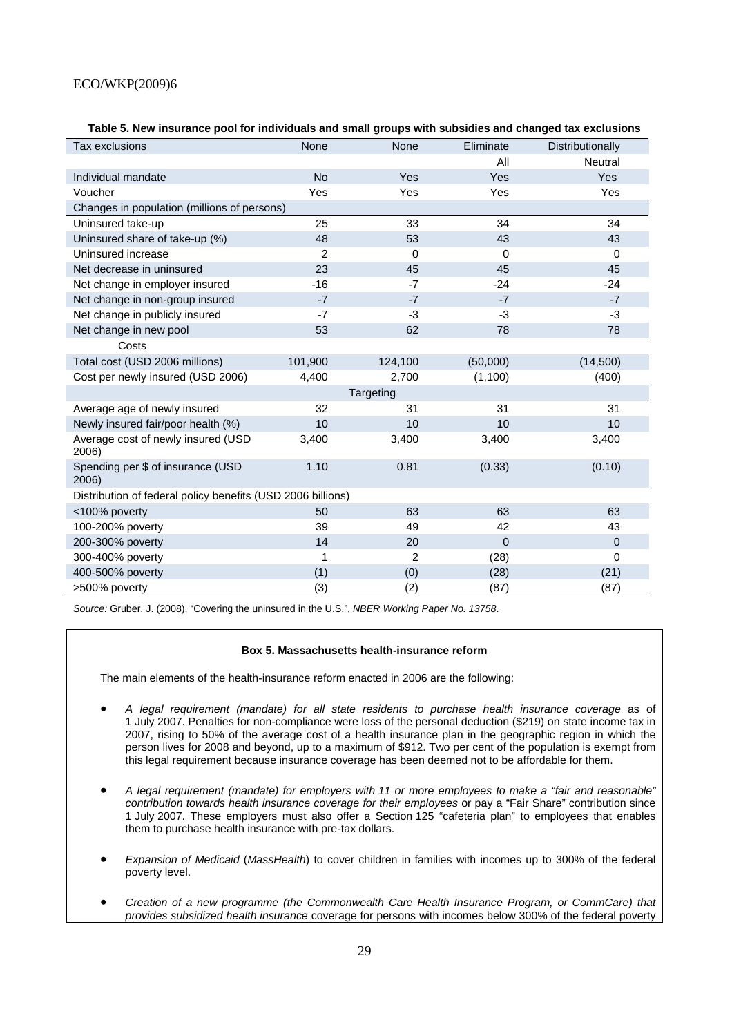| Tax exclusions                                              | None      | None     | Eliminate    | Distributionally |
|-------------------------------------------------------------|-----------|----------|--------------|------------------|
|                                                             |           |          | All          | Neutral          |
| Individual mandate                                          | <b>No</b> | Yes      | Yes          | Yes              |
| Voucher                                                     | Yes       | Yes      | Yes          | Yes              |
| Changes in population (millions of persons)                 |           |          |              |                  |
| Uninsured take-up                                           | 25        | 33       | 34           | 34               |
| Uninsured share of take-up (%)                              | 48        | 53       | 43           | 43               |
| Uninsured increase                                          | 2         | $\Omega$ | 0            | $\Omega$         |
| Net decrease in uninsured                                   | 23        | 45       | 45           | 45               |
| Net change in employer insured                              | $-16$     | $-7$     | $-24$        | $-24$            |
| Net change in non-group insured                             | $-7$      | $-7$     | $-7$         | $-7$             |
| Net change in publicly insured                              | $-7$      | -3       | $-3$         | $-3$             |
| Net change in new pool                                      | 53        | 62       | 78           | 78               |
| Costs                                                       |           |          |              |                  |
| Total cost (USD 2006 millions)                              | 101,900   | 124,100  | (50,000)     | (14,500)         |
| Cost per newly insured (USD 2006)                           | 4,400     | 2,700    | (1, 100)     | (400)            |
| Targeting                                                   |           |          |              |                  |
| Average age of newly insured                                | 32        | 31       | 31           | 31               |
| Newly insured fair/poor health (%)                          | 10        | 10       | 10           | 10               |
| Average cost of newly insured (USD<br>2006)                 | 3,400     | 3,400    | 3,400        | 3,400            |
| Spending per \$ of insurance (USD<br>2006)                  | 1.10      | 0.81     | (0.33)       | (0.10)           |
| Distribution of federal policy benefits (USD 2006 billions) |           |          |              |                  |
| <100% poverty                                               | 50        | 63       | 63           | 63               |
| 100-200% poverty                                            | 39        | 49       | 42           | 43               |
| 200-300% poverty                                            | 14        | 20       | $\mathbf{0}$ | $\mathbf 0$      |
| 300-400% poverty                                            | 1         | 2        | (28)         | 0                |
| 400-500% poverty                                            | (1)       | (0)      | (28)         | (21)             |
| >500% poverty                                               | (3)       | (2)      | (87)         | (87)             |

*Source:* Gruber, J. (2008), "Covering the uninsured in the U.S.", *NBER Working Paper No. 13758*.

#### **Box 5. Massachusetts health-insurance reform**

The main elements of the health-insurance reform enacted in 2006 are the following:

- *A legal requirement (mandate) for all state residents to purchase health insurance coverage* as of 1 July 2007. Penalties for non-compliance were loss of the personal deduction (\$219) on state income tax in 2007, rising to 50% of the average cost of a health insurance plan in the geographic region in which the person lives for 2008 and beyond, up to a maximum of \$912. Two per cent of the population is exempt from this legal requirement because insurance coverage has been deemed not to be affordable for them.
- *A legal requirement (mandate) for employers with 11 or more employees to make a "fair and reasonable" contribution towards health insurance coverage for their employees* or pay a "Fair Share" contribution since 1 July 2007. These employers must also offer a Section 125 "cafeteria plan" to employees that enables them to purchase health insurance with pre-tax dollars.
- *Expansion of Medicaid* (*MassHealth*) to cover children in families with incomes up to 300% of the federal poverty level.
- *Creation of a new programme (the Commonwealth Care Health Insurance Program, or CommCare) that provides subsidized health insurance* coverage for persons with incomes below 300% of the federal poverty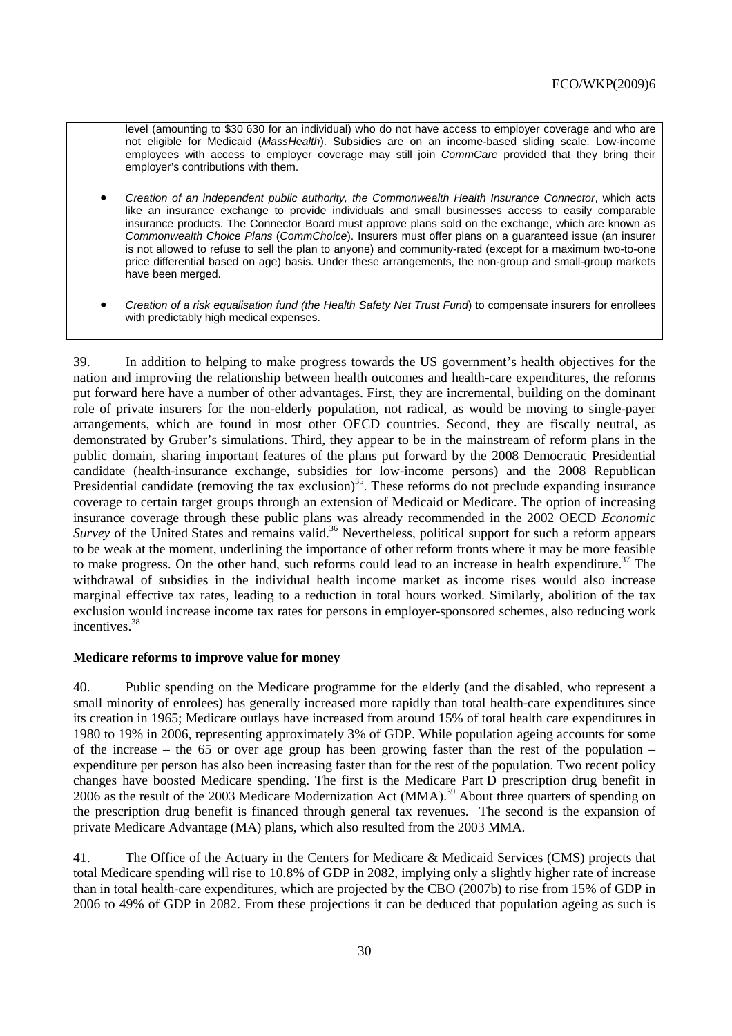- level (amounting to \$30 630 for an individual) who do not have access to employer coverage and who are not eligible for Medicaid (*MassHealth*). Subsidies are on an income-based sliding scale. Low-income employees with access to employer coverage may still join *CommCare* provided that they bring their employer's contributions with them.
- *Creation of an independent public authority, the Commonwealth Health Insurance Connector*, which acts like an insurance exchange to provide individuals and small businesses access to easily comparable insurance products. The Connector Board must approve plans sold on the exchange, which are known as *Commonwealth Choice Plans* (*CommChoice*). Insurers must offer plans on a guaranteed issue (an insurer is not allowed to refuse to sell the plan to anyone) and community-rated (except for a maximum two-to-one price differential based on age) basis. Under these arrangements, the non-group and small-group markets have been merged.
- *Creation of a risk equalisation fund (the Health Safety Net Trust Fund*) to compensate insurers for enrollees with predictably high medical expenses.

39. In addition to helping to make progress towards the US government's health objectives for the nation and improving the relationship between health outcomes and health-care expenditures, the reforms put forward here have a number of other advantages. First, they are incremental, building on the dominant role of private insurers for the non-elderly population, not radical, as would be moving to single-payer arrangements, which are found in most other OECD countries. Second, they are fiscally neutral, as demonstrated by Gruber's simulations. Third, they appear to be in the mainstream of reform plans in the public domain, sharing important features of the plans put forward by the 2008 Democratic Presidential candidate (health-insurance exchange, subsidies for low-income persons) and the 2008 Republican Presidential candidate (removing the tax exclusion)<sup>35</sup>. These reforms do not preclude expanding insurance coverage to certain target groups through an extension of Medicaid or Medicare. The option of increasing insurance coverage through these public plans was already recommended in the 2002 OECD *Economic Survey* of the United States and remains valid.<sup>36</sup> Nevertheless, political support for such a reform appears to be weak at the moment, underlining the importance of other reform fronts where it may be more feasible to make progress. On the other hand, such reforms could lead to an increase in health expenditure.<sup>37</sup> The withdrawal of subsidies in the individual health income market as income rises would also increase marginal effective tax rates, leading to a reduction in total hours worked. Similarly, abolition of the tax exclusion would increase income tax rates for persons in employer-sponsored schemes, also reducing work incentives.<sup>38</sup>

## **Medicare reforms to improve value for money**

40. Public spending on the Medicare programme for the elderly (and the disabled, who represent a small minority of enrolees) has generally increased more rapidly than total health-care expenditures since its creation in 1965; Medicare outlays have increased from around 15% of total health care expenditures in 1980 to 19% in 2006, representing approximately 3% of GDP. While population ageing accounts for some of the increase – the 65 or over age group has been growing faster than the rest of the population – expenditure per person has also been increasing faster than for the rest of the population. Two recent policy changes have boosted Medicare spending. The first is the Medicare Part D prescription drug benefit in 2006 as the result of the 2003 Medicare Modernization Act (MMA).39 About three quarters of spending on the prescription drug benefit is financed through general tax revenues. The second is the expansion of private Medicare Advantage (MA) plans, which also resulted from the 2003 MMA.

41. The Office of the Actuary in the Centers for Medicare & Medicaid Services (CMS) projects that total Medicare spending will rise to 10.8% of GDP in 2082, implying only a slightly higher rate of increase than in total health-care expenditures, which are projected by the CBO (2007b) to rise from 15% of GDP in 2006 to 49% of GDP in 2082. From these projections it can be deduced that population ageing as such is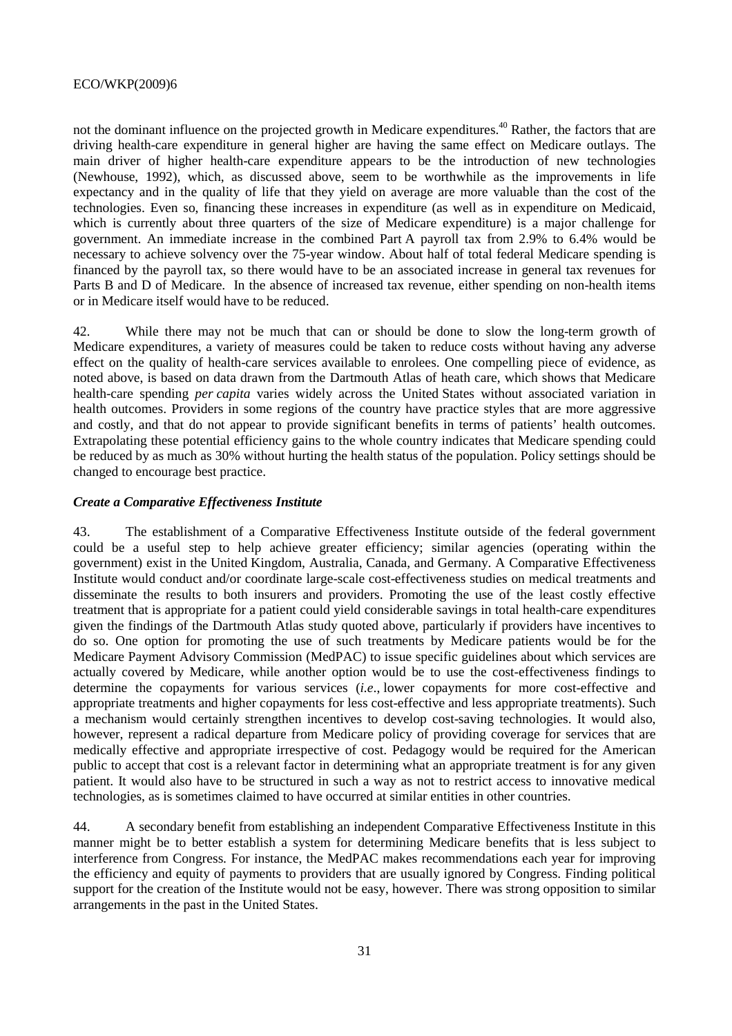not the dominant influence on the projected growth in Medicare expenditures.<sup>40</sup> Rather, the factors that are driving health-care expenditure in general higher are having the same effect on Medicare outlays. The main driver of higher health-care expenditure appears to be the introduction of new technologies (Newhouse, 1992), which, as discussed above, seem to be worthwhile as the improvements in life expectancy and in the quality of life that they yield on average are more valuable than the cost of the technologies. Even so, financing these increases in expenditure (as well as in expenditure on Medicaid, which is currently about three quarters of the size of Medicare expenditure) is a major challenge for government. An immediate increase in the combined Part A payroll tax from 2.9% to 6.4% would be necessary to achieve solvency over the 75-year window. About half of total federal Medicare spending is financed by the payroll tax, so there would have to be an associated increase in general tax revenues for Parts B and D of Medicare. In the absence of increased tax revenue, either spending on non-health items or in Medicare itself would have to be reduced.

42. While there may not be much that can or should be done to slow the long-term growth of Medicare expenditures, a variety of measures could be taken to reduce costs without having any adverse effect on the quality of health-care services available to enrolees. One compelling piece of evidence, as noted above, is based on data drawn from the Dartmouth Atlas of heath care, which shows that Medicare health-care spending *per capita* varies widely across the United States without associated variation in health outcomes. Providers in some regions of the country have practice styles that are more aggressive and costly, and that do not appear to provide significant benefits in terms of patients' health outcomes. Extrapolating these potential efficiency gains to the whole country indicates that Medicare spending could be reduced by as much as 30% without hurting the health status of the population. Policy settings should be changed to encourage best practice.

### *Create a Comparative Effectiveness Institute*

43. The establishment of a Comparative Effectiveness Institute outside of the federal government could be a useful step to help achieve greater efficiency; similar agencies (operating within the government) exist in the United Kingdom, Australia, Canada, and Germany. A Comparative Effectiveness Institute would conduct and/or coordinate large-scale cost-effectiveness studies on medical treatments and disseminate the results to both insurers and providers. Promoting the use of the least costly effective treatment that is appropriate for a patient could yield considerable savings in total health-care expenditures given the findings of the Dartmouth Atlas study quoted above, particularly if providers have incentives to do so. One option for promoting the use of such treatments by Medicare patients would be for the Medicare Payment Advisory Commission (MedPAC) to issue specific guidelines about which services are actually covered by Medicare, while another option would be to use the cost-effectiveness findings to determine the copayments for various services (*i.e*., lower copayments for more cost-effective and appropriate treatments and higher copayments for less cost-effective and less appropriate treatments). Such a mechanism would certainly strengthen incentives to develop cost-saving technologies. It would also, however, represent a radical departure from Medicare policy of providing coverage for services that are medically effective and appropriate irrespective of cost. Pedagogy would be required for the American public to accept that cost is a relevant factor in determining what an appropriate treatment is for any given patient. It would also have to be structured in such a way as not to restrict access to innovative medical technologies, as is sometimes claimed to have occurred at similar entities in other countries.

44. A secondary benefit from establishing an independent Comparative Effectiveness Institute in this manner might be to better establish a system for determining Medicare benefits that is less subject to interference from Congress. For instance, the MedPAC makes recommendations each year for improving the efficiency and equity of payments to providers that are usually ignored by Congress. Finding political support for the creation of the Institute would not be easy, however. There was strong opposition to similar arrangements in the past in the United States.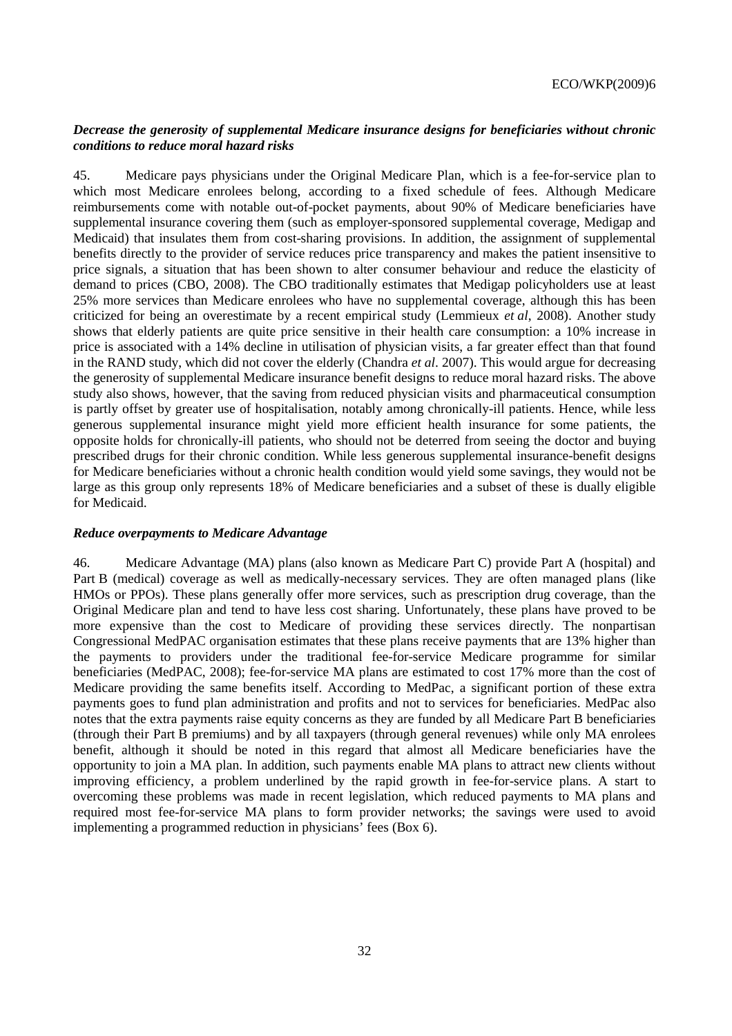## *Decrease the generosity of supplemental Medicare insurance designs for beneficiaries without chronic conditions to reduce moral hazard risks*

45. Medicare pays physicians under the Original Medicare Plan, which is a fee-for-service plan to which most Medicare enrolees belong, according to a fixed schedule of fees. Although Medicare reimbursements come with notable out-of-pocket payments, about 90% of Medicare beneficiaries have supplemental insurance covering them (such as employer-sponsored supplemental coverage, Medigap and Medicaid) that insulates them from cost-sharing provisions. In addition, the assignment of supplemental benefits directly to the provider of service reduces price transparency and makes the patient insensitive to price signals, a situation that has been shown to alter consumer behaviour and reduce the elasticity of demand to prices (CBO, 2008). The CBO traditionally estimates that Medigap policyholders use at least 25% more services than Medicare enrolees who have no supplemental coverage, although this has been criticized for being an overestimate by a recent empirical study (Lemmieux *et al*, 2008). Another study shows that elderly patients are quite price sensitive in their health care consumption: a 10% increase in price is associated with a 14% decline in utilisation of physician visits, a far greater effect than that found in the RAND study, which did not cover the elderly (Chandra *et al*. 2007). This would argue for decreasing the generosity of supplemental Medicare insurance benefit designs to reduce moral hazard risks. The above study also shows, however, that the saving from reduced physician visits and pharmaceutical consumption is partly offset by greater use of hospitalisation, notably among chronically-ill patients. Hence, while less generous supplemental insurance might yield more efficient health insurance for some patients, the opposite holds for chronically-ill patients, who should not be deterred from seeing the doctor and buying prescribed drugs for their chronic condition. While less generous supplemental insurance-benefit designs for Medicare beneficiaries without a chronic health condition would yield some savings, they would not be large as this group only represents 18% of Medicare beneficiaries and a subset of these is dually eligible for Medicaid.

#### *Reduce overpayments to Medicare Advantage*

46. Medicare Advantage (MA) plans (also known as Medicare Part C) provide Part A (hospital) and Part B (medical) coverage as well as medically-necessary services. They are often managed plans (like HMOs or PPOs). These plans generally offer more services, such as prescription drug coverage, than the Original Medicare plan and tend to have less cost sharing. Unfortunately, these plans have proved to be more expensive than the cost to Medicare of providing these services directly. The nonpartisan Congressional MedPAC organisation estimates that these plans receive payments that are 13% higher than the payments to providers under the traditional fee-for-service Medicare programme for similar beneficiaries (MedPAC, 2008); fee-for-service MA plans are estimated to cost 17% more than the cost of Medicare providing the same benefits itself. According to MedPac, a significant portion of these extra payments goes to fund plan administration and profits and not to services for beneficiaries. MedPac also notes that the extra payments raise equity concerns as they are funded by all Medicare Part B beneficiaries (through their Part B premiums) and by all taxpayers (through general revenues) while only MA enrolees benefit, although it should be noted in this regard that almost all Medicare beneficiaries have the opportunity to join a MA plan. In addition, such payments enable MA plans to attract new clients without improving efficiency, a problem underlined by the rapid growth in fee-for-service plans. A start to overcoming these problems was made in recent legislation, which reduced payments to MA plans and required most fee-for-service MA plans to form provider networks; the savings were used to avoid implementing a programmed reduction in physicians' fees (Box 6).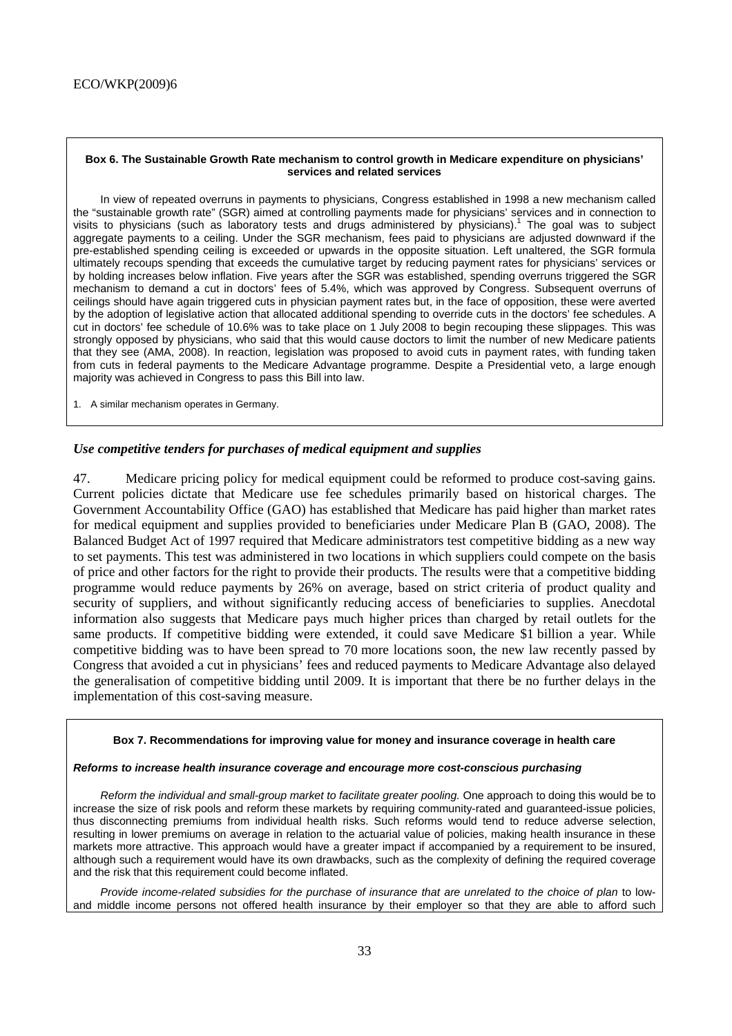#### **Box 6. The Sustainable Growth Rate mechanism to control growth in Medicare expenditure on physicians' services and related services**

In view of repeated overruns in payments to physicians, Congress established in 1998 a new mechanism called the "sustainable growth rate" (SGR) aimed at controlling payments made for physicians' services and in connection to visits to physicians (such as laboratory tests and drugs administered by physicians).<sup>1</sup> The goal was to subject aggregate payments to a ceiling. Under the SGR mechanism, fees paid to physicians are adjusted downward if the pre-established spending ceiling is exceeded or upwards in the opposite situation. Left unaltered, the SGR formula ultimately recoups spending that exceeds the cumulative target by reducing payment rates for physicians' services or by holding increases below inflation. Five years after the SGR was established, spending overruns triggered the SGR mechanism to demand a cut in doctors' fees of 5.4%, which was approved by Congress. Subsequent overruns of ceilings should have again triggered cuts in physician payment rates but, in the face of opposition, these were averted by the adoption of legislative action that allocated additional spending to override cuts in the doctors' fee schedules. A cut in doctors' fee schedule of 10.6% was to take place on 1 July 2008 to begin recouping these slippages. This was strongly opposed by physicians, who said that this would cause doctors to limit the number of new Medicare patients that they see (AMA, 2008). In reaction, legislation was proposed to avoid cuts in payment rates, with funding taken from cuts in federal payments to the Medicare Advantage programme. Despite a Presidential veto, a large enough majority was achieved in Congress to pass this Bill into law.

1. A similar mechanism operates in Germany.

### *Use competitive tenders for purchases of medical equipment and supplies*

47. Medicare pricing policy for medical equipment could be reformed to produce cost-saving gains. Current policies dictate that Medicare use fee schedules primarily based on historical charges. The Government Accountability Office (GAO) has established that Medicare has paid higher than market rates for medical equipment and supplies provided to beneficiaries under Medicare Plan B (GAO, 2008). The Balanced Budget Act of 1997 required that Medicare administrators test competitive bidding as a new way to set payments. This test was administered in two locations in which suppliers could compete on the basis of price and other factors for the right to provide their products. The results were that a competitive bidding programme would reduce payments by 26% on average, based on strict criteria of product quality and security of suppliers, and without significantly reducing access of beneficiaries to supplies. Anecdotal information also suggests that Medicare pays much higher prices than charged by retail outlets for the same products. If competitive bidding were extended, it could save Medicare \$1 billion a year. While competitive bidding was to have been spread to 70 more locations soon, the new law recently passed by Congress that avoided a cut in physicians' fees and reduced payments to Medicare Advantage also delayed the generalisation of competitive bidding until 2009. It is important that there be no further delays in the implementation of this cost-saving measure.

#### **Box 7. Recommendations for improving value for money and insurance coverage in health care**

#### *Reforms to increase health insurance coverage and encourage more cost-conscious purchasing*

*Reform the individual and small-group market to facilitate greater pooling.* One approach to doing this would be to increase the size of risk pools and reform these markets by requiring community-rated and guaranteed-issue policies, thus disconnecting premiums from individual health risks. Such reforms would tend to reduce adverse selection, resulting in lower premiums on average in relation to the actuarial value of policies, making health insurance in these markets more attractive. This approach would have a greater impact if accompanied by a requirement to be insured, although such a requirement would have its own drawbacks, such as the complexity of defining the required coverage and the risk that this requirement could become inflated.

*Provide income-related subsidies for the purchase of insurance that are unrelated to the choice of plan* to lowand middle income persons not offered health insurance by their employer so that they are able to afford such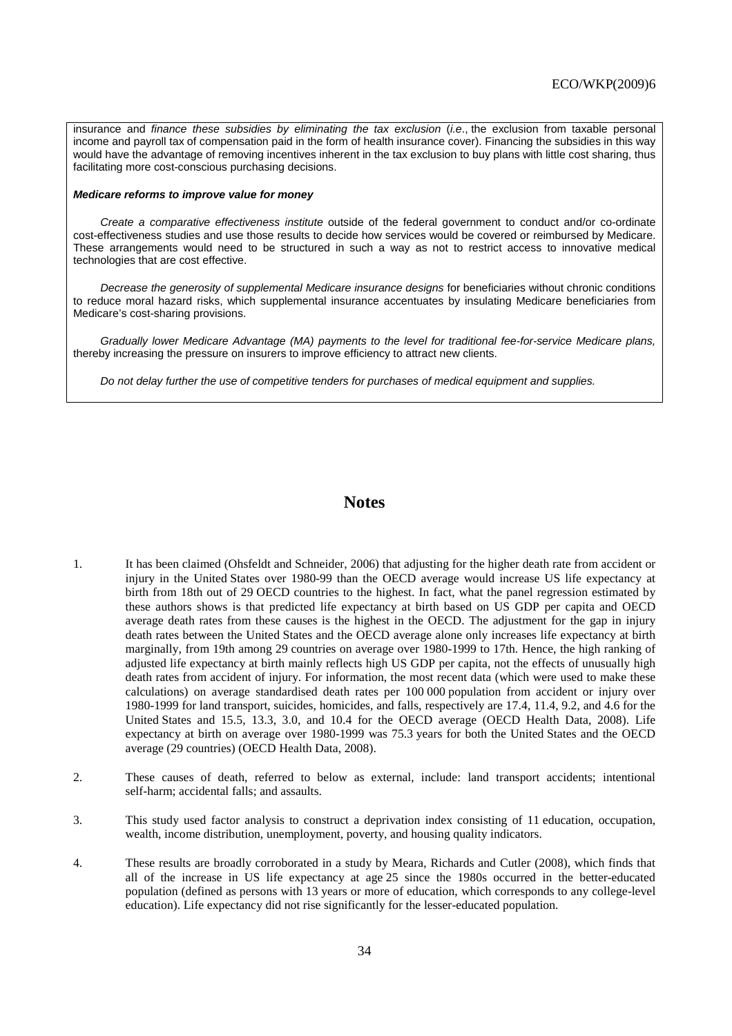insurance and *finance these subsidies by eliminating the tax exclusion* (*i.e*., the exclusion from taxable personal income and payroll tax of compensation paid in the form of health insurance cover). Financing the subsidies in this way would have the advantage of removing incentives inherent in the tax exclusion to buy plans with little cost sharing, thus facilitating more cost-conscious purchasing decisions.

#### *Medicare reforms to improve value for money*

*Create a comparative effectiveness institute* outside of the federal government to conduct and/or co-ordinate cost-effectiveness studies and use those results to decide how services would be covered or reimbursed by Medicare. These arrangements would need to be structured in such a way as not to restrict access to innovative medical technologies that are cost effective.

*Decrease the generosity of supplemental Medicare insurance designs* for beneficiaries without chronic conditions to reduce moral hazard risks, which supplemental insurance accentuates by insulating Medicare beneficiaries from Medicare's cost-sharing provisions.

*Gradually lower Medicare Advantage (MA) payments to the level for traditional fee-for-service Medicare plans,*  thereby increasing the pressure on insurers to improve efficiency to attract new clients.

*Do not delay further the use of competitive tenders for purchases of medical equipment and supplies.* 

# **Notes**

- 1. It has been claimed (Ohsfeldt and Schneider, 2006) that adjusting for the higher death rate from accident or injury in the United States over 1980-99 than the OECD average would increase US life expectancy at birth from 18th out of 29 OECD countries to the highest. In fact, what the panel regression estimated by these authors shows is that predicted life expectancy at birth based on US GDP per capita and OECD average death rates from these causes is the highest in the OECD. The adjustment for the gap in injury death rates between the United States and the OECD average alone only increases life expectancy at birth marginally, from 19th among 29 countries on average over 1980-1999 to 17th. Hence, the high ranking of adjusted life expectancy at birth mainly reflects high US GDP per capita, not the effects of unusually high death rates from accident of injury. For information, the most recent data (which were used to make these calculations) on average standardised death rates per 100 000 population from accident or injury over 1980-1999 for land transport, suicides, homicides, and falls, respectively are 17.4, 11.4, 9.2, and 4.6 for the United States and 15.5, 13.3, 3.0, and 10.4 for the OECD average (OECD Health Data, 2008). Life expectancy at birth on average over 1980-1999 was 75.3 years for both the United States and the OECD average (29 countries) (OECD Health Data, 2008).
- 2. These causes of death, referred to below as external, include: land transport accidents; intentional self-harm; accidental falls; and assaults.
- 3. This study used factor analysis to construct a deprivation index consisting of 11 education, occupation, wealth, income distribution, unemployment, poverty, and housing quality indicators.
- 4. These results are broadly corroborated in a study by Meara, Richards and Cutler (2008), which finds that all of the increase in US life expectancy at age 25 since the 1980s occurred in the better-educated population (defined as persons with 13 years or more of education, which corresponds to any college-level education). Life expectancy did not rise significantly for the lesser-educated population.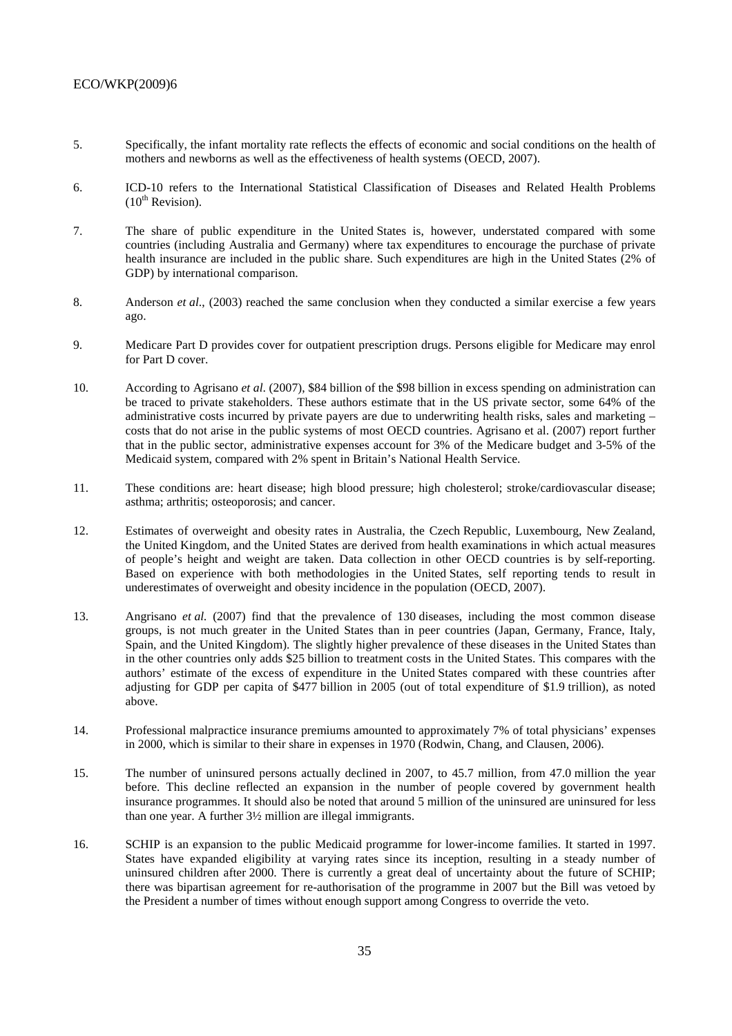- 5. Specifically, the infant mortality rate reflects the effects of economic and social conditions on the health of mothers and newborns as well as the effectiveness of health systems (OECD, 2007).
- 6. ICD-10 refers to the International Statistical Classification of Diseases and Related Health Problems  $(10^{th}$  Revision).
- 7. The share of public expenditure in the United States is, however, understated compared with some countries (including Australia and Germany) where tax expenditures to encourage the purchase of private health insurance are included in the public share. Such expenditures are high in the United States (2% of GDP) by international comparison.
- 8. Anderson *et al*., (2003) reached the same conclusion when they conducted a similar exercise a few years ago.
- 9. Medicare Part D provides cover for outpatient prescription drugs. Persons eligible for Medicare may enrol for Part D cover.
- 10. According to Agrisano *et al*. (2007), \$84 billion of the \$98 billion in excess spending on administration can be traced to private stakeholders. These authors estimate that in the US private sector, some 64% of the administrative costs incurred by private payers are due to underwriting health risks, sales and marketing – costs that do not arise in the public systems of most OECD countries. Agrisano et al. (2007) report further that in the public sector, administrative expenses account for 3% of the Medicare budget and 3-5% of the Medicaid system, compared with 2% spent in Britain's National Health Service.
- 11. These conditions are: heart disease; high blood pressure; high cholesterol; stroke/cardiovascular disease; asthma; arthritis; osteoporosis; and cancer.
- 12. Estimates of overweight and obesity rates in Australia, the Czech Republic, Luxembourg, New Zealand, the United Kingdom, and the United States are derived from health examinations in which actual measures of people's height and weight are taken. Data collection in other OECD countries is by self-reporting. Based on experience with both methodologies in the United States, self reporting tends to result in underestimates of overweight and obesity incidence in the population (OECD, 2007).
- 13. Angrisano *et al.* (2007) find that the prevalence of 130 diseases, including the most common disease groups, is not much greater in the United States than in peer countries (Japan, Germany, France, Italy, Spain, and the United Kingdom). The slightly higher prevalence of these diseases in the United States than in the other countries only adds \$25 billion to treatment costs in the United States. This compares with the authors' estimate of the excess of expenditure in the United States compared with these countries after adjusting for GDP per capita of \$477 billion in 2005 (out of total expenditure of \$1.9 trillion), as noted above.
- 14. Professional malpractice insurance premiums amounted to approximately 7% of total physicians' expenses in 2000, which is similar to their share in expenses in 1970 (Rodwin, Chang, and Clausen, 2006).
- 15. The number of uninsured persons actually declined in 2007, to 45.7 million, from 47.0 million the year before. This decline reflected an expansion in the number of people covered by government health insurance programmes. It should also be noted that around 5 million of the uninsured are uninsured for less than one year. A further 3½ million are illegal immigrants.
- 16. SCHIP is an expansion to the public Medicaid programme for lower-income families. It started in 1997. States have expanded eligibility at varying rates since its inception, resulting in a steady number of uninsured children after 2000. There is currently a great deal of uncertainty about the future of SCHIP; there was bipartisan agreement for re-authorisation of the programme in 2007 but the Bill was vetoed by the President a number of times without enough support among Congress to override the veto.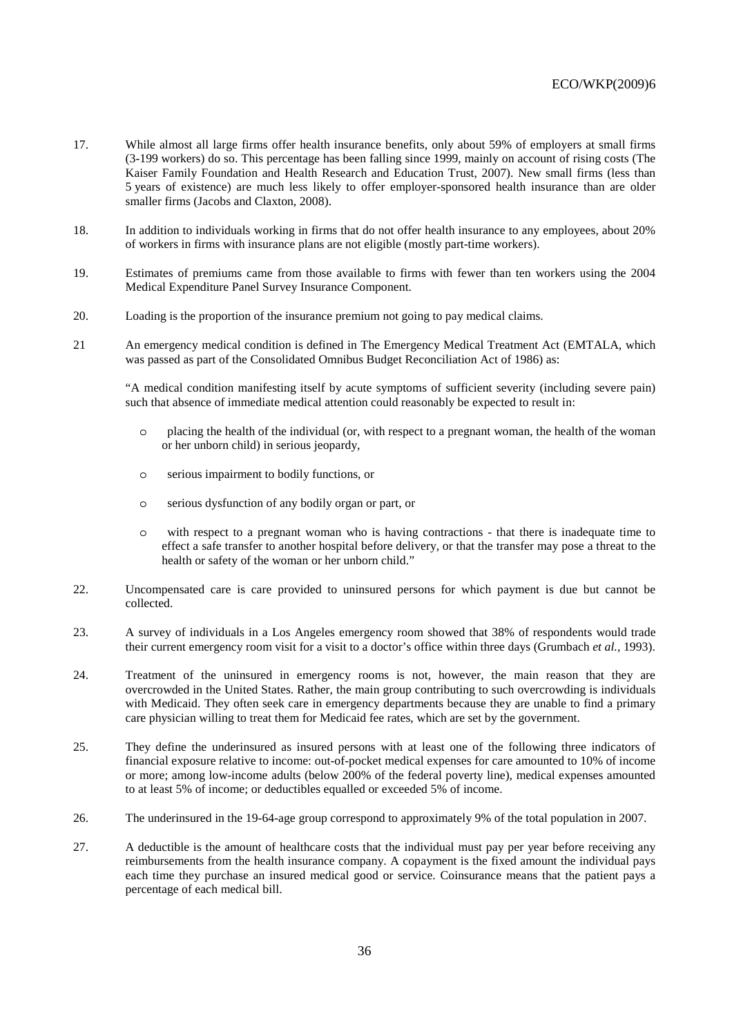- 17. While almost all large firms offer health insurance benefits, only about 59% of employers at small firms (3-199 workers) do so. This percentage has been falling since 1999, mainly on account of rising costs (The Kaiser Family Foundation and Health Research and Education Trust, 2007). New small firms (less than 5 years of existence) are much less likely to offer employer-sponsored health insurance than are older smaller firms (Jacobs and Claxton, 2008).
- 18. In addition to individuals working in firms that do not offer health insurance to any employees, about 20% of workers in firms with insurance plans are not eligible (mostly part-time workers).
- 19. Estimates of premiums came from those available to firms with fewer than ten workers using the 2004 Medical Expenditure Panel Survey Insurance Component.
- 20. Loading is the proportion of the insurance premium not going to pay medical claims.
- 21 An emergency medical condition is defined in The Emergency Medical Treatment Act (EMTALA, which was passed as part of the Consolidated Omnibus Budget Reconciliation Act of 1986) as:

 "A medical condition manifesting itself by acute symptoms of sufficient severity (including severe pain) such that absence of immediate medical attention could reasonably be expected to result in:

- o placing the health of the individual (or, with respect to a pregnant woman, the health of the woman or her unborn child) in serious jeopardy,
- o serious impairment to bodily functions, or
- o serious dysfunction of any bodily organ or part, or
- o with respect to a pregnant woman who is having contractions that there is inadequate time to effect a safe transfer to another hospital before delivery, or that the transfer may pose a threat to the health or safety of the woman or her unborn child."
- 22. Uncompensated care is care provided to uninsured persons for which payment is due but cannot be collected.
- 23. A survey of individuals in a Los Angeles emergency room showed that 38% of respondents would trade their current emergency room visit for a visit to a doctor's office within three days (Grumbach *et al.,* 1993).
- 24. Treatment of the uninsured in emergency rooms is not, however, the main reason that they are overcrowded in the United States. Rather, the main group contributing to such overcrowding is individuals with Medicaid. They often seek care in emergency departments because they are unable to find a primary care physician willing to treat them for Medicaid fee rates, which are set by the government.
- 25. They define the underinsured as insured persons with at least one of the following three indicators of financial exposure relative to income: out-of-pocket medical expenses for care amounted to 10% of income or more; among low-income adults (below 200% of the federal poverty line), medical expenses amounted to at least 5% of income; or deductibles equalled or exceeded 5% of income.
- 26. The underinsured in the 19-64-age group correspond to approximately 9% of the total population in 2007.
- 27. A deductible is the amount of healthcare costs that the individual must pay per year before receiving any reimbursements from the health insurance company. A copayment is the fixed amount the individual pays each time they purchase an insured medical good or service. Coinsurance means that the patient pays a percentage of each medical bill.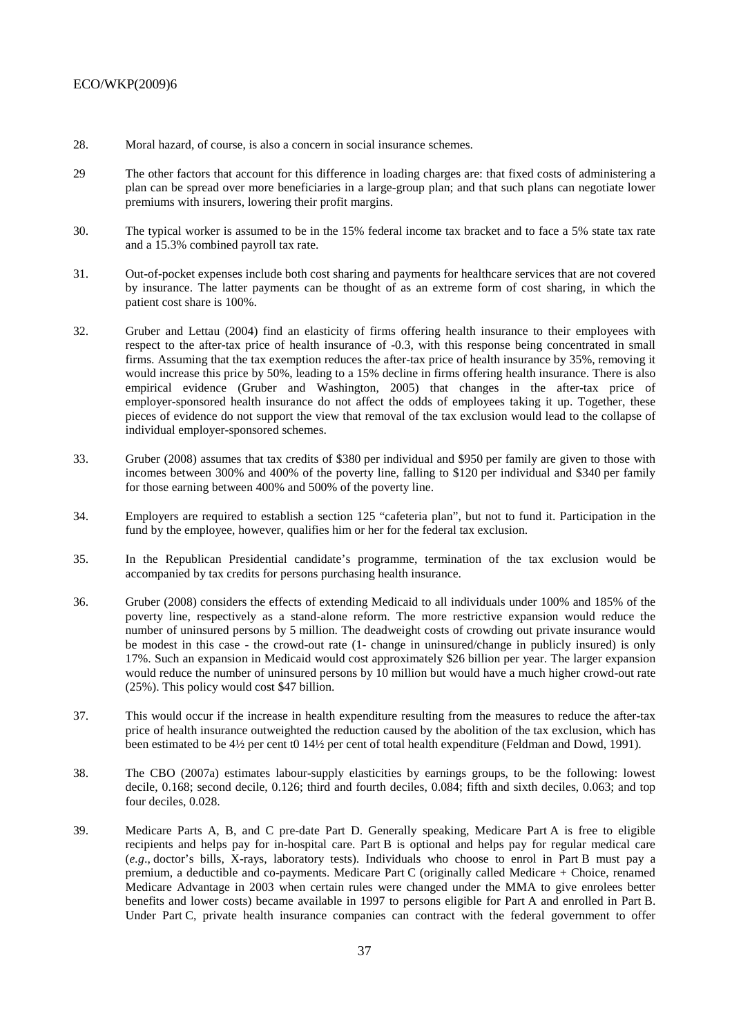- 28. Moral hazard, of course, is also a concern in social insurance schemes.
- 29 The other factors that account for this difference in loading charges are: that fixed costs of administering a plan can be spread over more beneficiaries in a large-group plan; and that such plans can negotiate lower premiums with insurers, lowering their profit margins.
- 30. The typical worker is assumed to be in the 15% federal income tax bracket and to face a 5% state tax rate and a 15.3% combined payroll tax rate.
- 31. Out-of-pocket expenses include both cost sharing and payments for healthcare services that are not covered by insurance. The latter payments can be thought of as an extreme form of cost sharing, in which the patient cost share is 100%.
- 32. Gruber and Lettau (2004) find an elasticity of firms offering health insurance to their employees with respect to the after-tax price of health insurance of -0.3, with this response being concentrated in small firms. Assuming that the tax exemption reduces the after-tax price of health insurance by 35%, removing it would increase this price by 50%, leading to a 15% decline in firms offering health insurance. There is also empirical evidence (Gruber and Washington, 2005) that changes in the after-tax price of employer-sponsored health insurance do not affect the odds of employees taking it up. Together, these pieces of evidence do not support the view that removal of the tax exclusion would lead to the collapse of individual employer-sponsored schemes.
- 33. Gruber (2008) assumes that tax credits of \$380 per individual and \$950 per family are given to those with incomes between 300% and 400% of the poverty line, falling to \$120 per individual and \$340 per family for those earning between 400% and 500% of the poverty line.
- 34. Employers are required to establish a section 125 "cafeteria plan", but not to fund it. Participation in the fund by the employee, however, qualifies him or her for the federal tax exclusion.
- 35. In the Republican Presidential candidate's programme, termination of the tax exclusion would be accompanied by tax credits for persons purchasing health insurance.
- 36. Gruber (2008) considers the effects of extending Medicaid to all individuals under 100% and 185% of the poverty line, respectively as a stand-alone reform. The more restrictive expansion would reduce the number of uninsured persons by 5 million. The deadweight costs of crowding out private insurance would be modest in this case - the crowd-out rate (1- change in uninsured/change in publicly insured) is only 17%. Such an expansion in Medicaid would cost approximately \$26 billion per year. The larger expansion would reduce the number of uninsured persons by 10 million but would have a much higher crowd-out rate (25%). This policy would cost \$47 billion.
- 37. This would occur if the increase in health expenditure resulting from the measures to reduce the after-tax price of health insurance outweighted the reduction caused by the abolition of the tax exclusion, which has been estimated to be 4½ per cent t0 14½ per cent of total health expenditure (Feldman and Dowd, 1991).
- 38. The CBO (2007a) estimates labour-supply elasticities by earnings groups, to be the following: lowest decile, 0.168; second decile, 0.126; third and fourth deciles, 0.084; fifth and sixth deciles, 0.063; and top four deciles, 0.028.
- 39. Medicare Parts A, B, and C pre-date Part D. Generally speaking, Medicare Part A is free to eligible recipients and helps pay for in-hospital care. Part B is optional and helps pay for regular medical care (*e.g*., doctor's bills, X-rays, laboratory tests). Individuals who choose to enrol in Part B must pay a premium, a deductible and co-payments. Medicare Part C (originally called Medicare + Choice, renamed Medicare Advantage in 2003 when certain rules were changed under the MMA to give enrolees better benefits and lower costs) became available in 1997 to persons eligible for Part A and enrolled in Part B. Under Part C, private health insurance companies can contract with the federal government to offer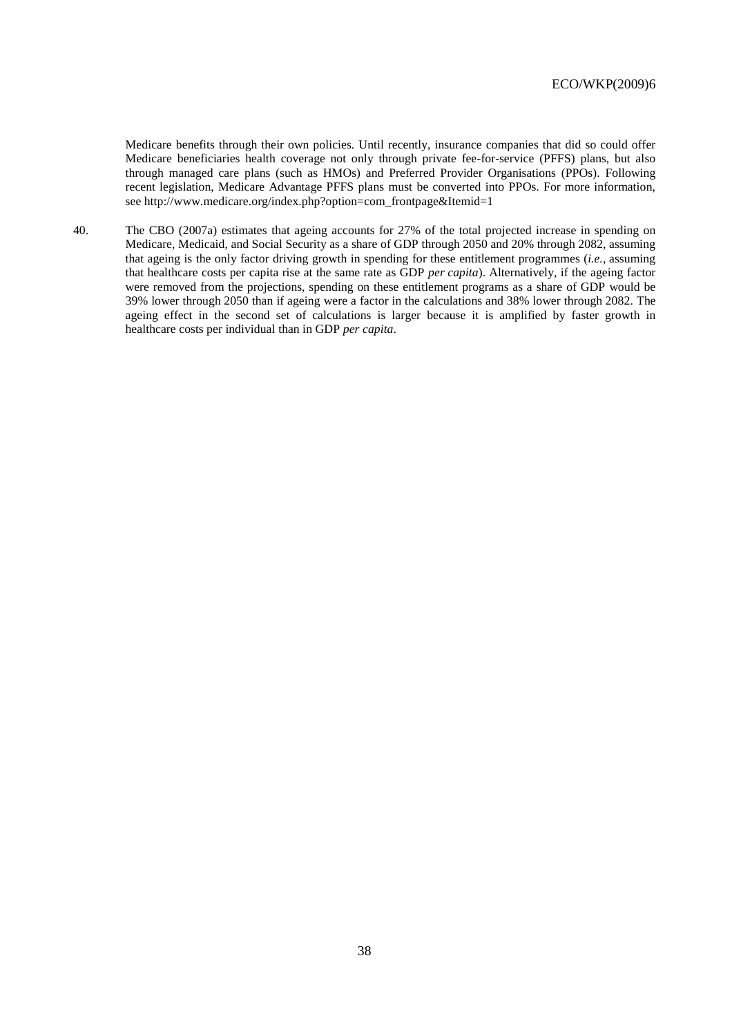Medicare benefits through their own policies. Until recently, insurance companies that did so could offer Medicare beneficiaries health coverage not only through private fee-for-service (PFFS) plans, but also through managed care plans (such as HMOs) and Preferred Provider Organisations (PPOs). Following recent legislation, Medicare Advantage PFFS plans must be converted into PPOs. For more information, see http://www.medicare.org/index.php?option=com\_frontpage&Itemid=1

40. The CBO (2007a) estimates that ageing accounts for 27% of the total projected increase in spending on Medicare, Medicaid, and Social Security as a share of GDP through 2050 and 20% through 2082, assuming that ageing is the only factor driving growth in spending for these entitlement programmes (*i.e.,* assuming that healthcare costs per capita rise at the same rate as GDP *per capita*). Alternatively, if the ageing factor were removed from the projections, spending on these entitlement programs as a share of GDP would be 39% lower through 2050 than if ageing were a factor in the calculations and 38% lower through 2082. The ageing effect in the second set of calculations is larger because it is amplified by faster growth in healthcare costs per individual than in GDP *per capita*.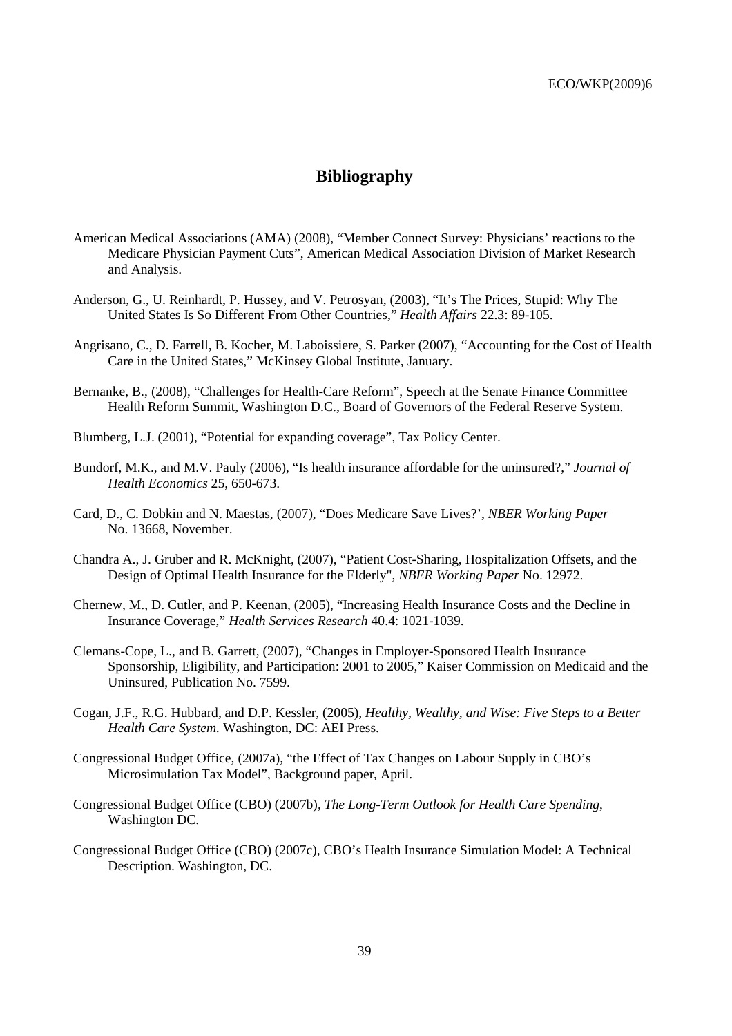# **Bibliography**

- American Medical Associations (AMA) (2008), "Member Connect Survey: Physicians' reactions to the Medicare Physician Payment Cuts", American Medical Association Division of Market Research and Analysis.
- Anderson, G., U. Reinhardt, P. Hussey, and V. Petrosyan, (2003), "It's The Prices, Stupid: Why The United States Is So Different From Other Countries," *Health Affairs* 22.3: 89-105.
- Angrisano, C., D. Farrell, B. Kocher, M. Laboissiere, S. Parker (2007), "Accounting for the Cost of Health Care in the United States," McKinsey Global Institute, January.
- Bernanke, B., (2008), "Challenges for Health-Care Reform", Speech at the Senate Finance Committee Health Reform Summit, Washington D.C., Board of Governors of the Federal Reserve System.
- Blumberg, L.J. (2001), "Potential for expanding coverage", Tax Policy Center.
- Bundorf, M.K., and M.V. Pauly (2006), "Is health insurance affordable for the uninsured?," *Journal of Health Economics* 25, 650-673.
- Card, D., C. Dobkin and N. Maestas, (2007), "Does Medicare Save Lives?', *NBER Working Paper* No. 13668, November.
- Chandra A., J. Gruber and R. McKnight, (2007), "Patient Cost-Sharing, Hospitalization Offsets, and the Design of Optimal Health Insurance for the Elderly", *NBER Working Paper* No. 12972.
- Chernew, M., D. Cutler, and P. Keenan, (2005), "Increasing Health Insurance Costs and the Decline in Insurance Coverage," *Health Services Research* 40.4: 1021-1039.
- Clemans-Cope, L., and B. Garrett, (2007), "Changes in Employer-Sponsored Health Insurance Sponsorship, Eligibility, and Participation: 2001 to 2005," Kaiser Commission on Medicaid and the Uninsured, Publication No. 7599.
- Cogan, J.F., R.G. Hubbard, and D.P. Kessler, (2005), *Healthy, Wealthy, and Wise: Five Steps to a Better Health Care System.* Washington, DC: AEI Press.
- Congressional Budget Office, (2007a), "the Effect of Tax Changes on Labour Supply in CBO's Microsimulation Tax Model", Background paper, April.
- Congressional Budget Office (CBO) (2007b), *The Long-Term Outlook for Health Care Spending*, Washington DC.
- Congressional Budget Office (CBO) (2007c), CBO's Health Insurance Simulation Model: A Technical Description. Washington, DC.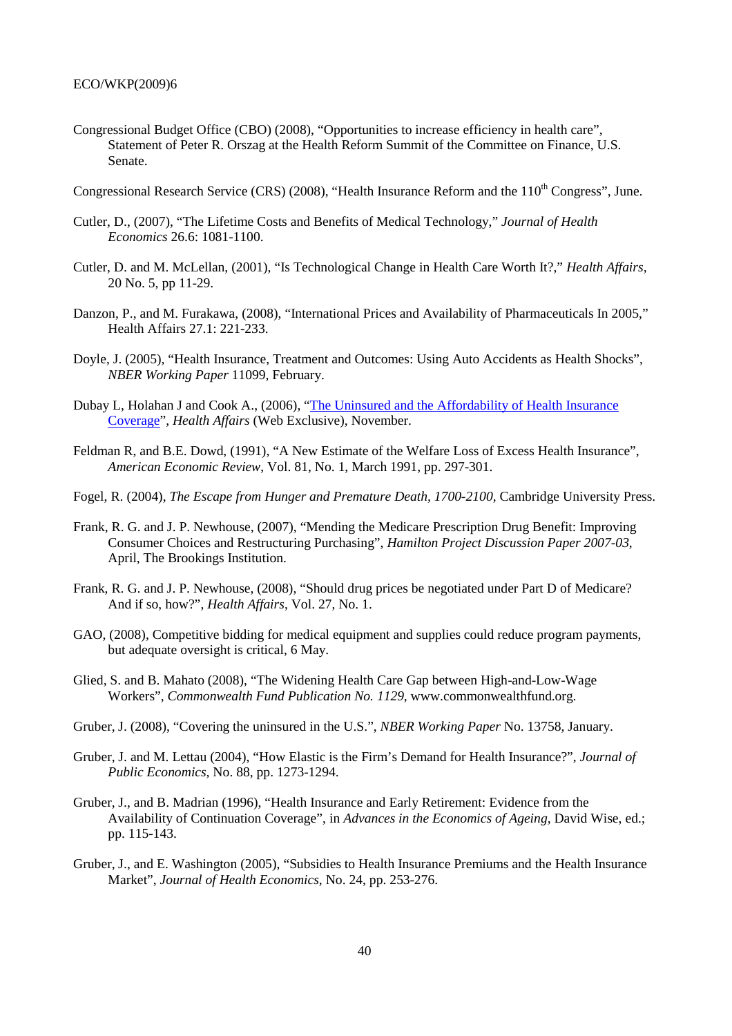Congressional Budget Office (CBO) (2008), "Opportunities to increase efficiency in health care", Statement of Peter R. Orszag at the Health Reform Summit of the Committee on Finance, U.S. Senate.

Congressional Research Service (CRS) (2008), "Health Insurance Reform and the 110<sup>th</sup> Congress". June.

- Cutler, D., (2007), "The Lifetime Costs and Benefits of Medical Technology," *Journal of Health Economics* 26.6: 1081-1100.
- Cutler, D. and M. McLellan, (2001), "Is Technological Change in Health Care Worth It?," *Health Affairs,*  20 No. 5, pp 11-29.
- Danzon, P., and M. Furakawa, (2008), "International Prices and Availability of Pharmaceuticals In 2005," Health Affairs 27.1: 221-233.
- Doyle, J. (2005), "Health Insurance, Treatment and Outcomes: Using Auto Accidents as Health Shocks", *NBER Working Paper* 11099, February.
- Dubay L, Holahan J and Cook A., (2006), "The Uninsured and the Affordability of Health Insurance Coverage", *Health Affairs* (Web Exclusive), November.
- Feldman R, and B.E. Dowd, (1991), "A New Estimate of the Welfare Loss of Excess Health Insurance", *American Economic Review*, Vol. 81, No. 1, March 1991, pp. 297-301.
- Fogel, R. (2004), *The Escape from Hunger and Premature Death, 1700-2100*, Cambridge University Press.
- Frank, R. G. and J. P. Newhouse, (2007), "Mending the Medicare Prescription Drug Benefit: Improving Consumer Choices and Restructuring Purchasing", *Hamilton Project Discussion Paper 2007-03*, April, The Brookings Institution.
- Frank, R. G. and J. P. Newhouse, (2008), "Should drug prices be negotiated under Part D of Medicare? And if so, how?", *Health Affairs*, Vol. 27, No. 1.
- GAO, (2008), Competitive bidding for medical equipment and supplies could reduce program payments, but adequate oversight is critical, 6 May.
- Glied, S. and B. Mahato (2008), "The Widening Health Care Gap between High-and-Low-Wage Workers", *Commonwealth Fund Publication No. 1129*, www.commonwealthfund.org.
- Gruber, J. (2008), "Covering the uninsured in the U.S.", *NBER Working Paper* No. 13758, January.
- Gruber, J. and M. Lettau (2004), "How Elastic is the Firm's Demand for Health Insurance?", *Journal of Public Economics,* No. 88, pp. 1273-1294.
- Gruber, J., and B. Madrian (1996), "Health Insurance and Early Retirement: Evidence from the Availability of Continuation Coverage", in *Advances in the Economics of Ageing*, David Wise, ed.; pp. 115-143.
- Gruber, J., and E. Washington (2005), "Subsidies to Health Insurance Premiums and the Health Insurance Market", *Journal of Health Economics*, No. 24, pp. 253-276.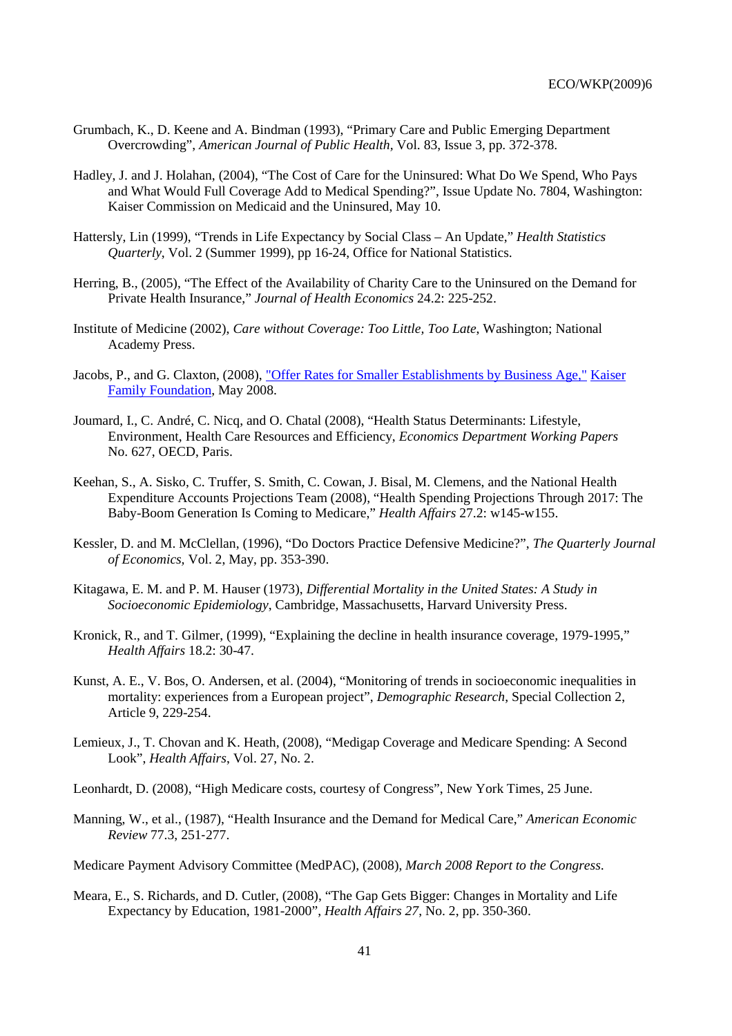- Grumbach, K., D. Keene and A. Bindman (1993), "Primary Care and Public Emerging Department Overcrowding", *American Journal of Public Health,* Vol. 83, Issue 3, pp. 372-378.
- Hadley, J. and J. Holahan, (2004), "The Cost of Care for the Uninsured: What Do We Spend, Who Pays and What Would Full Coverage Add to Medical Spending?", Issue Update No. 7804, Washington: Kaiser Commission on Medicaid and the Uninsured, May 10.
- Hattersly, Lin (1999), "Trends in Life Expectancy by Social Class An Update," *Health Statistics Quarterly*, Vol. 2 (Summer 1999), pp 16-24, Office for National Statistics.
- Herring, B., (2005), "The Effect of the Availability of Charity Care to the Uninsured on the Demand for Private Health Insurance," *Journal of Health Economics* 24.2: 225-252.
- Institute of Medicine (2002), *Care without Coverage: Too Little, Too Late*, Washington; National Academy Press.
- Jacobs, P., and G. Claxton, (2008), "Offer Rates for Smaller Establishments by Business Age," Kaiser Family Foundation, May 2008.
- Joumard, I., C. André, C. Nicq, and O. Chatal (2008), "Health Status Determinants: Lifestyle, Environment, Health Care Resources and Efficiency, *Economics Department Working Papers*  No. 627, OECD, Paris.
- Keehan, S., A. Sisko, C. Truffer, S. Smith, C. Cowan, J. Bisal, M. Clemens, and the National Health Expenditure Accounts Projections Team (2008), "Health Spending Projections Through 2017: The Baby-Boom Generation Is Coming to Medicare," *Health Affairs* 27.2: w145-w155.
- Kessler, D. and M. McClellan, (1996), "Do Doctors Practice Defensive Medicine?", *The Quarterly Journal of Economics,* Vol. 2, May, pp. 353-390.
- Kitagawa, E. M. and P. M. Hauser (1973), *Differential Mortality in the United States: A Study in Socioeconomic Epidemiology*, Cambridge, Massachusetts, Harvard University Press.
- Kronick, R., and T. Gilmer, (1999), "Explaining the decline in health insurance coverage, 1979-1995," *Health Affairs* 18.2: 30-47.
- Kunst, A. E., V. Bos, O. Andersen, et al. (2004), "Monitoring of trends in socioeconomic inequalities in mortality: experiences from a European project", *Demographic Research*, Special Collection 2, Article 9, 229-254.
- Lemieux, J., T. Chovan and K. Heath, (2008), "Medigap Coverage and Medicare Spending: A Second Look", *Health Affairs*, Vol. 27, No. 2.
- Leonhardt, D. (2008), "High Medicare costs, courtesy of Congress", New York Times, 25 June.
- Manning, W., et al., (1987), "Health Insurance and the Demand for Medical Care," *American Economic Review* 77.3, 251‐277.
- Medicare Payment Advisory Committee (MedPAC), (2008), *March 2008 Report to the Congress*.
- Meara, E., S. Richards, and D. Cutler, (2008), "The Gap Gets Bigger: Changes in Mortality and Life Expectancy by Education, 1981-2000", *Health Affairs 27*, No. 2, pp. 350-360.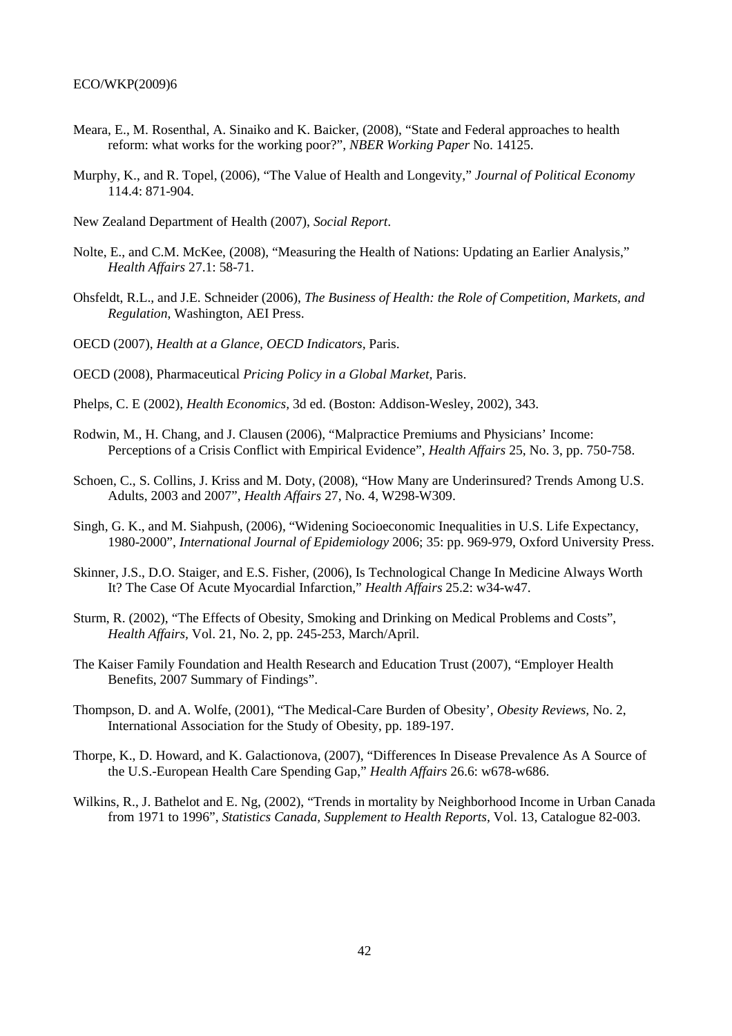- Meara, E., M. Rosenthal, A. Sinaiko and K. Baicker, (2008), "State and Federal approaches to health reform: what works for the working poor?", *NBER Working Paper* No. 14125.
- Murphy, K., and R. Topel, (2006), "The Value of Health and Longevity," *Journal of Political Economy*  114.4: 871-904.

New Zealand Department of Health (2007), *Social Report*.

- Nolte, E., and C.M. McKee, (2008), "Measuring the Health of Nations: Updating an Earlier Analysis," *Health Affairs* 27.1: 58-71.
- Ohsfeldt, R.L., and J.E. Schneider (2006), *The Business of Health: the Role of Competition, Markets, and Regulation*, Washington, AEI Press.
- OECD (2007), *Health at a Glance, OECD Indicators,* Paris.
- OECD (2008), Pharmaceutical *Pricing Policy in a Global Market,* Paris.
- Phelps, C. E (2002), *Health Economics,* 3d ed. (Boston: Addison-Wesley, 2002), 343.
- Rodwin, M., H. Chang, and J. Clausen (2006), "Malpractice Premiums and Physicians' Income: Perceptions of a Crisis Conflict with Empirical Evidence", *Health Affairs* 25, No. 3, pp. 750-758.
- Schoen, C., S. Collins, J. Kriss and M. Doty, (2008), "How Many are Underinsured? Trends Among U.S. Adults, 2003 and 2007", *Health Affairs* 27, No. 4, W298-W309.
- Singh, G. K., and M. Siahpush, (2006), "Widening Socioeconomic Inequalities in U.S. Life Expectancy, 1980-2000", *International Journal of Epidemiology* 2006; 35: pp. 969-979, Oxford University Press.
- Skinner, J.S., D.O. Staiger, and E.S. Fisher, (2006), Is Technological Change In Medicine Always Worth It? The Case Of Acute Myocardial Infarction," *Health Affairs* 25.2: w34-w47.
- Sturm, R. (2002), "The Effects of Obesity, Smoking and Drinking on Medical Problems and Costs", *Health Affairs,* Vol. 21, No. 2, pp. 245-253, March/April.
- The Kaiser Family Foundation and Health Research and Education Trust (2007), "Employer Health Benefits, 2007 Summary of Findings".
- Thompson, D. and A. Wolfe, (2001), "The Medical-Care Burden of Obesity', *Obesity Reviews,* No. 2, International Association for the Study of Obesity, pp. 189-197.
- Thorpe, K., D. Howard, and K. Galactionova, (2007), "Differences In Disease Prevalence As A Source of the U.S.-European Health Care Spending Gap," *Health Affairs* 26.6: w678-w686.
- Wilkins, R., J. Bathelot and E. Ng, (2002), "Trends in mortality by Neighborhood Income in Urban Canada from 1971 to 1996", *Statistics Canada, Supplement to Health Reports,* Vol. 13, Catalogue 82-003.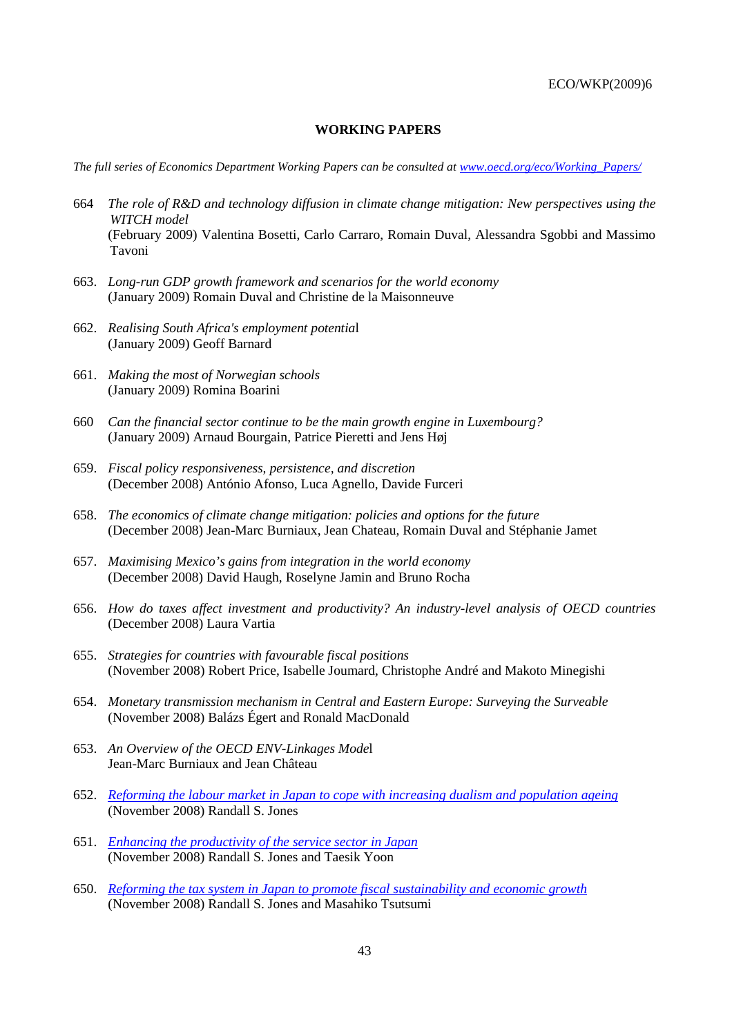## **WORKING PAPERS**

*The full series of Economics Department Working Papers can be consulted at www.oecd.org/eco/Working\_Papers/*

- 664 *The role of R&D and technology diffusion in climate change mitigation: New perspectives using the WITCH model*  (February 2009) Valentina Bosetti, Carlo Carraro, Romain Duval, Alessandra Sgobbi and Massimo Tavoni
- 663. *Long-run GDP growth framework and scenarios for the world economy*  (January 2009) Romain Duval and Christine de la Maisonneuve
- 662. *Realising South Africa's employment potentia*l (January 2009) Geoff Barnard
- 661. *Making the most of Norwegian schools* (January 2009) Romina Boarini
- 660 *Can the financial sector continue to be the main growth engine in Luxembourg?* (January 2009) Arnaud Bourgain, Patrice Pieretti and Jens Høj
- 659. *Fiscal policy responsiveness, persistence, and discretion*  (December 2008) António Afonso, Luca Agnello, Davide Furceri
- 658. *The economics of climate change mitigation: policies and options for the future* (December 2008) Jean-Marc Burniaux, Jean Chateau, Romain Duval and Stéphanie Jamet
- 657. *Maximising Mexico's gains from integration in the world economy*  (December 2008) David Haugh, Roselyne Jamin and Bruno Rocha
- 656. *How do taxes affect investment and productivity? An industry-level analysis of OECD countries* (December 2008) Laura Vartia
- 655. *Strategies for countries with favourable fiscal positions* (November 2008) Robert Price, Isabelle Joumard, Christophe André and Makoto Minegishi
- 654. *Monetary transmission mechanism in Central and Eastern Europe: Surveying the Surveable*  (November 2008) Balázs Égert and Ronald MacDonald
- 653. *An Overview of the OECD ENV-Linkages Mode*l Jean-Marc Burniaux and Jean Château
- 652. *Reforming the labour market in Japan to cope with increasing dualism and population ageing* (November 2008) Randall S. Jones
- 651. *Enhancing the productivity of the service sector in Japan* (November 2008) Randall S. Jones and Taesik Yoon
- 650. *Reforming the tax system in Japan to promote fiscal sustainability and economic growth* (November 2008) Randall S. Jones and Masahiko Tsutsumi